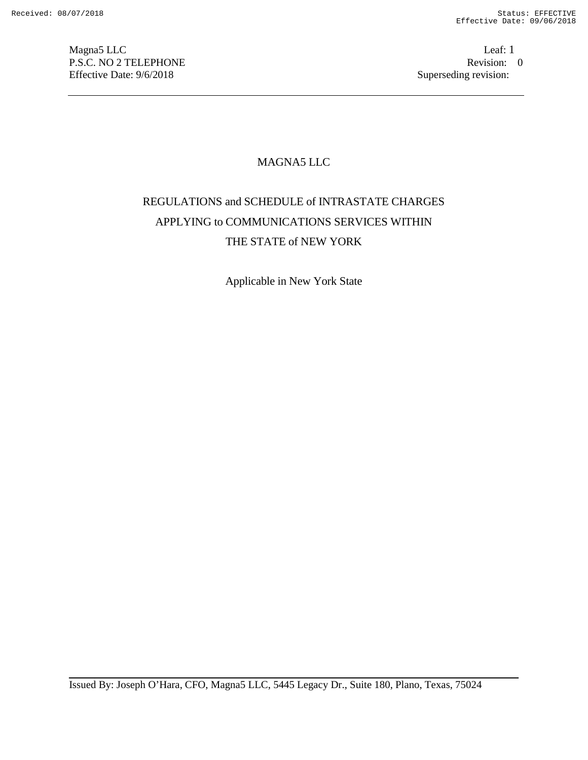Magna5 LLC<br>
P.S.C. NO 2 TELEPHONE<br>  $\begin{array}{ccc}\n\text{Leaf: 1} \\
\text{P.S.C. NO 2} \\
\end{array}$ P.S.C. NO 2 TELEPHONE Revision: Revision: 0.02 TELEPHONE Revision: 0.02 TELEPHONE Revision: 0.03 Revision: 0.03 Revision: 0.03 Revision: 0.03 Revision: 0.03 Revision: 0.03 Revision: 0.03 Revision: 0.03 Revision: 0.03 Revis Effective Date: 9/6/2018

# MAGNA5 LLC

# REGULATIONS and SCHEDULE of INTRASTATE CHARGES APPLYING to COMMUNICATIONS SERVICES WITHIN THE STATE of NEW YORK

Applicable in New York State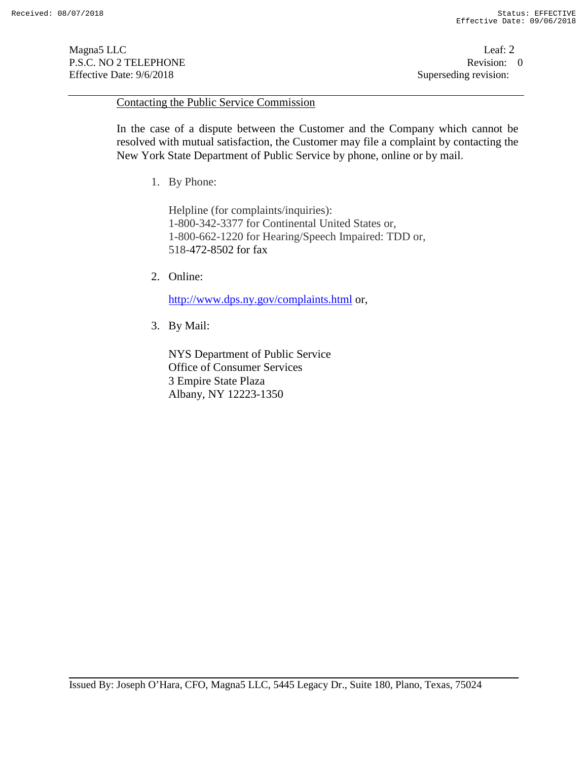Magna5 LLC Leaf: 2 P.S.C. NO 2 TELEPHONE Revision: 0<br>Effective Date: 9/6/2018 Superseding revision: 0 Effective Date: 9/6/2018

#### Contacting the Public Service Commission

In the case of a dispute between the Customer and the Company which cannot be resolved with mutual satisfaction, the Customer may file a complaint by contacting the New York State Department of Public Service by phone, online or by mail.

1. By Phone:

Helpline (for complaints/inquiries): 1-800-342-3377 for Continental United States or, 1-800-662-1220 for Hearing/Speech Impaired: TDD or, 518-472-8502 for fax

2. Online:

http://www.dps.ny.gov/complaints.html or,

3. By Mail:

NYS Department of Public Service Office of Consumer Services 3 Empire State Plaza Albany, NY 12223-1350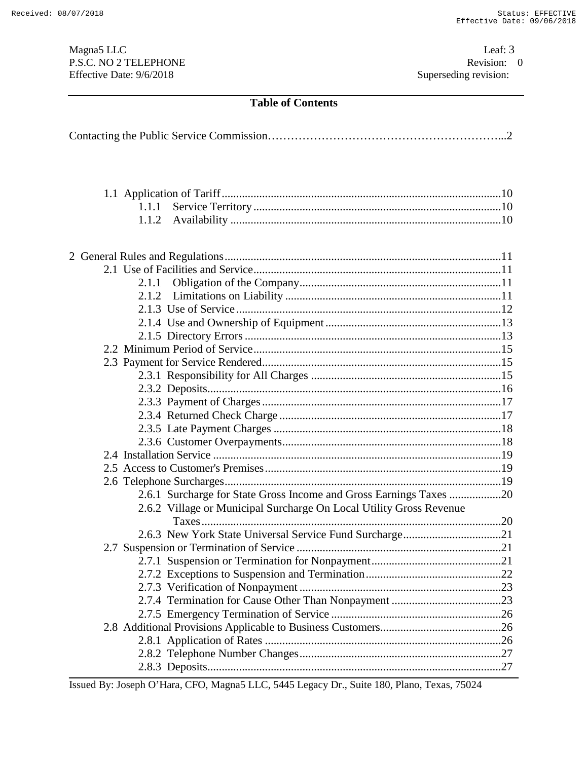Magna5 LLC<br>
P.S.C. NO 2 TELEPHONE<br>  $P.S.C.$  NO 2 TELEPHONE<br>  $Q$ P.S.C. NO 2 TELEPHONE Revision: Revision: 0.02 TELEPHONE Revision: 0.02 TELEPHONE Revision: 0.02 TELEPHONE Effective Date: 9/6/2018

# **Table of Contents**

| 1.1.1                                                               |  |
|---------------------------------------------------------------------|--|
| 1.1.2                                                               |  |
|                                                                     |  |
|                                                                     |  |
|                                                                     |  |
|                                                                     |  |
| 2.1.1                                                               |  |
| 2.1.2                                                               |  |
|                                                                     |  |
|                                                                     |  |
|                                                                     |  |
|                                                                     |  |
|                                                                     |  |
|                                                                     |  |
|                                                                     |  |
|                                                                     |  |
|                                                                     |  |
|                                                                     |  |
|                                                                     |  |
|                                                                     |  |
|                                                                     |  |
|                                                                     |  |
| 2.6.1 Surcharge for State Gross Income and Gross Earnings Taxes 20  |  |
| 2.6.2 Village or Municipal Surcharge On Local Utility Gross Revenue |  |
|                                                                     |  |
|                                                                     |  |
|                                                                     |  |
|                                                                     |  |
|                                                                     |  |
|                                                                     |  |
|                                                                     |  |
|                                                                     |  |
|                                                                     |  |
|                                                                     |  |
|                                                                     |  |
|                                                                     |  |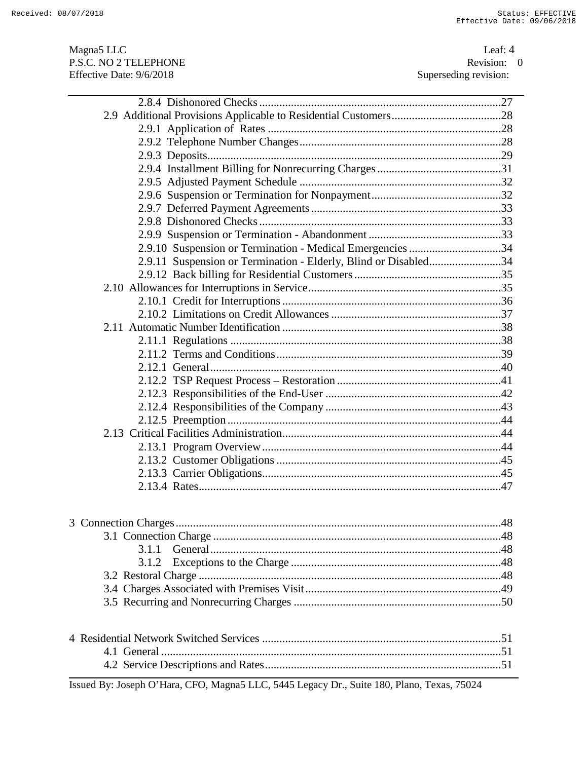Magna5 LLC<br>
P.S.C. NO 2 TELEPHONE<br>  $P.S.C.$  NO 2 TELEPHONE<br>  $Q$ P.S.C. NO 2 TELEPHONE Revision: Revision: 0.02 TELEPHONE Revision: 0.02 TELEPHONE Revision: 0.02 TELEPHONE Effective Date: 9/6/2018

| 2.9.10 Suspension or Termination - Medical Emergencies 34       |
|-----------------------------------------------------------------|
| 2.9.11 Suspension or Termination - Elderly, Blind or Disabled34 |
|                                                                 |
|                                                                 |
|                                                                 |
|                                                                 |
|                                                                 |
|                                                                 |
|                                                                 |
|                                                                 |
|                                                                 |
|                                                                 |
|                                                                 |
|                                                                 |
|                                                                 |
|                                                                 |
|                                                                 |
|                                                                 |
|                                                                 |
|                                                                 |
|                                                                 |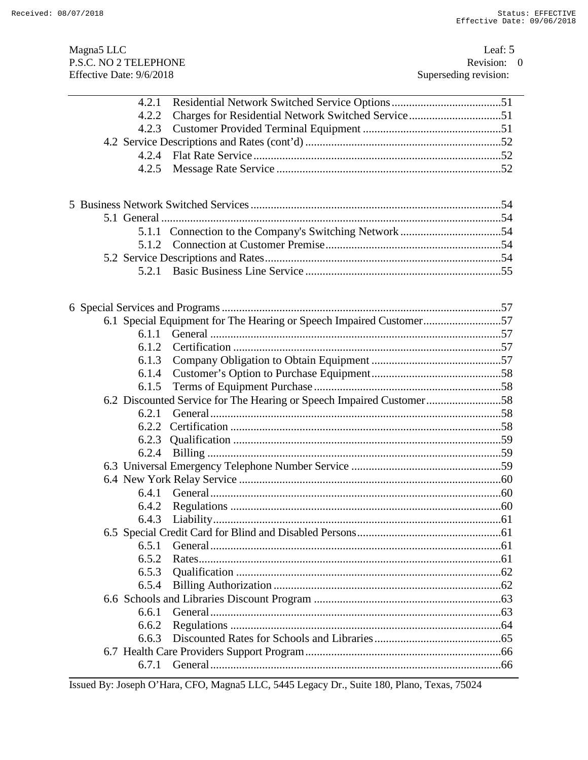| Magna <sub>5</sub> LLC<br>P.S.C. NO 2 TELEPHONE<br>Effective Date: 9/6/2018 |                                                                      | Leaf: $5$<br>Revision: 0<br>Superseding revision: |  |
|-----------------------------------------------------------------------------|----------------------------------------------------------------------|---------------------------------------------------|--|
| 4.2.1                                                                       |                                                                      |                                                   |  |
| 4.2.2                                                                       |                                                                      |                                                   |  |
| 4.2.3                                                                       |                                                                      |                                                   |  |
|                                                                             |                                                                      |                                                   |  |
| 4.2.4                                                                       |                                                                      |                                                   |  |
| 4.2.5                                                                       |                                                                      |                                                   |  |
|                                                                             |                                                                      |                                                   |  |
|                                                                             |                                                                      |                                                   |  |
|                                                                             |                                                                      |                                                   |  |
|                                                                             |                                                                      |                                                   |  |
|                                                                             |                                                                      |                                                   |  |
| 5.2.1                                                                       |                                                                      |                                                   |  |
|                                                                             |                                                                      |                                                   |  |
|                                                                             | 6.1 Special Equipment for The Hearing or Speech Impaired Customer57  |                                                   |  |
| 6.1.1                                                                       |                                                                      |                                                   |  |
| 6.1.2                                                                       |                                                                      |                                                   |  |
| 6.1.3                                                                       |                                                                      |                                                   |  |
| 6.1.4                                                                       |                                                                      |                                                   |  |
| 6.1.5                                                                       |                                                                      |                                                   |  |
|                                                                             | 6.2 Discounted Service for The Hearing or Speech Impaired Customer58 |                                                   |  |
| 6.2.1                                                                       |                                                                      |                                                   |  |
| 6.2.2                                                                       |                                                                      |                                                   |  |
| 6.2.3                                                                       |                                                                      |                                                   |  |
| 6.2.4                                                                       |                                                                      |                                                   |  |
|                                                                             |                                                                      |                                                   |  |
|                                                                             |                                                                      |                                                   |  |
| 6.4.1                                                                       |                                                                      |                                                   |  |
| 6.4.2                                                                       |                                                                      |                                                   |  |
| 6.4.3                                                                       |                                                                      |                                                   |  |
|                                                                             |                                                                      |                                                   |  |
| 6.5.1                                                                       |                                                                      |                                                   |  |
| 6.5.2                                                                       |                                                                      |                                                   |  |
| 6.5.3                                                                       |                                                                      |                                                   |  |
| 6.5.4                                                                       |                                                                      |                                                   |  |
|                                                                             |                                                                      |                                                   |  |
| 6.6.1                                                                       |                                                                      |                                                   |  |
| 6.6.2                                                                       |                                                                      |                                                   |  |
| 6.6.3                                                                       |                                                                      |                                                   |  |
| 6.7.1                                                                       |                                                                      |                                                   |  |
|                                                                             |                                                                      |                                                   |  |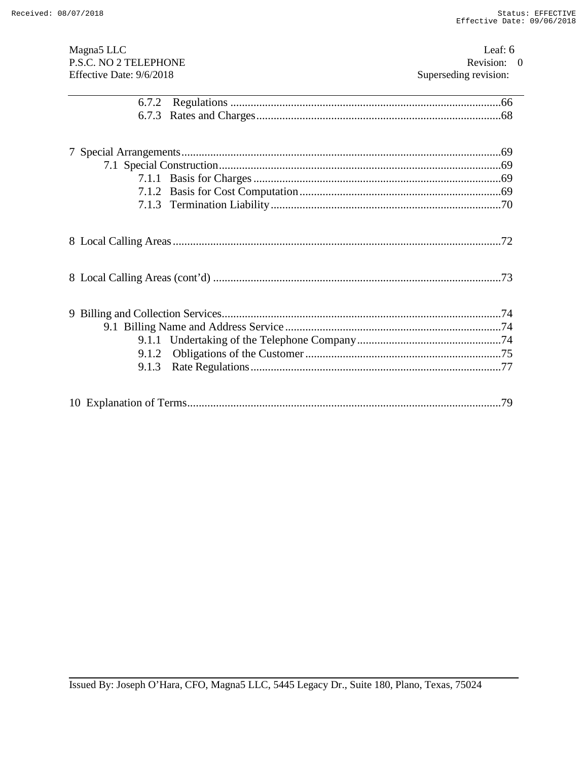| Magna <sub>5</sub> LLC<br>P.S.C. NO 2 TELEPHONE<br>Effective Date: 9/6/2018 | Leaf: $6$<br>Revision: 0<br>Superseding revision: |
|-----------------------------------------------------------------------------|---------------------------------------------------|
| 6.7.2                                                                       |                                                   |
|                                                                             |                                                   |
|                                                                             |                                                   |
|                                                                             |                                                   |
|                                                                             |                                                   |
|                                                                             |                                                   |
|                                                                             |                                                   |
|                                                                             |                                                   |
|                                                                             |                                                   |
|                                                                             |                                                   |
| 9.1.2                                                                       |                                                   |
| 9.1.3                                                                       |                                                   |
|                                                                             |                                                   |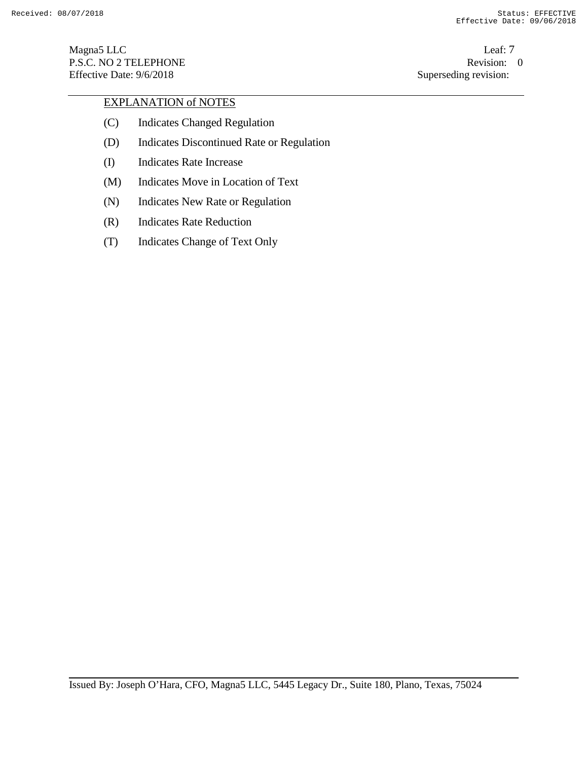Magna5 LLC Leaf: 7 P.S.C. NO 2 TELEPHONE Revision: 0<br>
Effective Date: 9/6/2018 Superseding revision: 0 Effective Date: 9/6/2018

# EXPLANATION of NOTES

- (C) Indicates Changed Regulation
- (D) Indicates Discontinued Rate or Regulation
- (I) Indicates Rate Increase
- (M) Indicates Move in Location of Text
- (N) Indicates New Rate or Regulation
- (R) Indicates Rate Reduction
- (T) Indicates Change of Text Only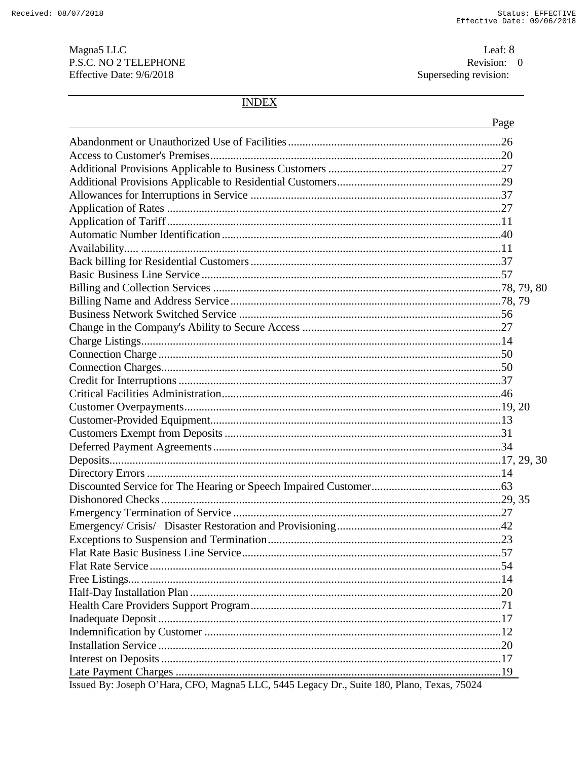Magna<sub>5</sub> LLC P.S.C. NO 2 TELEPHONE Effective Date: 9/6/2018

Leaf: 8 Revision: 0<br>Superseding revision:

# **INDEX**

|                                                                                            | Page |
|--------------------------------------------------------------------------------------------|------|
|                                                                                            |      |
|                                                                                            |      |
|                                                                                            |      |
|                                                                                            |      |
|                                                                                            |      |
|                                                                                            |      |
|                                                                                            |      |
|                                                                                            |      |
|                                                                                            |      |
|                                                                                            |      |
|                                                                                            |      |
|                                                                                            |      |
|                                                                                            |      |
|                                                                                            |      |
|                                                                                            |      |
|                                                                                            |      |
|                                                                                            |      |
|                                                                                            |      |
|                                                                                            |      |
|                                                                                            |      |
|                                                                                            |      |
|                                                                                            |      |
|                                                                                            |      |
|                                                                                            |      |
|                                                                                            |      |
|                                                                                            |      |
|                                                                                            |      |
|                                                                                            |      |
|                                                                                            |      |
|                                                                                            |      |
|                                                                                            |      |
|                                                                                            |      |
|                                                                                            |      |
|                                                                                            |      |
|                                                                                            |      |
|                                                                                            |      |
|                                                                                            |      |
|                                                                                            |      |
|                                                                                            |      |
|                                                                                            |      |
|                                                                                            |      |
| Issued By: Joseph O'Hara, CFO, Magna5 LLC, 5445 Legacy Dr., Suite 180, Plano, Texas, 75024 |      |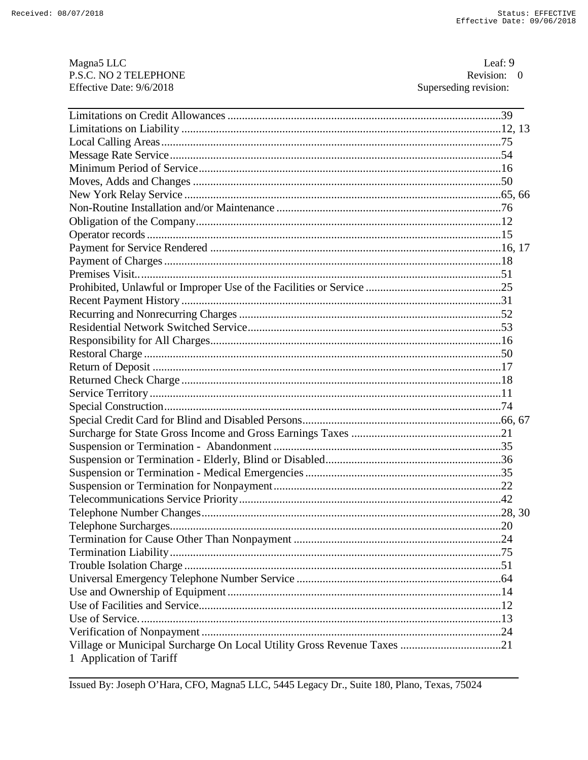| Magna <sub>5</sub> LLC<br>P.S.C. NO 2 TELEPHONE                        | Leaf: $9$<br>Revision: 0 |  |
|------------------------------------------------------------------------|--------------------------|--|
| Effective Date: 9/6/2018                                               | Superseding revision:    |  |
|                                                                        |                          |  |
|                                                                        |                          |  |
|                                                                        |                          |  |
|                                                                        |                          |  |
|                                                                        |                          |  |
|                                                                        |                          |  |
|                                                                        |                          |  |
|                                                                        |                          |  |
|                                                                        |                          |  |
|                                                                        |                          |  |
|                                                                        |                          |  |
|                                                                        |                          |  |
|                                                                        |                          |  |
|                                                                        |                          |  |
|                                                                        |                          |  |
|                                                                        |                          |  |
|                                                                        |                          |  |
|                                                                        |                          |  |
|                                                                        |                          |  |
|                                                                        |                          |  |
|                                                                        |                          |  |
|                                                                        |                          |  |
|                                                                        |                          |  |
|                                                                        |                          |  |
|                                                                        |                          |  |
|                                                                        |                          |  |
|                                                                        |                          |  |
|                                                                        |                          |  |
|                                                                        |                          |  |
|                                                                        |                          |  |
|                                                                        |                          |  |
|                                                                        |                          |  |
|                                                                        |                          |  |
|                                                                        |                          |  |
|                                                                        |                          |  |
|                                                                        |                          |  |
|                                                                        |                          |  |
|                                                                        |                          |  |
|                                                                        |                          |  |
|                                                                        |                          |  |
|                                                                        |                          |  |
| Village or Municipal Surcharge On Local Utility Gross Revenue Taxes 21 |                          |  |
| 1 Application of Tariff                                                |                          |  |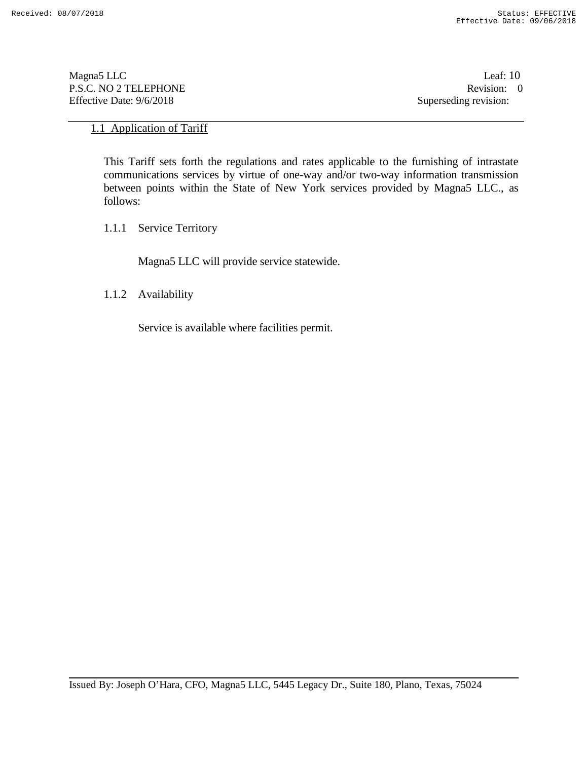Magna5 LLC Leaf: 10 P.S.C. NO 2 TELEPHONE Revision: 0<br>Effective Date: 9/6/2018 Superseding revision: 0 Effective Date: 9/6/2018

# 1.1 Application of Tariff

This Tariff sets forth the regulations and rates applicable to the furnishing of intrastate communications services by virtue of one-way and/or two-way information transmission between points within the State of New York services provided by Magna5 LLC., as follows:

1.1.1 Service Territory

Magna5 LLC will provide service statewide.

1.1.2 Availability

Service is available where facilities permit.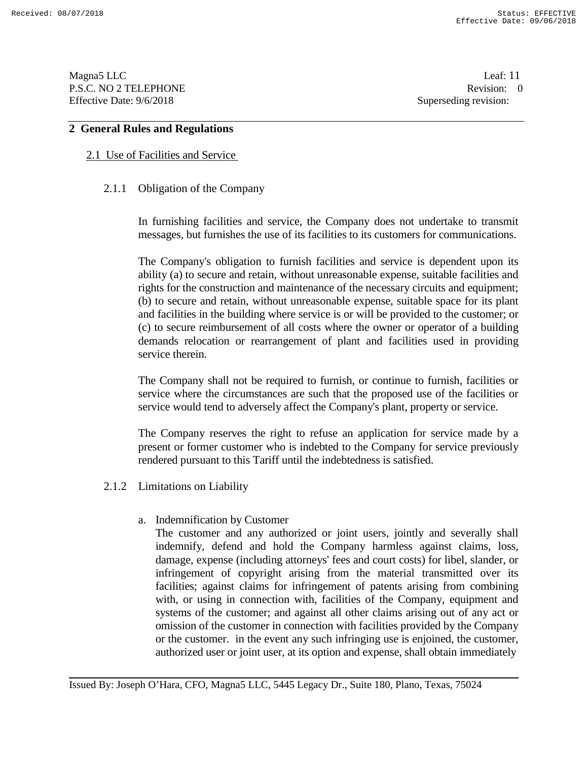Magna5 LLC Leaf: 11 P.S.C. NO 2 TELEPHONE Revision: 0<br>
Effective Date: 9/6/2018 Superseding revision: 0

Superseding revision:

# **2 General Rules and Regulations**

# 2.1 Use of Facilities and Service

# 2.1.1 Obligation of the Company

In furnishing facilities and service, the Company does not undertake to transmit messages, but furnishes the use of its facilities to its customers for communications.

The Company's obligation to furnish facilities and service is dependent upon its ability (a) to secure and retain, without unreasonable expense, suitable facilities and rights for the construction and maintenance of the necessary circuits and equipment; (b) to secure and retain, without unreasonable expense, suitable space for its plant and facilities in the building where service is or will be provided to the customer; or (c) to secure reimbursement of all costs where the owner or operator of a building demands relocation or rearrangement of plant and facilities used in providing service therein.

The Company shall not be required to furnish, or continue to furnish, facilities or service where the circumstances are such that the proposed use of the facilities or service would tend to adversely affect the Company's plant, property or service.

The Company reserves the right to refuse an application for service made by a present or former customer who is indebted to the Company for service previously rendered pursuant to this Tariff until the indebtedness is satisfied.

- 2.1.2 Limitations on Liability
	- a. Indemnification by Customer

The customer and any authorized or joint users, jointly and severally shall indemnify, defend and hold the Company harmless against claims, loss, damage, expense (including attorneys' fees and court costs) for libel, slander, or infringement of copyright arising from the material transmitted over its facilities; against claims for infringement of patents arising from combining with, or using in connection with, facilities of the Company, equipment and systems of the customer; and against all other claims arising out of any act or omission of the customer in connection with facilities provided by the Company or the customer. in the event any such infringing use is enjoined, the customer, authorized user or joint user, at its option and expense, shall obtain immediately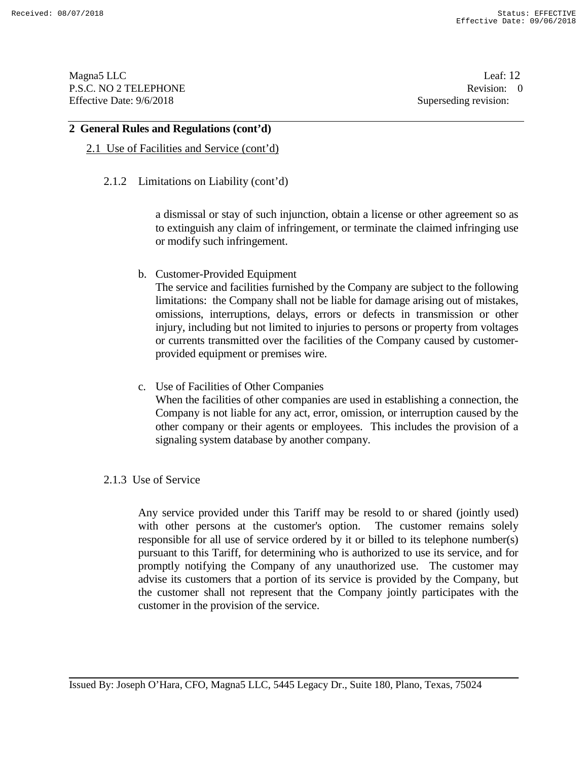Magna5 LLC Leaf: 12 P.S.C. NO 2 TELEPHONE Revision: 0<br>Effective Date: 9/6/2018 Superseding revision: 0 Effective Date: 9/6/2018

#### **2 General Rules and Regulations (cont'd)**

# 2.1 Use of Facilities and Service (cont'd)

# 2.1.2 Limitations on Liability (cont'd)

a dismissal or stay of such injunction, obtain a license or other agreement so as to extinguish any claim of infringement, or terminate the claimed infringing use or modify such infringement.

b. Customer-Provided Equipment

The service and facilities furnished by the Company are subject to the following limitations: the Company shall not be liable for damage arising out of mistakes, omissions, interruptions, delays, errors or defects in transmission or other injury, including but not limited to injuries to persons or property from voltages or currents transmitted over the facilities of the Company caused by customerprovided equipment or premises wire.

c. Use of Facilities of Other Companies When the facilities of other companies are used in establishing a connection, the Company is not liable for any act, error, omission, or interruption caused by the other company or their agents or employees. This includes the provision of a signaling system database by another company.

# 2.1.3 Use of Service

Any service provided under this Tariff may be resold to or shared (jointly used) with other persons at the customer's option. The customer remains solely responsible for all use of service ordered by it or billed to its telephone number(s) pursuant to this Tariff, for determining who is authorized to use its service, and for promptly notifying the Company of any unauthorized use. The customer may advise its customers that a portion of its service is provided by the Company, but the customer shall not represent that the Company jointly participates with the customer in the provision of the service.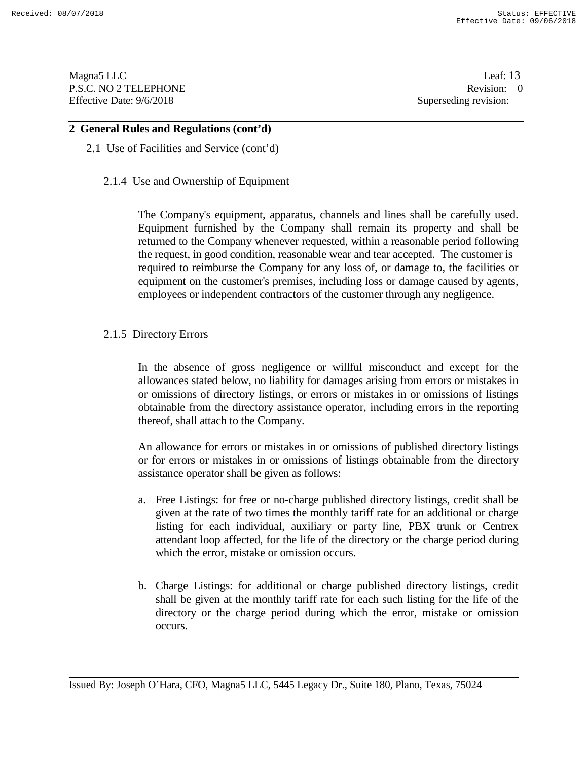Magna5 LLC Leaf: 13 P.S.C. NO 2 TELEPHONE Revision: 0<br>Effective Date: 9/6/2018 Superseding revision: 0 Effective Date: 9/6/2018

# **2 General Rules and Regulations (cont'd)**

# 2.1 Use of Facilities and Service (cont'd)

# 2.1.4 Use and Ownership of Equipment

The Company's equipment, apparatus, channels and lines shall be carefully used. Equipment furnished by the Company shall remain its property and shall be returned to the Company whenever requested, within a reasonable period following the request, in good condition, reasonable wear and tear accepted. The customer is required to reimburse the Company for any loss of, or damage to, the facilities or equipment on the customer's premises, including loss or damage caused by agents, employees or independent contractors of the customer through any negligence.

# 2.1.5 Directory Errors

In the absence of gross negligence or willful misconduct and except for the allowances stated below, no liability for damages arising from errors or mistakes in or omissions of directory listings, or errors or mistakes in or omissions of listings obtainable from the directory assistance operator, including errors in the reporting thereof, shall attach to the Company.

An allowance for errors or mistakes in or omissions of published directory listings or for errors or mistakes in or omissions of listings obtainable from the directory assistance operator shall be given as follows:

- a. Free Listings: for free or no-charge published directory listings, credit shall be given at the rate of two times the monthly tariff rate for an additional or charge listing for each individual, auxiliary or party line, PBX trunk or Centrex attendant loop affected, for the life of the directory or the charge period during which the error, mistake or omission occurs.
- b. Charge Listings: for additional or charge published directory listings, credit shall be given at the monthly tariff rate for each such listing for the life of the directory or the charge period during which the error, mistake or omission occurs.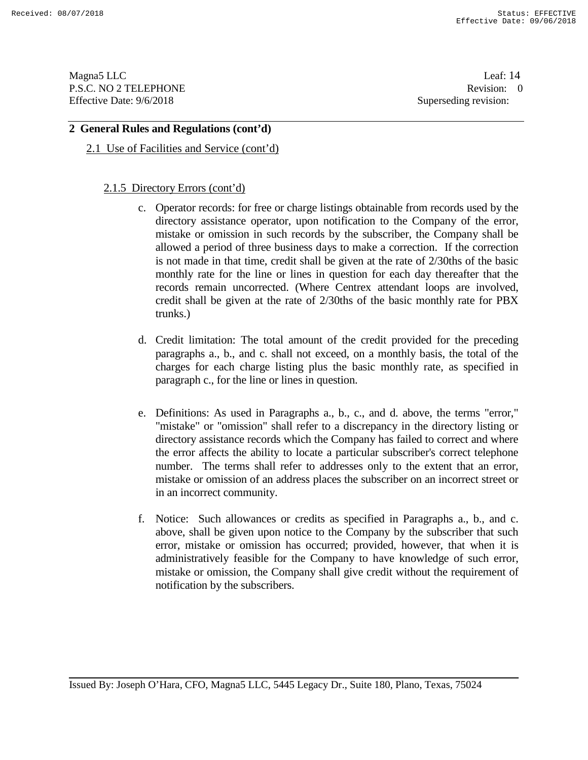Magna5 LLC Leaf: 14 P.S.C. NO 2 TELEPHONE Revision: 0<br>Effective Date: 9/6/2018 Superseding revision: 0 Effective Date: 9/6/2018

# **2 General Rules and Regulations (cont'd)**

2.1 Use of Facilities and Service (cont'd)

# 2.1.5 Directory Errors (cont'd)

- c. Operator records: for free or charge listings obtainable from records used by the directory assistance operator, upon notification to the Company of the error, mistake or omission in such records by the subscriber, the Company shall be allowed a period of three business days to make a correction. If the correction is not made in that time, credit shall be given at the rate of 2/30ths of the basic monthly rate for the line or lines in question for each day thereafter that the records remain uncorrected. (Where Centrex attendant loops are involved, credit shall be given at the rate of 2/30ths of the basic monthly rate for PBX trunks.)
- d. Credit limitation: The total amount of the credit provided for the preceding paragraphs a., b., and c. shall not exceed, on a monthly basis, the total of the charges for each charge listing plus the basic monthly rate, as specified in paragraph c., for the line or lines in question.
- e. Definitions: As used in Paragraphs a., b., c., and d. above, the terms "error," "mistake" or "omission" shall refer to a discrepancy in the directory listing or directory assistance records which the Company has failed to correct and where the error affects the ability to locate a particular subscriber's correct telephone number. The terms shall refer to addresses only to the extent that an error, mistake or omission of an address places the subscriber on an incorrect street or in an incorrect community.
- f. Notice: Such allowances or credits as specified in Paragraphs a., b., and c. above, shall be given upon notice to the Company by the subscriber that such error, mistake or omission has occurred; provided, however, that when it is administratively feasible for the Company to have knowledge of such error, mistake or omission, the Company shall give credit without the requirement of notification by the subscribers.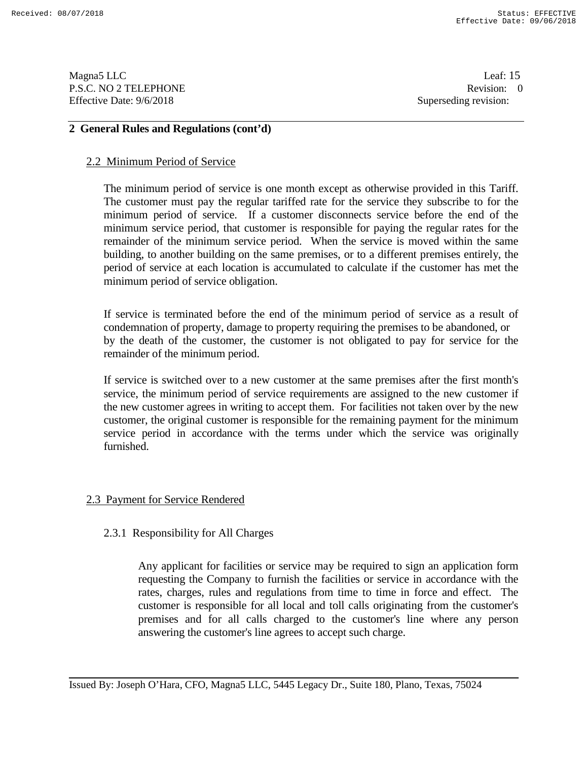Magna5 LLC Leaf: 15 P.S.C. NO 2 TELEPHONE Revision: 0<br>
Effective Date: 9/6/2018 Superseding revision: 0

Superseding revision:

# **2 General Rules and Regulations (cont'd)**

#### 2.2 Minimum Period of Service

The minimum period of service is one month except as otherwise provided in this Tariff. The customer must pay the regular tariffed rate for the service they subscribe to for the minimum period of service. If a customer disconnects service before the end of the minimum service period, that customer is responsible for paying the regular rates for the remainder of the minimum service period. When the service is moved within the same building, to another building on the same premises, or to a different premises entirely, the period of service at each location is accumulated to calculate if the customer has met the minimum period of service obligation.

If service is terminated before the end of the minimum period of service as a result of condemnation of property, damage to property requiring the premises to be abandoned, or by the death of the customer, the customer is not obligated to pay for service for the remainder of the minimum period.

If service is switched over to a new customer at the same premises after the first month's service, the minimum period of service requirements are assigned to the new customer if the new customer agrees in writing to accept them. For facilities not taken over by the new customer, the original customer is responsible for the remaining payment for the minimum service period in accordance with the terms under which the service was originally furnished.

# 2.3 Payment for Service Rendered

# 2.3.1 Responsibility for All Charges

Any applicant for facilities or service may be required to sign an application form requesting the Company to furnish the facilities or service in accordance with the rates, charges, rules and regulations from time to time in force and effect. The customer is responsible for all local and toll calls originating from the customer's premises and for all calls charged to the customer's line where any person answering the customer's line agrees to accept such charge.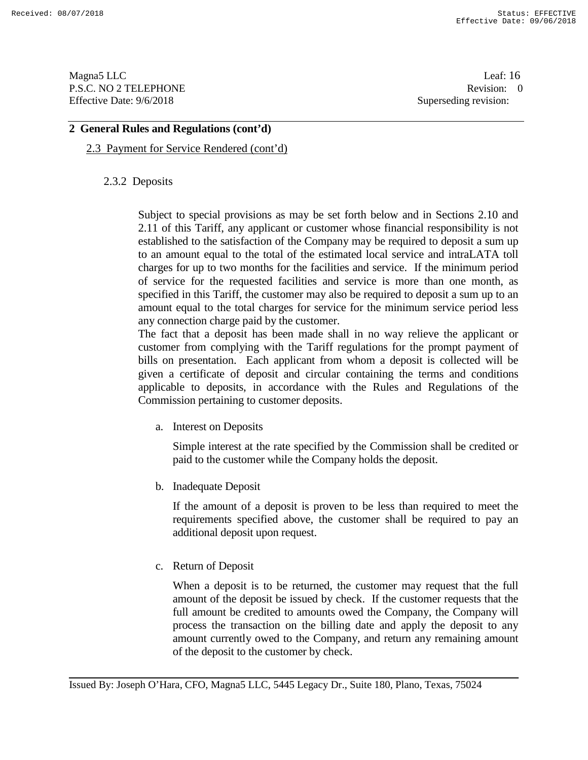Magna5 LLC Leaf: 16 P.S.C. NO 2 TELEPHONE Revision: 0<br>Effective Date: 9/6/2018 Superseding revision: 0 Effective Date: 9/6/2018

# **2 General Rules and Regulations (cont'd)**

# 2.3 Payment for Service Rendered (cont'd)

# 2.3.2 Deposits

Subject to special provisions as may be set forth below and in Sections 2.10 and 2.11 of this Tariff, any applicant or customer whose financial responsibility is not established to the satisfaction of the Company may be required to deposit a sum up to an amount equal to the total of the estimated local service and intraLATA toll charges for up to two months for the facilities and service. If the minimum period of service for the requested facilities and service is more than one month, as specified in this Tariff, the customer may also be required to deposit a sum up to an amount equal to the total charges for service for the minimum service period less any connection charge paid by the customer.

The fact that a deposit has been made shall in no way relieve the applicant or customer from complying with the Tariff regulations for the prompt payment of bills on presentation. Each applicant from whom a deposit is collected will be given a certificate of deposit and circular containing the terms and conditions applicable to deposits, in accordance with the Rules and Regulations of the Commission pertaining to customer deposits.

a. Interest on Deposits

Simple interest at the rate specified by the Commission shall be credited or paid to the customer while the Company holds the deposit.

b. Inadequate Deposit

If the amount of a deposit is proven to be less than required to meet the requirements specified above, the customer shall be required to pay an additional deposit upon request.

c. Return of Deposit

When a deposit is to be returned, the customer may request that the full amount of the deposit be issued by check. If the customer requests that the full amount be credited to amounts owed the Company, the Company will process the transaction on the billing date and apply the deposit to any amount currently owed to the Company, and return any remaining amount of the deposit to the customer by check.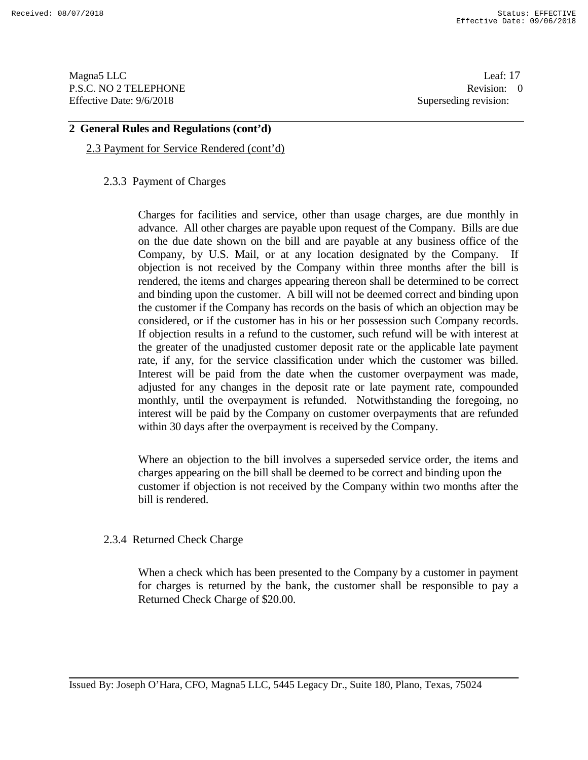Magna5 LLC Leaf: 17 P.S.C. NO 2 TELEPHONE Revision: 0<br>Effective Date: 9/6/2018 Superseding revision: 0 Effective Date: 9/6/2018

## **2 General Rules and Regulations (cont'd)**

# 2.3 Payment for Service Rendered (cont'd)

## 2.3.3 Payment of Charges

Charges for facilities and service, other than usage charges, are due monthly in advance. All other charges are payable upon request of the Company. Bills are due on the due date shown on the bill and are payable at any business office of the Company, by U.S. Mail, or at any location designated by the Company. If objection is not received by the Company within three months after the bill is rendered, the items and charges appearing thereon shall be determined to be correct and binding upon the customer. A bill will not be deemed correct and binding upon the customer if the Company has records on the basis of which an objection may be considered, or if the customer has in his or her possession such Company records. If objection results in a refund to the customer, such refund will be with interest at the greater of the unadjusted customer deposit rate or the applicable late payment rate, if any, for the service classification under which the customer was billed. Interest will be paid from the date when the customer overpayment was made, adjusted for any changes in the deposit rate or late payment rate, compounded monthly, until the overpayment is refunded. Notwithstanding the foregoing, no interest will be paid by the Company on customer overpayments that are refunded within 30 days after the overpayment is received by the Company.

Where an objection to the bill involves a superseded service order, the items and charges appearing on the bill shall be deemed to be correct and binding upon the customer if objection is not received by the Company within two months after the bill is rendered.

# 2.3.4 Returned Check Charge

When a check which has been presented to the Company by a customer in payment for charges is returned by the bank, the customer shall be responsible to pay a Returned Check Charge of \$20.00.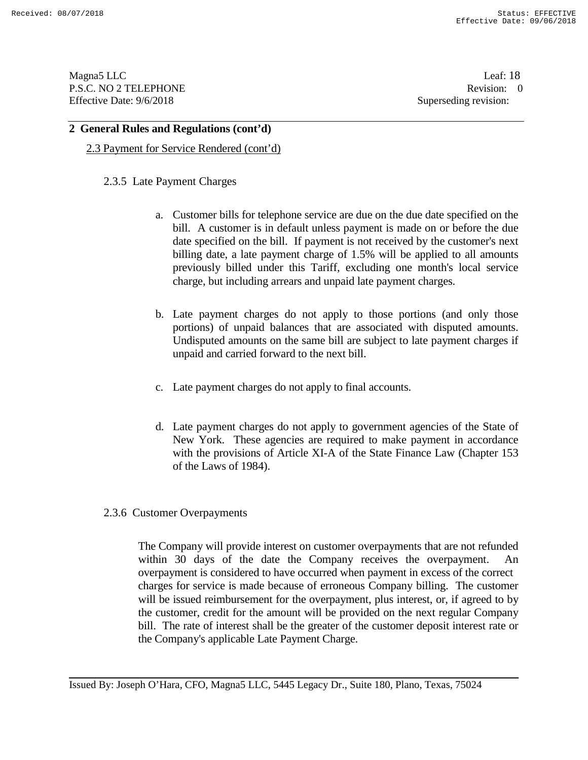Magna5 LLC Leaf: 18 P.S.C. NO 2 TELEPHONE Revision: 0<br>Effective Date: 9/6/2018 Superseding revision: 0 Effective Date: 9/6/2018

#### **2 General Rules and Regulations (cont'd)**

2.3 Payment for Service Rendered (cont'd)

#### 2.3.5 Late Payment Charges

- a. Customer bills for telephone service are due on the due date specified on the bill. A customer is in default unless payment is made on or before the due date specified on the bill. If payment is not received by the customer's next billing date, a late payment charge of 1.5% will be applied to all amounts previously billed under this Tariff, excluding one month's local service charge, but including arrears and unpaid late payment charges.
- b. Late payment charges do not apply to those portions (and only those portions) of unpaid balances that are associated with disputed amounts. Undisputed amounts on the same bill are subject to late payment charges if unpaid and carried forward to the next bill.
- c. Late payment charges do not apply to final accounts.
- d. Late payment charges do not apply to government agencies of the State of New York. These agencies are required to make payment in accordance with the provisions of Article XI-A of the State Finance Law (Chapter 153 of the Laws of 1984).

#### 2.3.6 Customer Overpayments

The Company will provide interest on customer overpayments that are not refunded within 30 days of the date the Company receives the overpayment. overpayment is considered to have occurred when payment in excess of the correct charges for service is made because of erroneous Company billing. The customer will be issued reimbursement for the overpayment, plus interest, or, if agreed to by the customer, credit for the amount will be provided on the next regular Company bill. The rate of interest shall be the greater of the customer deposit interest rate or the Company's applicable Late Payment Charge.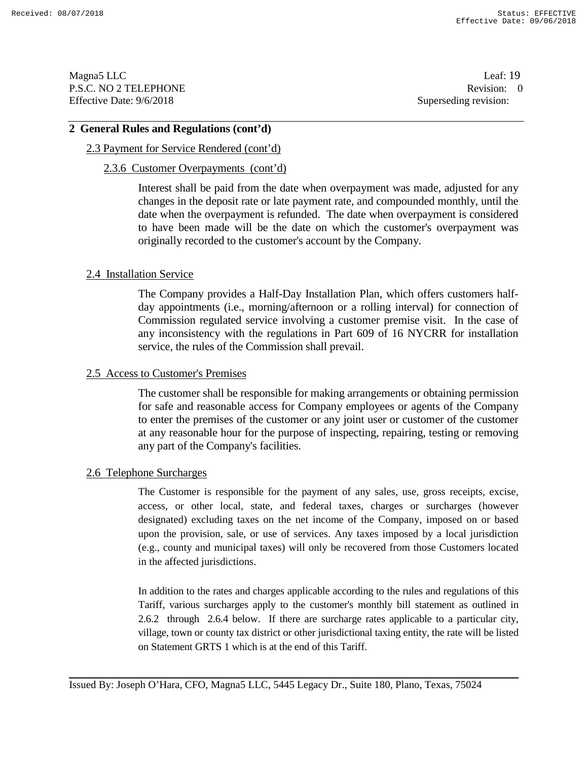Magna5 LLC Leaf: 19 P.S.C. NO 2 TELEPHONE Revision: 0<br>
Effective Date: 9/6/2018 Superseding revision: 0

Superseding revision:

## **2 General Rules and Regulations (cont'd)**

# 2.3 Payment for Service Rendered (cont'd)

#### 2.3.6 Customer Overpayments (cont'd)

Interest shall be paid from the date when overpayment was made, adjusted for any changes in the deposit rate or late payment rate, and compounded monthly, until the date when the overpayment is refunded. The date when overpayment is considered to have been made will be the date on which the customer's overpayment was originally recorded to the customer's account by the Company.

## 2.4 Installation Service

The Company provides a Half-Day Installation Plan, which offers customers halfday appointments (i.e., morning/afternoon or a rolling interval) for connection of Commission regulated service involving a customer premise visit. In the case of any inconsistency with the regulations in Part 609 of 16 NYCRR for installation service, the rules of the Commission shall prevail.

#### 2.5 Access to Customer's Premises

The customer shall be responsible for making arrangements or obtaining permission for safe and reasonable access for Company employees or agents of the Company to enter the premises of the customer or any joint user or customer of the customer at any reasonable hour for the purpose of inspecting, repairing, testing or removing any part of the Company's facilities.

#### 2.6 Telephone Surcharges

The Customer is responsible for the payment of any sales, use, gross receipts, excise, access, or other local, state, and federal taxes, charges or surcharges (however designated) excluding taxes on the net income of the Company, imposed on or based upon the provision, sale, or use of services. Any taxes imposed by a local jurisdiction (e.g., county and municipal taxes) will only be recovered from those Customers located in the affected jurisdictions.

In addition to the rates and charges applicable according to the rules and regulations of this Tariff, various surcharges apply to the customer's monthly bill statement as outlined in 2.6.2 through 2.6.4 below. If there are surcharge rates applicable to a particular city, village, town or county tax district or other jurisdictional taxing entity, the rate will be listed on Statement GRTS 1 which is at the end of this Tariff.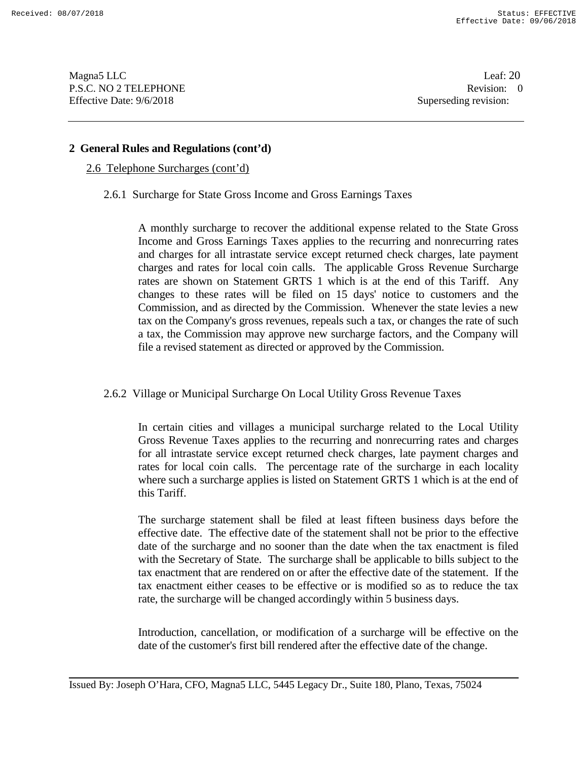Magna5 LLC Leaf: 20 P.S.C. NO 2 TELEPHONE Revision: 0<br>Effective Date: 9/6/2018 Superseding revision: 0 Effective Date: 9/6/2018

# **2 General Rules and Regulations (cont'd)**

2.6 Telephone Surcharges (cont'd)

2.6.1 Surcharge for State Gross Income and Gross Earnings Taxes

A monthly surcharge to recover the additional expense related to the State Gross Income and Gross Earnings Taxes applies to the recurring and nonrecurring rates and charges for all intrastate service except returned check charges, late payment charges and rates for local coin calls. The applicable Gross Revenue Surcharge rates are shown on Statement GRTS 1 which is at the end of this Tariff. Any changes to these rates will be filed on 15 days' notice to customers and the Commission, and as directed by the Commission. Whenever the state levies a new tax on the Company's gross revenues, repeals such a tax, or changes the rate of such a tax, the Commission may approve new surcharge factors, and the Company will file a revised statement as directed or approved by the Commission.

# 2.6.2 Village or Municipal Surcharge On Local Utility Gross Revenue Taxes

In certain cities and villages a municipal surcharge related to the Local Utility Gross Revenue Taxes applies to the recurring and nonrecurring rates and charges for all intrastate service except returned check charges, late payment charges and rates for local coin calls. The percentage rate of the surcharge in each locality where such a surcharge applies is listed on Statement GRTS 1 which is at the end of this Tariff.

The surcharge statement shall be filed at least fifteen business days before the effective date. The effective date of the statement shall not be prior to the effective date of the surcharge and no sooner than the date when the tax enactment is filed with the Secretary of State. The surcharge shall be applicable to bills subject to the tax enactment that are rendered on or after the effective date of the statement. If the tax enactment either ceases to be effective or is modified so as to reduce the tax rate, the surcharge will be changed accordingly within 5 business days.

Introduction, cancellation, or modification of a surcharge will be effective on the date of the customer's first bill rendered after the effective date of the change.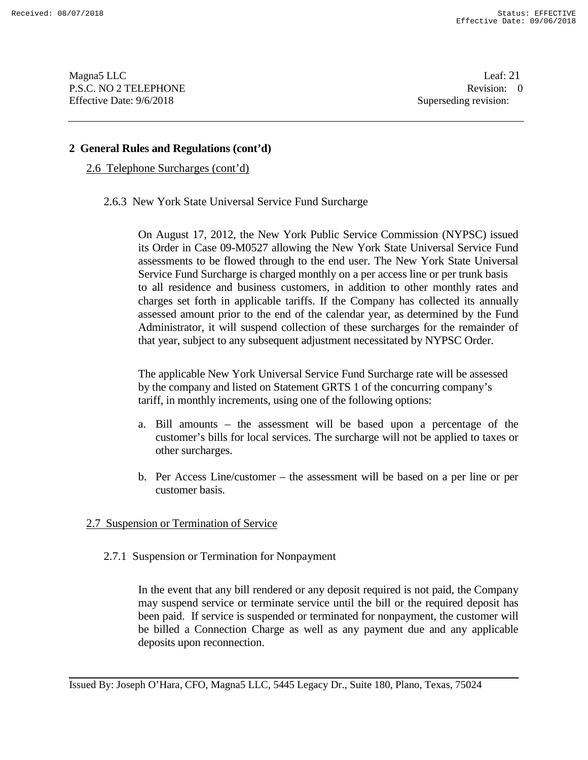Magna5 LLC Leaf: 21 P.S.C. NO 2 TELEPHONE Revision: 0<br>Effective Date: 9/6/2018 Superseding revision: 0 Effective Date: 9/6/2018

# **2 General Rules and Regulations (cont'd)**

2.6 Telephone Surcharges (cont'd)

2.6.3 New York State Universal Service Fund Surcharge

On August 17, 2012, the New York Public Service Commission (NYPSC) issued its Order in Case 09-M0527 allowing the New York State Universal Service Fund assessments to be flowed through to the end user. The New York State Universal Service Fund Surcharge is charged monthly on a per access line or per trunk basis to all residence and business customers, in addition to other monthly rates and charges set forth in applicable tariffs. If the Company has collected its annually assessed amount prior to the end of the calendar year, as determined by the Fund Administrator, it will suspend collection of these surcharges for the remainder of that year, subject to any subsequent adjustment necessitated by NYPSC Order.

The applicable New York Universal Service Fund Surcharge rate will be assessed by the company and listed on Statement GRTS 1 of the concurring company's tariff, in monthly increments, using one of the following options:

- a. Bill amounts the assessment will be based upon a percentage of the customer's bills for local services. The surcharge will not be applied to taxes or other surcharges.
- b. Per Access Line/customer the assessment will be based on a per line or per customer basis.

# 2.7 Suspension or Termination of Service

2.7.1 Suspension or Termination for Nonpayment

In the event that any bill rendered or any deposit required is not paid, the Company may suspend service or terminate service until the bill or the required deposit has been paid. If service is suspended or terminated for nonpayment, the customer will be billed a Connection Charge as well as any payment due and any applicable deposits upon reconnection.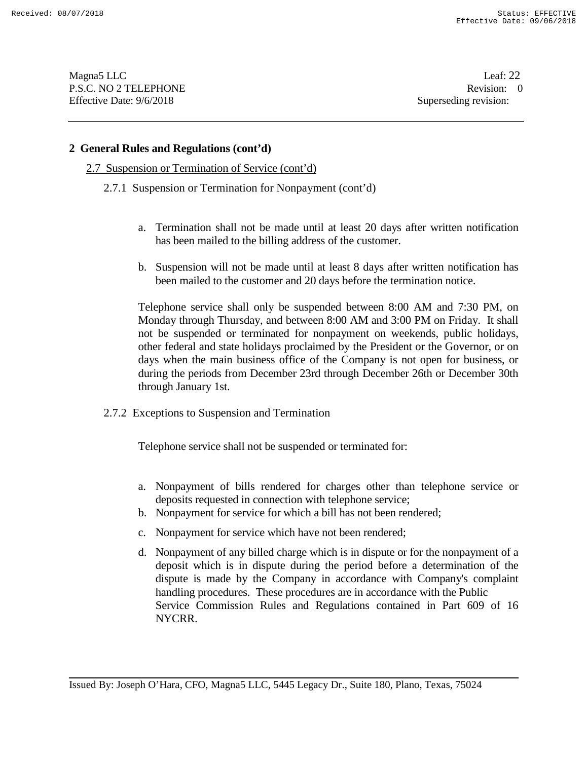Magna5 LLC Leaf: 22 P.S.C. NO 2 TELEPHONE Revision: 0<br>Effective Date: 9/6/2018 Superseding revision: 0 Effective Date: 9/6/2018

## **2 General Rules and Regulations (cont'd)**

- 2.7 Suspension or Termination of Service (cont'd)
	- 2.7.1 Suspension or Termination for Nonpayment (cont'd)
		- a. Termination shall not be made until at least 20 days after written notification has been mailed to the billing address of the customer.
		- b. Suspension will not be made until at least 8 days after written notification has been mailed to the customer and 20 days before the termination notice.

Telephone service shall only be suspended between 8:00 AM and 7:30 PM, on Monday through Thursday, and between 8:00 AM and 3:00 PM on Friday. It shall not be suspended or terminated for nonpayment on weekends, public holidays, other federal and state holidays proclaimed by the President or the Governor, or on days when the main business office of the Company is not open for business, or during the periods from December 23rd through December 26th or December 30th through January 1st.

2.7.2 Exceptions to Suspension and Termination

Telephone service shall not be suspended or terminated for:

- a. Nonpayment of bills rendered for charges other than telephone service or deposits requested in connection with telephone service;
- b. Nonpayment for service for which a bill has not been rendered;
- c. Nonpayment for service which have not been rendered;
- d. Nonpayment of any billed charge which is in dispute or for the nonpayment of a deposit which is in dispute during the period before a determination of the dispute is made by the Company in accordance with Company's complaint handling procedures. These procedures are in accordance with the Public Service Commission Rules and Regulations contained in Part 609 of 16 NYCRR.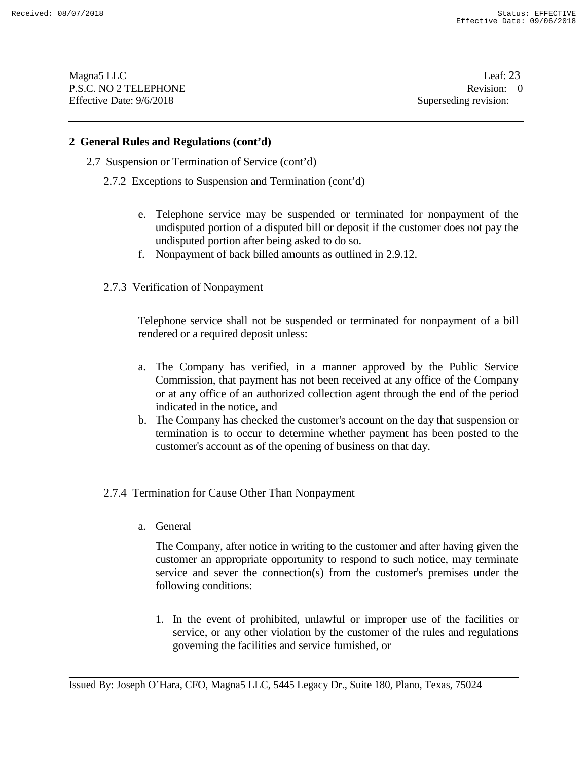Magna5 LLC Leaf: 23 P.S.C. NO 2 TELEPHONE Revision: 0<br>Effective Date: 9/6/2018 Superseding revision: 0 Effective Date: 9/6/2018

## **2 General Rules and Regulations (cont'd)**

- 2.7 Suspension or Termination of Service (cont'd)
	- 2.7.2 Exceptions to Suspension and Termination (cont'd)
		- e. Telephone service may be suspended or terminated for nonpayment of the undisputed portion of a disputed bill or deposit if the customer does not pay the undisputed portion after being asked to do so.
		- f. Nonpayment of back billed amounts as outlined in 2.9.12.
	- 2.7.3 Verification of Nonpayment

Telephone service shall not be suspended or terminated for nonpayment of a bill rendered or a required deposit unless:

- a. The Company has verified, in a manner approved by the Public Service Commission, that payment has not been received at any office of the Company or at any office of an authorized collection agent through the end of the period indicated in the notice, and
- b. The Company has checked the customer's account on the day that suspension or termination is to occur to determine whether payment has been posted to the customer's account as of the opening of business on that day.
- 2.7.4 Termination for Cause Other Than Nonpayment
	- a. General

The Company, after notice in writing to the customer and after having given the customer an appropriate opportunity to respond to such notice, may terminate service and sever the connection(s) from the customer's premises under the following conditions:

1. In the event of prohibited, unlawful or improper use of the facilities or service, or any other violation by the customer of the rules and regulations governing the facilities and service furnished, or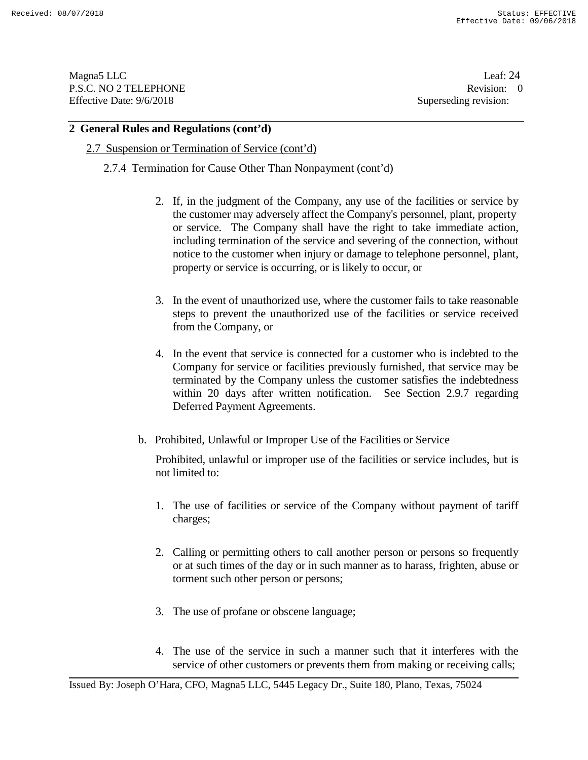Magna5 LLC Leaf: 24 P.S.C. NO 2 TELEPHONE Revision: 0<br>Effective Date: 9/6/2018 Superseding revision: 0 Effective Date: 9/6/2018

# **2 General Rules and Regulations (cont'd)**

#### 2.7 Suspension or Termination of Service (cont'd)

2.7.4 Termination for Cause Other Than Nonpayment (cont'd)

- 2. If, in the judgment of the Company, any use of the facilities or service by the customer may adversely affect the Company's personnel, plant, property or service. The Company shall have the right to take immediate action, including termination of the service and severing of the connection, without notice to the customer when injury or damage to telephone personnel, plant, property or service is occurring, or is likely to occur, or
- 3. In the event of unauthorized use, where the customer fails to take reasonable steps to prevent the unauthorized use of the facilities or service received from the Company, or
- 4. In the event that service is connected for a customer who is indebted to the Company for service or facilities previously furnished, that service may be terminated by the Company unless the customer satisfies the indebtedness within 20 days after written notification. See Section 2.9.7 regarding Deferred Payment Agreements.
- b. Prohibited, Unlawful or Improper Use of the Facilities or Service

Prohibited, unlawful or improper use of the facilities or service includes, but is not limited to:

- 1. The use of facilities or service of the Company without payment of tariff charges;
- 2. Calling or permitting others to call another person or persons so frequently or at such times of the day or in such manner as to harass, frighten, abuse or torment such other person or persons;
- 3. The use of profane or obscene language;
- 4. The use of the service in such a manner such that it interferes with the service of other customers or prevents them from making or receiving calls;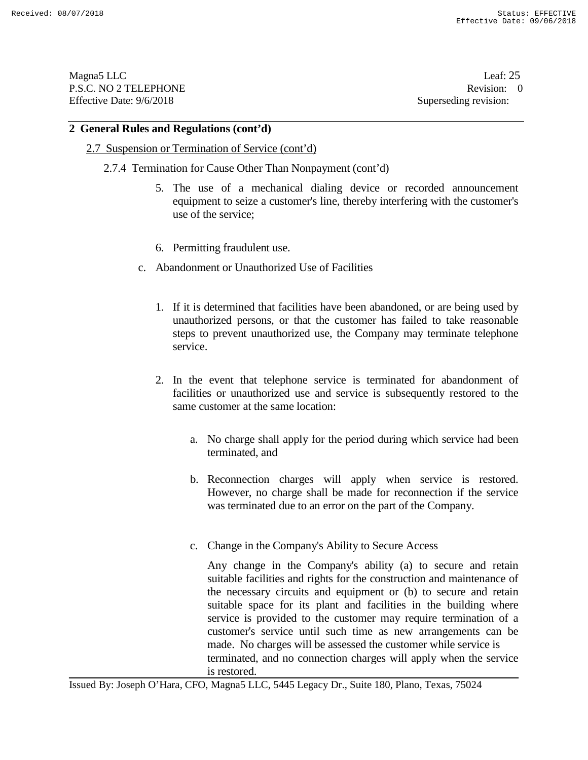Magna5 LLC Leaf: 25 P.S.C. NO 2 TELEPHONE Revision: 0<br>Effective Date: 9/6/2018 Superseding revision: 0 Effective Date: 9/6/2018

#### **2 General Rules and Regulations (cont'd)**

#### 2.7 Suspension or Termination of Service (cont'd)

- 2.7.4 Termination for Cause Other Than Nonpayment (cont'd)
	- 5. The use of a mechanical dialing device or recorded announcement equipment to seize a customer's line, thereby interfering with the customer's use of the service;
	- 6. Permitting fraudulent use.
	- c. Abandonment or Unauthorized Use of Facilities
		- 1. If it is determined that facilities have been abandoned, or are being used by unauthorized persons, or that the customer has failed to take reasonable steps to prevent unauthorized use, the Company may terminate telephone service.
		- 2. In the event that telephone service is terminated for abandonment of facilities or unauthorized use and service is subsequently restored to the same customer at the same location:
			- a. No charge shall apply for the period during which service had been terminated, and
			- b. Reconnection charges will apply when service is restored. However, no charge shall be made for reconnection if the service was terminated due to an error on the part of the Company.
			- c. Change in the Company's Ability to Secure Access

Any change in the Company's ability (a) to secure and retain suitable facilities and rights for the construction and maintenance of the necessary circuits and equipment or (b) to secure and retain suitable space for its plant and facilities in the building where service is provided to the customer may require termination of a customer's service until such time as new arrangements can be made. No charges will be assessed the customer while service is terminated, and no connection charges will apply when the service is restored.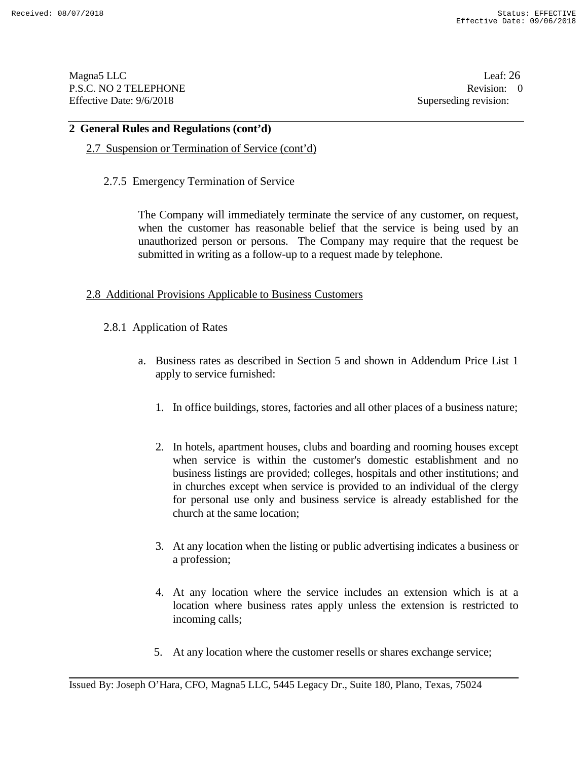Magna5 LLC Leaf: 26 P.S.C. NO 2 TELEPHONE Revision: 0<br>Effective Date: 9/6/2018 Superseding revision: 0 Effective Date: 9/6/2018

## **2 General Rules and Regulations (cont'd)**

# 2.7 Suspension or Termination of Service (cont'd)

2.7.5 Emergency Termination of Service

The Company will immediately terminate the service of any customer, on request, when the customer has reasonable belief that the service is being used by an unauthorized person or persons. The Company may require that the request be submitted in writing as a follow-up to a request made by telephone.

## 2.8 Additional Provisions Applicable to Business Customers

- 2.8.1 Application of Rates
	- a. Business rates as described in Section 5 and shown in Addendum Price List 1 apply to service furnished:
		- 1. In office buildings, stores, factories and all other places of a business nature;
		- 2. In hotels, apartment houses, clubs and boarding and rooming houses except when service is within the customer's domestic establishment and no business listings are provided; colleges, hospitals and other institutions; and in churches except when service is provided to an individual of the clergy for personal use only and business service is already established for the church at the same location;
		- 3. At any location when the listing or public advertising indicates a business or a profession;
		- 4. At any location where the service includes an extension which is at a location where business rates apply unless the extension is restricted to incoming calls;
		- 5. At any location where the customer resells or shares exchange service;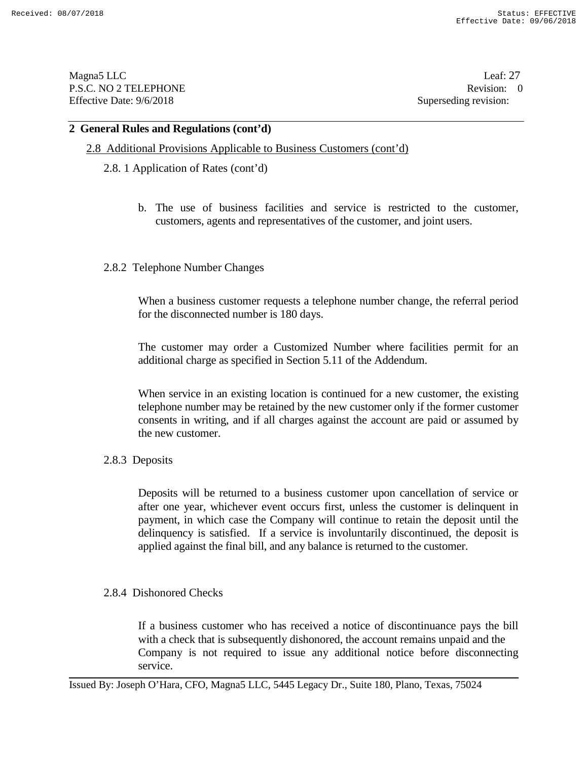Magna5 LLC Leaf: 27 P.S.C. NO 2 TELEPHONE Revision: 0<br>Effective Date: 9/6/2018 Superseding revision: 0 Effective Date: 9/6/2018

#### **2 General Rules and Regulations (cont'd)**

# 2.8 Additional Provisions Applicable to Business Customers (cont'd)

- 2.8. 1 Application of Rates (cont'd)
	- b. The use of business facilities and service is restricted to the customer, customers, agents and representatives of the customer, and joint users.
- 2.8.2 Telephone Number Changes

When a business customer requests a telephone number change, the referral period for the disconnected number is 180 days.

The customer may order a Customized Number where facilities permit for an additional charge as specified in Section 5.11 of the Addendum.

When service in an existing location is continued for a new customer, the existing telephone number may be retained by the new customer only if the former customer consents in writing, and if all charges against the account are paid or assumed by the new customer.

#### 2.8.3 Deposits

Deposits will be returned to a business customer upon cancellation of service or after one year, whichever event occurs first, unless the customer is delinquent in payment, in which case the Company will continue to retain the deposit until the delinquency is satisfied. If a service is involuntarily discontinued, the deposit is applied against the final bill, and any balance is returned to the customer.

#### 2.8.4 Dishonored Checks

If a business customer who has received a notice of discontinuance pays the bill with a check that is subsequently dishonored, the account remains unpaid and the Company is not required to issue any additional notice before disconnecting service.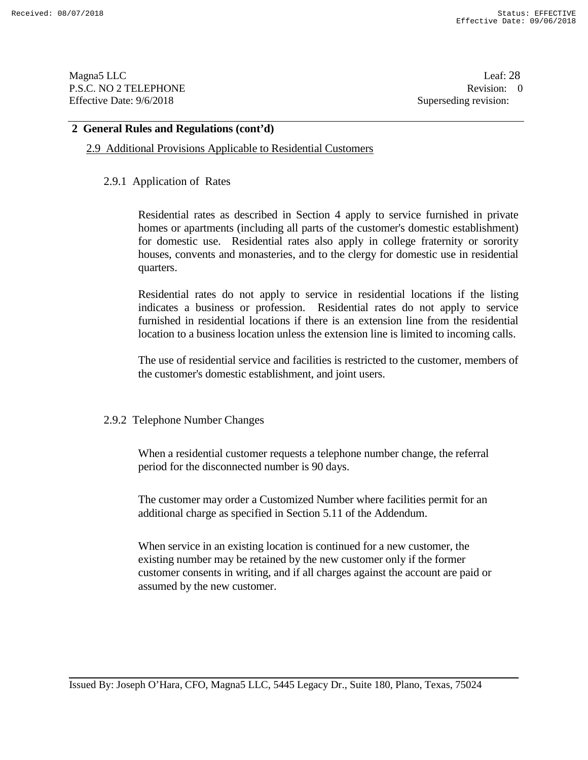Magna5 LLC Leaf: 28 P.S.C. NO 2 TELEPHONE Revision: 0<br>Effective Date: 9/6/2018 Superseding revision: 0 Effective Date: 9/6/2018

# **2 General Rules and Regulations (cont'd)**

#### 2.9 Additional Provisions Applicable to Residential Customers

#### 2.9.1 Application of Rates

Residential rates as described in Section 4 apply to service furnished in private homes or apartments (including all parts of the customer's domestic establishment) for domestic use. Residential rates also apply in college fraternity or sorority houses, convents and monasteries, and to the clergy for domestic use in residential quarters.

Residential rates do not apply to service in residential locations if the listing indicates a business or profession. Residential rates do not apply to service furnished in residential locations if there is an extension line from the residential location to a business location unless the extension line is limited to incoming calls.

The use of residential service and facilities is restricted to the customer, members of the customer's domestic establishment, and joint users.

#### 2.9.2 Telephone Number Changes

When a residential customer requests a telephone number change, the referral period for the disconnected number is 90 days.

The customer may order a Customized Number where facilities permit for an additional charge as specified in Section 5.11 of the Addendum.

When service in an existing location is continued for a new customer, the existing number may be retained by the new customer only if the former customer consents in writing, and if all charges against the account are paid or assumed by the new customer.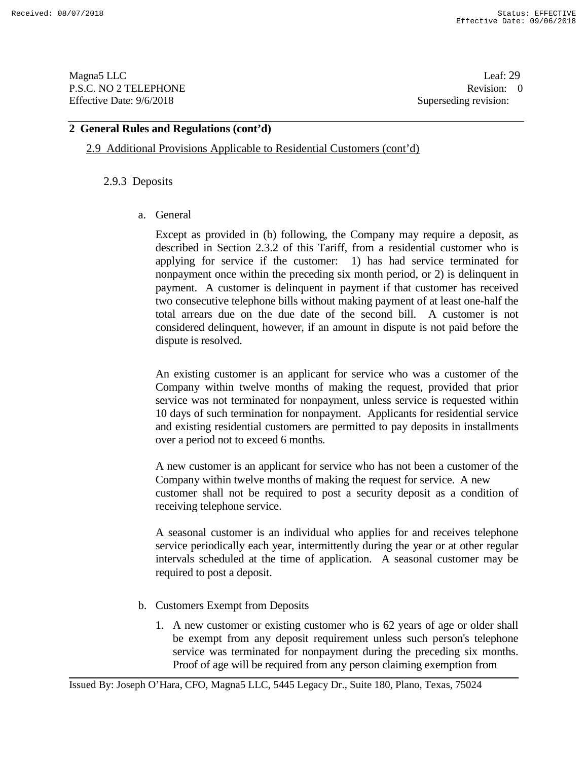Magna5 LLC Leaf: 29 P.S.C. NO 2 TELEPHONE Revision: 0<br>Effective Date: 9/6/2018 Superseding revision: 0 Effective Date: 9/6/2018

# **2 General Rules and Regulations (cont'd)**

2.9 Additional Provisions Applicable to Residential Customers (cont'd)

## 2.9.3 Deposits

## a. General

Except as provided in (b) following, the Company may require a deposit, as described in Section 2.3.2 of this Tariff, from a residential customer who is applying for service if the customer: 1) has had service terminated for nonpayment once within the preceding six month period, or 2) is delinquent in payment. A customer is delinquent in payment if that customer has received two consecutive telephone bills without making payment of at least one-half the total arrears due on the due date of the second bill. A customer is not considered delinquent, however, if an amount in dispute is not paid before the dispute is resolved.

An existing customer is an applicant for service who was a customer of the Company within twelve months of making the request, provided that prior service was not terminated for nonpayment, unless service is requested within 10 days of such termination for nonpayment. Applicants for residential service and existing residential customers are permitted to pay deposits in installments over a period not to exceed 6 months.

A new customer is an applicant for service who has not been a customer of the Company within twelve months of making the request for service. A new customer shall not be required to post a security deposit as a condition of receiving telephone service.

A seasonal customer is an individual who applies for and receives telephone service periodically each year, intermittently during the year or at other regular intervals scheduled at the time of application. A seasonal customer may be required to post a deposit.

- b. Customers Exempt from Deposits
	- 1. A new customer or existing customer who is 62 years of age or older shall be exempt from any deposit requirement unless such person's telephone service was terminated for nonpayment during the preceding six months. Proof of age will be required from any person claiming exemption from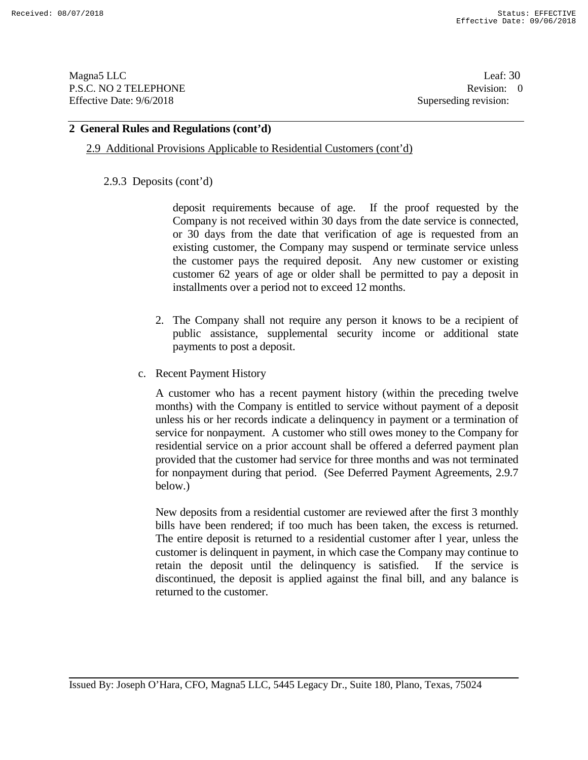Magna5 LLC Leaf: 30 P.S.C. NO 2 TELEPHONE Revision: 0<br>Effective Date: 9/6/2018 Superseding revision: 0 Effective Date: 9/6/2018

## **2 General Rules and Regulations (cont'd)**

#### 2.9 Additional Provisions Applicable to Residential Customers (cont'd)

#### 2.9.3 Deposits (cont'd)

deposit requirements because of age. If the proof requested by the Company is not received within 30 days from the date service is connected, or 30 days from the date that verification of age is requested from an existing customer, the Company may suspend or terminate service unless the customer pays the required deposit. Any new customer or existing customer 62 years of age or older shall be permitted to pay a deposit in installments over a period not to exceed 12 months.

- 2. The Company shall not require any person it knows to be a recipient of public assistance, supplemental security income or additional state payments to post a deposit.
- c. Recent Payment History

A customer who has a recent payment history (within the preceding twelve months) with the Company is entitled to service without payment of a deposit unless his or her records indicate a delinquency in payment or a termination of service for nonpayment. A customer who still owes money to the Company for residential service on a prior account shall be offered a deferred payment plan provided that the customer had service for three months and was not terminated for nonpayment during that period. (See Deferred Payment Agreements, 2.9.7 below.)

New deposits from a residential customer are reviewed after the first 3 monthly bills have been rendered; if too much has been taken, the excess is returned. The entire deposit is returned to a residential customer after l year, unless the customer is delinquent in payment, in which case the Company may continue to retain the deposit until the delinquency is satisfied. If the service is discontinued, the deposit is applied against the final bill, and any balance is returned to the customer.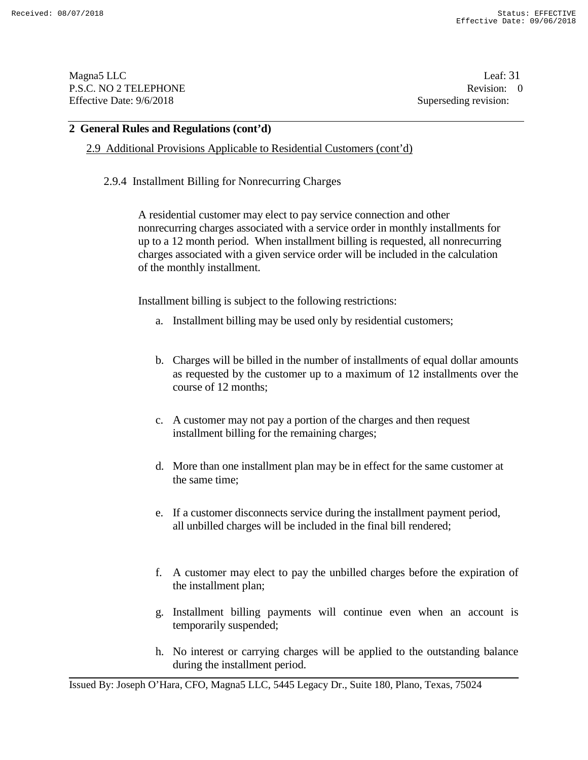Magna5 LLC Leaf: 31 P.S.C. NO 2 TELEPHONE Revision: 0<br>Effective Date: 9/6/2018 Superseding revision: 0 Effective Date: 9/6/2018

#### **2 General Rules and Regulations (cont'd)**

2.9 Additional Provisions Applicable to Residential Customers (cont'd)

#### 2.9.4 Installment Billing for Nonrecurring Charges

A residential customer may elect to pay service connection and other nonrecurring charges associated with a service order in monthly installments for up to a 12 month period. When installment billing is requested, all nonrecurring charges associated with a given service order will be included in the calculation of the monthly installment.

Installment billing is subject to the following restrictions:

- a. Installment billing may be used only by residential customers;
- b. Charges will be billed in the number of installments of equal dollar amounts as requested by the customer up to a maximum of 12 installments over the course of 12 months;
- c. A customer may not pay a portion of the charges and then request installment billing for the remaining charges;
- d. More than one installment plan may be in effect for the same customer at the same time;
- e. If a customer disconnects service during the installment payment period, all unbilled charges will be included in the final bill rendered;
- f. A customer may elect to pay the unbilled charges before the expiration of the installment plan;
- g. Installment billing payments will continue even when an account is temporarily suspended;
- h. No interest or carrying charges will be applied to the outstanding balance during the installment period.

Issued By: Joseph O'Hara, CFO, Magna5 LLC, 5445 Legacy Dr., Suite 180, Plano, Texas, 75024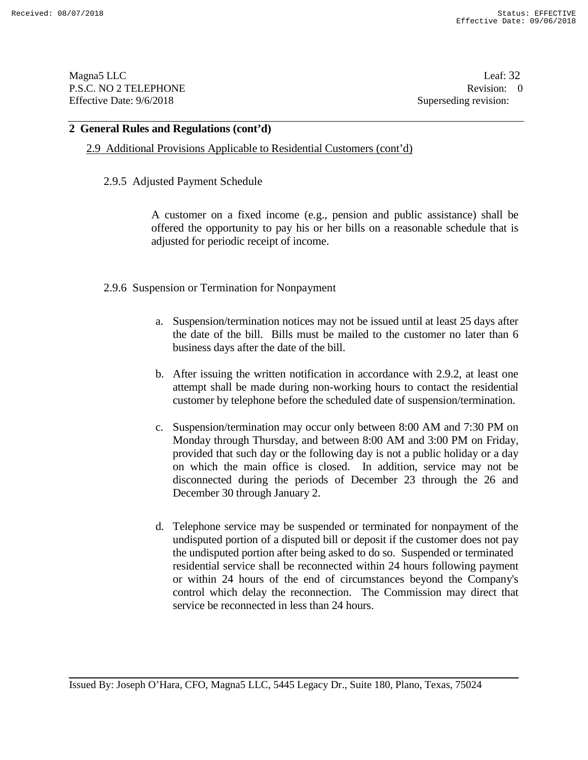Magna5 LLC Leaf: 32 P.S.C. NO 2 TELEPHONE Revision: 0<br>Effective Date: 9/6/2018 Superseding revision: 0 Effective Date: 9/6/2018

#### **2 General Rules and Regulations (cont'd)**

2.9 Additional Provisions Applicable to Residential Customers (cont'd)

#### 2.9.5 Adjusted Payment Schedule

A customer on a fixed income (e.g., pension and public assistance) shall be offered the opportunity to pay his or her bills on a reasonable schedule that is adjusted for periodic receipt of income.

#### 2.9.6 Suspension or Termination for Nonpayment

- a. Suspension/termination notices may not be issued until at least 25 days after the date of the bill. Bills must be mailed to the customer no later than 6 business days after the date of the bill.
- b. After issuing the written notification in accordance with 2.9.2, at least one attempt shall be made during non-working hours to contact the residential customer by telephone before the scheduled date of suspension/termination.
- c. Suspension/termination may occur only between 8:00 AM and 7:30 PM on Monday through Thursday, and between 8:00 AM and 3:00 PM on Friday, provided that such day or the following day is not a public holiday or a day on which the main office is closed. In addition, service may not be disconnected during the periods of December 23 through the 26 and December 30 through January 2.
- d. Telephone service may be suspended or terminated for nonpayment of the undisputed portion of a disputed bill or deposit if the customer does not pay the undisputed portion after being asked to do so. Suspended or terminated residential service shall be reconnected within 24 hours following payment or within 24 hours of the end of circumstances beyond the Company's control which delay the reconnection. The Commission may direct that service be reconnected in less than 24 hours.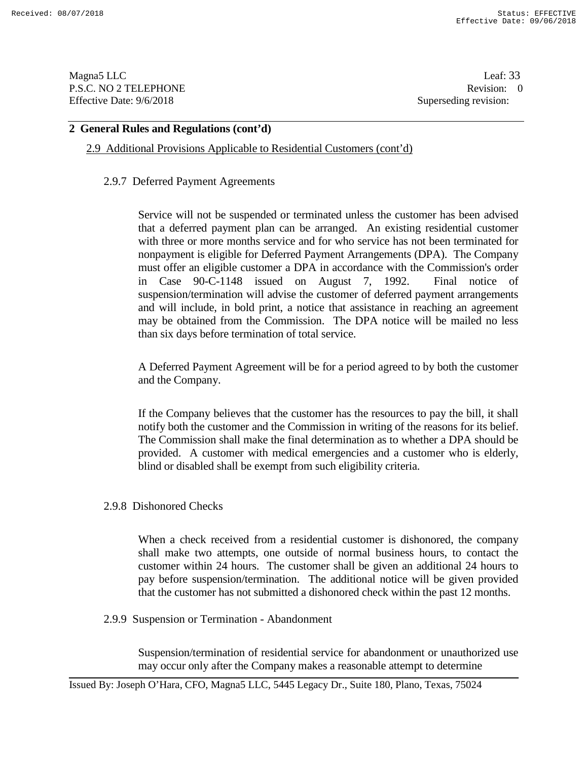Magna5 LLC Leaf: 33 P.S.C. NO 2 TELEPHONE Revision: 0<br>
Effective Date: 9/6/2018 Superseding revision: 0

Superseding revision:

# **2 General Rules and Regulations (cont'd)**

2.9 Additional Provisions Applicable to Residential Customers (cont'd)

## 2.9.7 Deferred Payment Agreements

Service will not be suspended or terminated unless the customer has been advised that a deferred payment plan can be arranged. An existing residential customer with three or more months service and for who service has not been terminated for nonpayment is eligible for Deferred Payment Arrangements (DPA). The Company must offer an eligible customer a DPA in accordance with the Commission's order in Case 90-C-1148 issued on August 7, 1992. Final notice of suspension/termination will advise the customer of deferred payment arrangements and will include, in bold print, a notice that assistance in reaching an agreement may be obtained from the Commission. The DPA notice will be mailed no less than six days before termination of total service.

A Deferred Payment Agreement will be for a period agreed to by both the customer and the Company.

If the Company believes that the customer has the resources to pay the bill, it shall notify both the customer and the Commission in writing of the reasons for its belief. The Commission shall make the final determination as to whether a DPA should be provided. A customer with medical emergencies and a customer who is elderly, blind or disabled shall be exempt from such eligibility criteria.

2.9.8 Dishonored Checks

When a check received from a residential customer is dishonored, the company shall make two attempts, one outside of normal business hours, to contact the customer within 24 hours. The customer shall be given an additional 24 hours to pay before suspension/termination. The additional notice will be given provided that the customer has not submitted a dishonored check within the past 12 months.

#### 2.9.9 Suspension or Termination - Abandonment

Suspension/termination of residential service for abandonment or unauthorized use may occur only after the Company makes a reasonable attempt to determine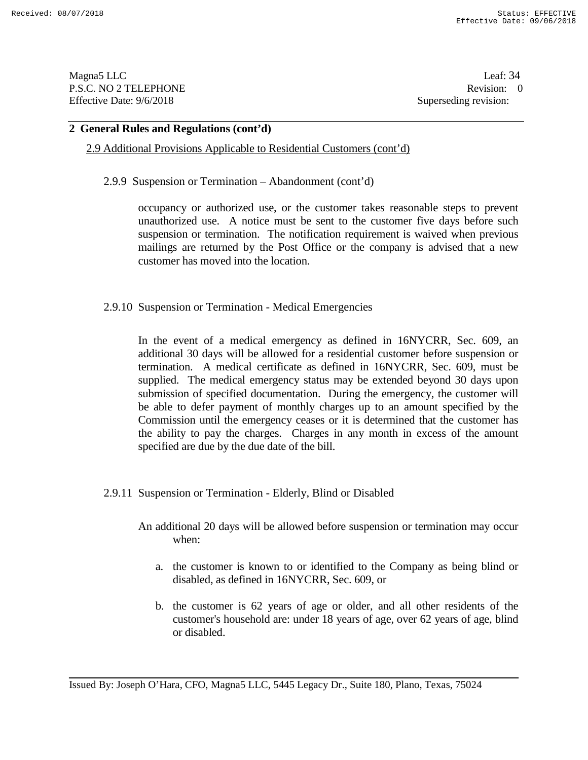Magna5 LLC Leaf: 34 P.S.C. NO 2 TELEPHONE Revision: 0<br>Effective Date: 9/6/2018 Superseding revision: 0 Effective Date: 9/6/2018

#### **2 General Rules and Regulations (cont'd)**

# 2.9 Additional Provisions Applicable to Residential Customers (cont'd)

2.9.9 Suspension or Termination – Abandonment (cont'd)

occupancy or authorized use, or the customer takes reasonable steps to prevent unauthorized use. A notice must be sent to the customer five days before such suspension or termination. The notification requirement is waived when previous mailings are returned by the Post Office or the company is advised that a new customer has moved into the location.

2.9.10 Suspension or Termination - Medical Emergencies

In the event of a medical emergency as defined in 16NYCRR, Sec. 609, an additional 30 days will be allowed for a residential customer before suspension or termination. A medical certificate as defined in 16NYCRR, Sec. 609, must be supplied. The medical emergency status may be extended beyond 30 days upon submission of specified documentation. During the emergency, the customer will be able to defer payment of monthly charges up to an amount specified by the Commission until the emergency ceases or it is determined that the customer has the ability to pay the charges. Charges in any month in excess of the amount specified are due by the due date of the bill.

- 2.9.11 Suspension or Termination Elderly, Blind or Disabled
	- An additional 20 days will be allowed before suspension or termination may occur when:
		- a. the customer is known to or identified to the Company as being blind or disabled, as defined in 16NYCRR, Sec. 609, or
		- b. the customer is 62 years of age or older, and all other residents of the customer's household are: under 18 years of age, over 62 years of age, blind or disabled.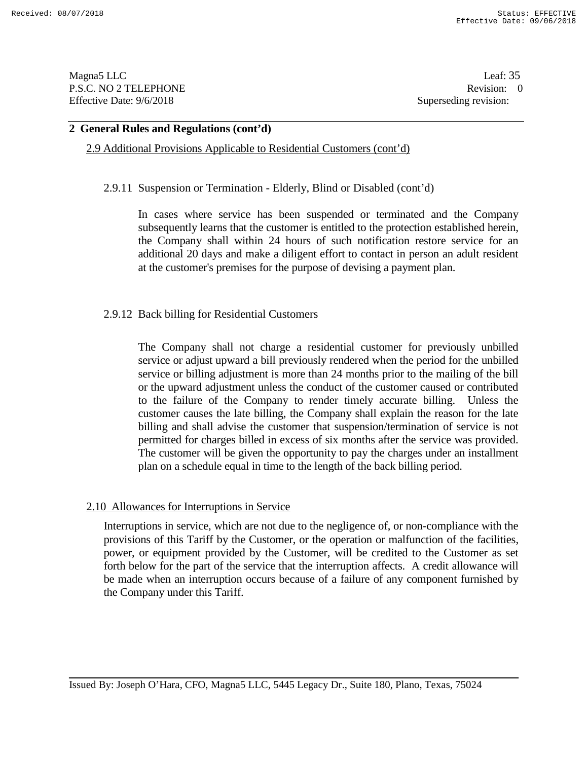Magna5 LLC Leaf: 35 P.S.C. NO 2 TELEPHONE Revision: 0<br>Effective Date: 9/6/2018 Superseding revision: 0 Effective Date: 9/6/2018

#### **2 General Rules and Regulations (cont'd)**

2.9 Additional Provisions Applicable to Residential Customers (cont'd)

2.9.11 Suspension or Termination - Elderly, Blind or Disabled (cont'd)

In cases where service has been suspended or terminated and the Company subsequently learns that the customer is entitled to the protection established herein, the Company shall within 24 hours of such notification restore service for an additional 20 days and make a diligent effort to contact in person an adult resident at the customer's premises for the purpose of devising a payment plan.

## 2.9.12 Back billing for Residential Customers

The Company shall not charge a residential customer for previously unbilled service or adjust upward a bill previously rendered when the period for the unbilled service or billing adjustment is more than 24 months prior to the mailing of the bill or the upward adjustment unless the conduct of the customer caused or contributed to the failure of the Company to render timely accurate billing. Unless the customer causes the late billing, the Company shall explain the reason for the late billing and shall advise the customer that suspension/termination of service is not permitted for charges billed in excess of six months after the service was provided. The customer will be given the opportunity to pay the charges under an installment plan on a schedule equal in time to the length of the back billing period.

#### 2.10 Allowances for Interruptions in Service

Interruptions in service, which are not due to the negligence of, or non-compliance with the provisions of this Tariff by the Customer, or the operation or malfunction of the facilities, power, or equipment provided by the Customer, will be credited to the Customer as set forth below for the part of the service that the interruption affects. A credit allowance will be made when an interruption occurs because of a failure of any component furnished by the Company under this Tariff.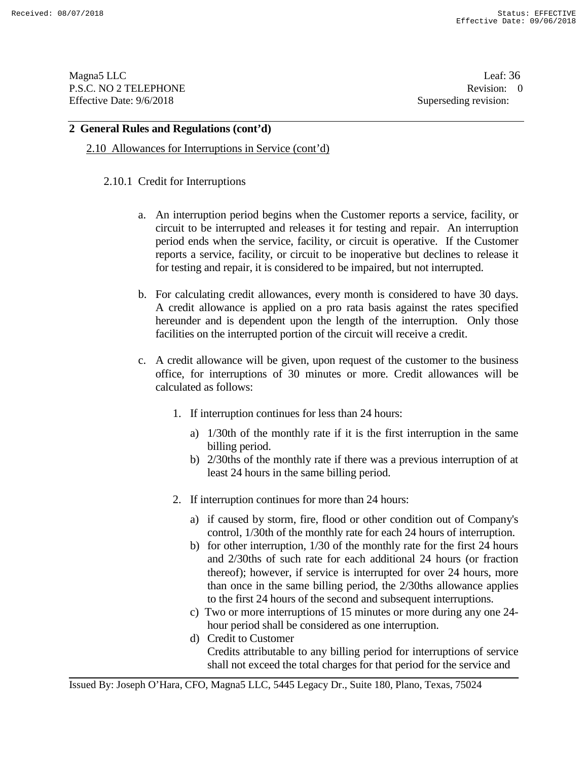Magna5 LLC Leaf: 36 P.S.C. NO 2 TELEPHONE Revision: 0<br>Effective Date: 9/6/2018 Superseding revision: 0 Effective Date: 9/6/2018

## **2 General Rules and Regulations (cont'd)**

2.10 Allowances for Interruptions in Service (cont'd)

# 2.10.1 Credit for Interruptions

- a. An interruption period begins when the Customer reports a service, facility, or circuit to be interrupted and releases it for testing and repair. An interruption period ends when the service, facility, or circuit is operative. If the Customer reports a service, facility, or circuit to be inoperative but declines to release it for testing and repair, it is considered to be impaired, but not interrupted.
- b. For calculating credit allowances, every month is considered to have 30 days. A credit allowance is applied on a pro rata basis against the rates specified hereunder and is dependent upon the length of the interruption. Only those facilities on the interrupted portion of the circuit will receive a credit.
- c. A credit allowance will be given, upon request of the customer to the business office, for interruptions of 30 minutes or more. Credit allowances will be calculated as follows:
	- 1. If interruption continues for less than 24 hours:
		- a) 1/30th of the monthly rate if it is the first interruption in the same billing period.
		- b) 2/30ths of the monthly rate if there was a previous interruption of at least 24 hours in the same billing period.
	- 2. If interruption continues for more than 24 hours:
		- a) if caused by storm, fire, flood or other condition out of Company's control, 1/30th of the monthly rate for each 24 hours of interruption.
		- b) for other interruption, 1/30 of the monthly rate for the first 24 hours and 2/30ths of such rate for each additional 24 hours (or fraction thereof); however, if service is interrupted for over 24 hours, more than once in the same billing period, the 2/30ths allowance applies to the first 24 hours of the second and subsequent interruptions.
		- c) Two or more interruptions of 15 minutes or more during any one 24 hour period shall be considered as one interruption.
		- d) Credit to Customer Credits attributable to any billing period for interruptions of service shall not exceed the total charges for that period for the service and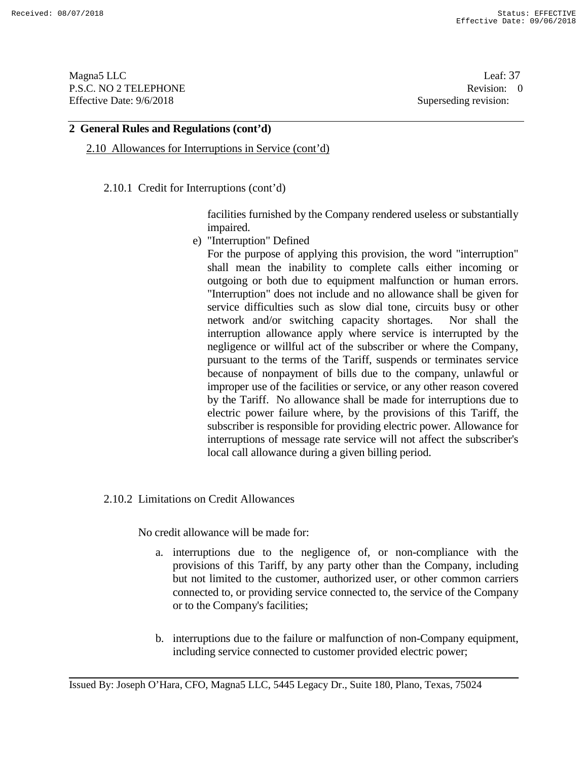Magna5 LLC Leaf: 37 P.S.C. NO 2 TELEPHONE Revision: 0<br>
Effective Date: 9/6/2018 Superseding revision: 0

Superseding revision:

### **2 General Rules and Regulations (cont'd)**

2.10 Allowances for Interruptions in Service (cont'd)

2.10.1 Credit for Interruptions (cont'd)

facilities furnished by the Company rendered useless or substantially impaired.

e) "Interruption" Defined

For the purpose of applying this provision, the word "interruption" shall mean the inability to complete calls either incoming or outgoing or both due to equipment malfunction or human errors. "Interruption" does not include and no allowance shall be given for service difficulties such as slow dial tone, circuits busy or other network and/or switching capacity shortages. Nor shall the interruption allowance apply where service is interrupted by the negligence or willful act of the subscriber or where the Company, pursuant to the terms of the Tariff, suspends or terminates service because of nonpayment of bills due to the company, unlawful or improper use of the facilities or service, or any other reason covered by the Tariff. No allowance shall be made for interruptions due to electric power failure where, by the provisions of this Tariff, the subscriber is responsible for providing electric power. Allowance for interruptions of message rate service will not affect the subscriber's local call allowance during a given billing period.

#### 2.10.2 Limitations on Credit Allowances

No credit allowance will be made for:

- a. interruptions due to the negligence of, or non-compliance with the provisions of this Tariff, by any party other than the Company, including but not limited to the customer, authorized user, or other common carriers connected to, or providing service connected to, the service of the Company or to the Company's facilities;
- b. interruptions due to the failure or malfunction of non-Company equipment, including service connected to customer provided electric power;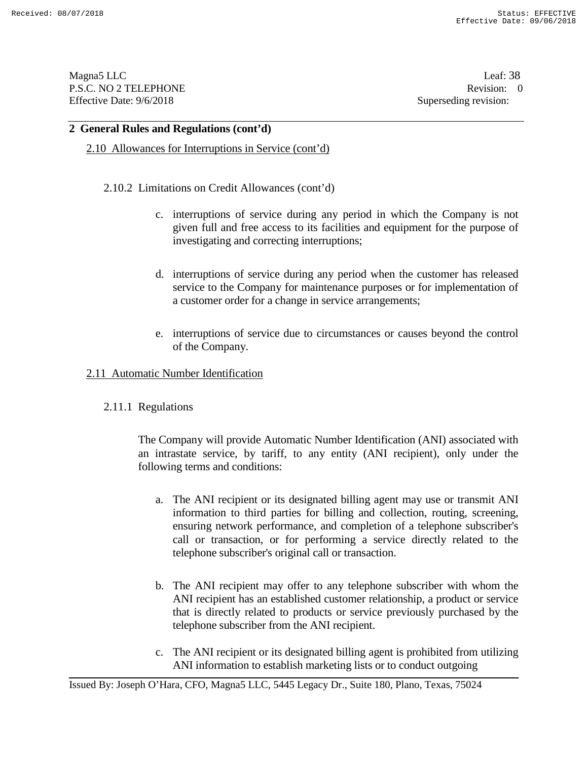Magna5 LLC Leaf: 38 P.S.C. NO 2 TELEPHONE Revision: 0<br>Effective Date: 9/6/2018 Superseding revision: 0 Effective Date: 9/6/2018

### **2 General Rules and Regulations (cont'd)**

2.10 Allowances for Interruptions in Service (cont'd)

### 2.10.2 Limitations on Credit Allowances (cont'd)

- c. interruptions of service during any period in which the Company is not given full and free access to its facilities and equipment for the purpose of investigating and correcting interruptions;
- d. interruptions of service during any period when the customer has released service to the Company for maintenance purposes or for implementation of a customer order for a change in service arrangements;
- e. interruptions of service due to circumstances or causes beyond the control of the Company.

### 2.11 Automatic Number Identification

## 2.11.1 Regulations

The Company will provide Automatic Number Identification (ANI) associated with an intrastate service, by tariff, to any entity (ANI recipient), only under the following terms and conditions:

- a. The ANI recipient or its designated billing agent may use or transmit ANI information to third parties for billing and collection, routing, screening, ensuring network performance, and completion of a telephone subscriber's call or transaction, or for performing a service directly related to the telephone subscriber's original call or transaction.
- b. The ANI recipient may offer to any telephone subscriber with whom the ANI recipient has an established customer relationship, a product or service that is directly related to products or service previously purchased by the telephone subscriber from the ANI recipient.
- c. The ANI recipient or its designated billing agent is prohibited from utilizing ANI information to establish marketing lists or to conduct outgoing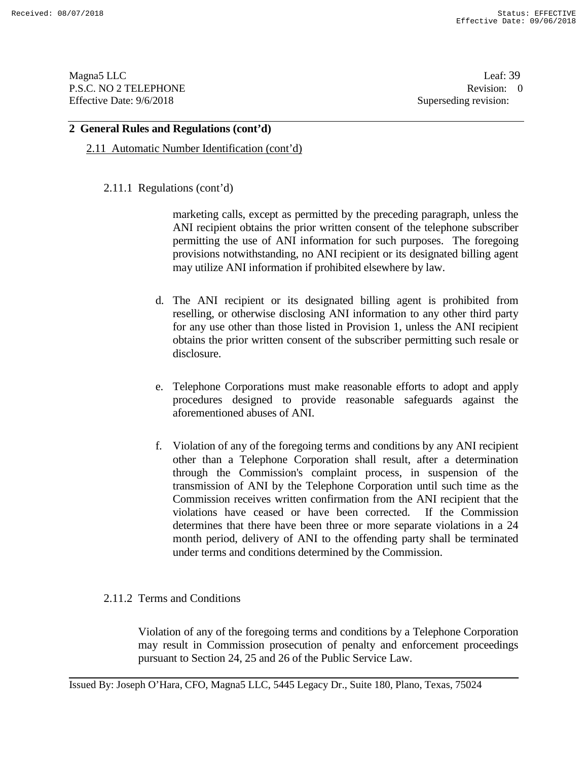Magna5 LLC Leaf: 39 P.S.C. NO 2 TELEPHONE Revision: 0<br>Effective Date: 9/6/2018 Superseding revision: 0 Effective Date: 9/6/2018

## **2 General Rules and Regulations (cont'd)**

2.11 Automatic Number Identification (cont'd)

## 2.11.1 Regulations (cont'd)

marketing calls, except as permitted by the preceding paragraph, unless the ANI recipient obtains the prior written consent of the telephone subscriber permitting the use of ANI information for such purposes. The foregoing provisions notwithstanding, no ANI recipient or its designated billing agent may utilize ANI information if prohibited elsewhere by law.

- d. The ANI recipient or its designated billing agent is prohibited from reselling, or otherwise disclosing ANI information to any other third party for any use other than those listed in Provision 1, unless the ANI recipient obtains the prior written consent of the subscriber permitting such resale or disclosure.
- e. Telephone Corporations must make reasonable efforts to adopt and apply procedures designed to provide reasonable safeguards against the aforementioned abuses of ANI.
- f. Violation of any of the foregoing terms and conditions by any ANI recipient other than a Telephone Corporation shall result, after a determination through the Commission's complaint process, in suspension of the transmission of ANI by the Telephone Corporation until such time as the Commission receives written confirmation from the ANI recipient that the violations have ceased or have been corrected. If the Commission determines that there have been three or more separate violations in a 24 month period, delivery of ANI to the offending party shall be terminated under terms and conditions determined by the Commission.

## 2.11.2 Terms and Conditions

Violation of any of the foregoing terms and conditions by a Telephone Corporation may result in Commission prosecution of penalty and enforcement proceedings pursuant to Section 24, 25 and 26 of the Public Service Law.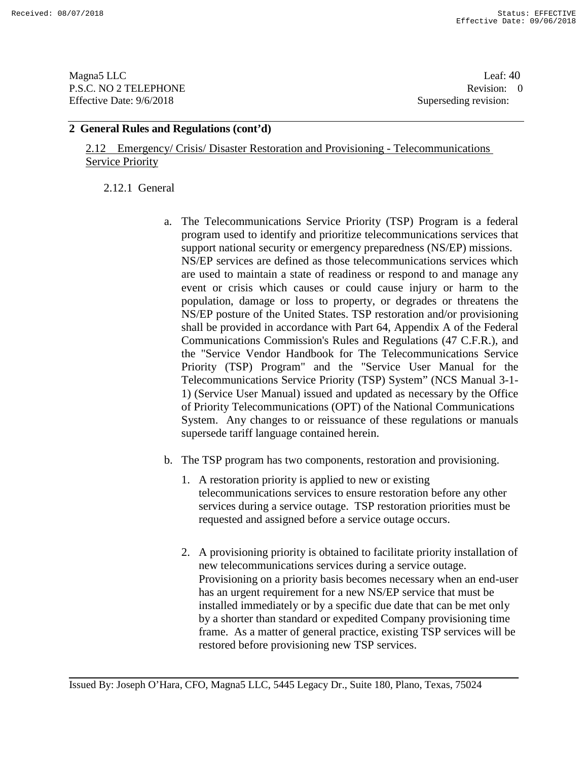Magna5 LLC Leaf: 40 P.S.C. NO 2 TELEPHONE Revision: 0<br>Effective Date: 9/6/2018 Superseding revision: 0 Effective Date: 9/6/2018

## **2 General Rules and Regulations (cont'd)**

2.12 Emergency/ Crisis/ Disaster Restoration and Provisioning - Telecommunications **Service Priority** 

2.12.1 General

- a. The Telecommunications Service Priority (TSP) Program is a federal program used to identify and prioritize telecommunications services that support national security or emergency preparedness (NS/EP) missions. NS/EP services are defined as those telecommunications services which are used to maintain a state of readiness or respond to and manage any event or crisis which causes or could cause injury or harm to the population, damage or loss to property, or degrades or threatens the NS/EP posture of the United States. TSP restoration and/or provisioning shall be provided in accordance with Part 64, Appendix A of the Federal Communications Commission's Rules and Regulations (47 C.F.R.), and the "Service Vendor Handbook for The Telecommunications Service Priority (TSP) Program" and the "Service User Manual for the Telecommunications Service Priority (TSP) System" (NCS Manual 3-1- 1) (Service User Manual) issued and updated as necessary by the Office of Priority Telecommunications (OPT) of the National Communications System. Any changes to or reissuance of these regulations or manuals supersede tariff language contained herein.
- b. The TSP program has two components, restoration and provisioning.
	- 1. A restoration priority is applied to new or existing telecommunications services to ensure restoration before any other services during a service outage. TSP restoration priorities must be requested and assigned before a service outage occurs.
	- 2. A provisioning priority is obtained to facilitate priority installation of new telecommunications services during a service outage. Provisioning on a priority basis becomes necessary when an end-user has an urgent requirement for a new NS/EP service that must be installed immediately or by a specific due date that can be met only by a shorter than standard or expedited Company provisioning time frame. As a matter of general practice, existing TSP services will be restored before provisioning new TSP services.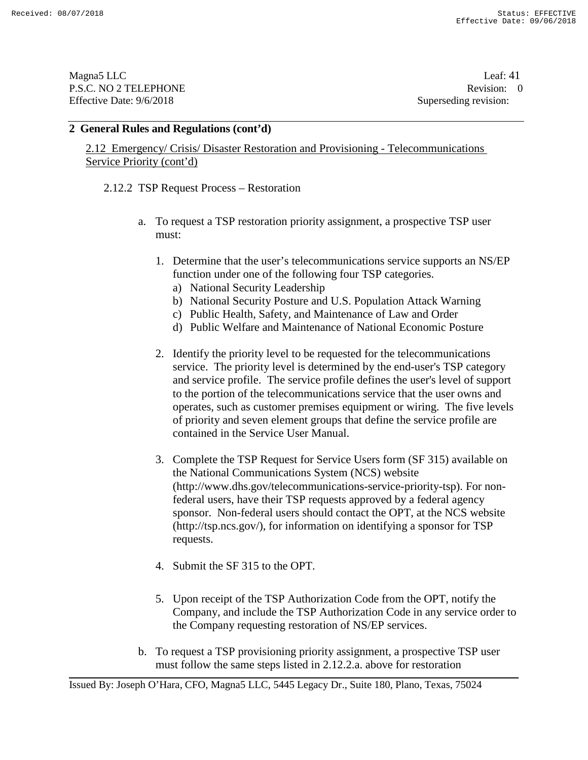Magna5 LLC Leaf: 41 P.S.C. NO 2 TELEPHONE Revision: 0<br>Effective Date: 9/6/2018 Superseding revision: 0 Effective Date: 9/6/2018

### **2 General Rules and Regulations (cont'd)**

2.12 Emergency/ Crisis/ Disaster Restoration and Provisioning - Telecommunications Service Priority (cont'd)

2.12.2 TSP Request Process – Restoration

- a. To request a TSP restoration priority assignment, a prospective TSP user must:
	- 1. Determine that the user's telecommunications service supports an NS/EP function under one of the following four TSP categories.
		- a) National Security Leadership
		- b) National Security Posture and U.S. Population Attack Warning
		- c) Public Health, Safety, and Maintenance of Law and Order
		- d) Public Welfare and Maintenance of National Economic Posture
	- 2. Identify the priority level to be requested for the telecommunications service. The priority level is determined by the end-user's TSP category and service profile. The service profile defines the user's level of support to the portion of the telecommunications service that the user owns and operates, such as customer premises equipment or wiring. The five levels of priority and seven element groups that define the service profile are contained in the Service User Manual.
	- 3. Complete the TSP Request for Service Users form (SF 315) available on the National Communications System (NCS) website (http://www.dhs.gov/telecommunications-service-priority-tsp). For nonfederal users, have their TSP requests approved by a federal agency sponsor. Non-federal users should contact the OPT, at the NCS website (http://tsp.ncs.gov/), for information on identifying a sponsor for TSP requests.
	- 4. Submit the SF 315 to the OPT.
	- 5. Upon receipt of the TSP Authorization Code from the OPT, notify the Company, and include the TSP Authorization Code in any service order to the Company requesting restoration of NS/EP services.
- b. To request a TSP provisioning priority assignment, a prospective TSP user must follow the same steps listed in 2.12.2.a. above for restoration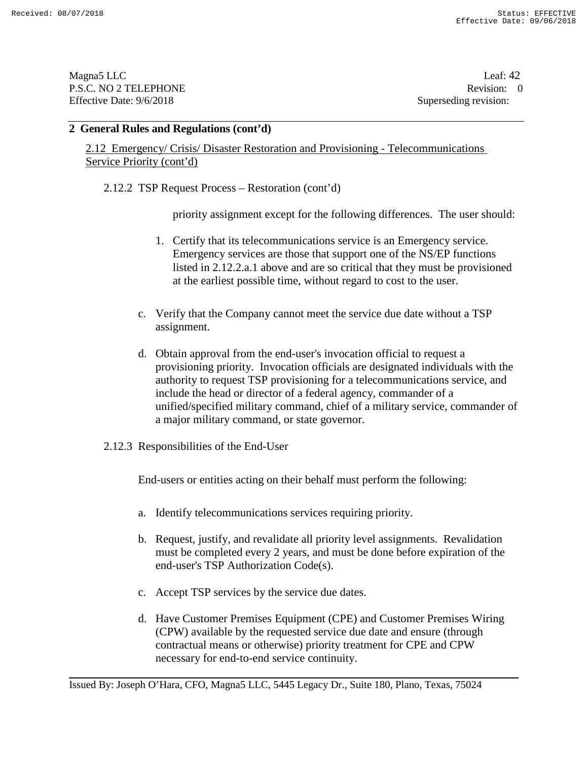Magna5 LLC Leaf: 42 P.S.C. NO 2 TELEPHONE Revision: 0<br>Effective Date: 9/6/2018 Superseding revision: 0 Effective Date: 9/6/2018

### **2 General Rules and Regulations (cont'd)**

2.12 Emergency/ Crisis/ Disaster Restoration and Provisioning - Telecommunications Service Priority (cont'd)

2.12.2 TSP Request Process – Restoration (cont'd)

priority assignment except for the following differences. The user should:

- 1. Certify that its telecommunications service is an Emergency service. Emergency services are those that support one of the NS/EP functions listed in 2.12.2.a.1 above and are so critical that they must be provisioned at the earliest possible time, without regard to cost to the user.
- c. Verify that the Company cannot meet the service due date without a TSP assignment.
- d. Obtain approval from the end-user's invocation official to request a provisioning priority. Invocation officials are designated individuals with the authority to request TSP provisioning for a telecommunications service, and include the head or director of a federal agency, commander of a unified/specified military command, chief of a military service, commander of a major military command, or state governor.
- 2.12.3 Responsibilities of the End-User

End-users or entities acting on their behalf must perform the following:

- a. Identify telecommunications services requiring priority.
- b. Request, justify, and revalidate all priority level assignments. Revalidation must be completed every 2 years, and must be done before expiration of the end-user's TSP Authorization Code(s).
- c. Accept TSP services by the service due dates.
- d. Have Customer Premises Equipment (CPE) and Customer Premises Wiring (CPW) available by the requested service due date and ensure (through contractual means or otherwise) priority treatment for CPE and CPW necessary for end-to-end service continuity.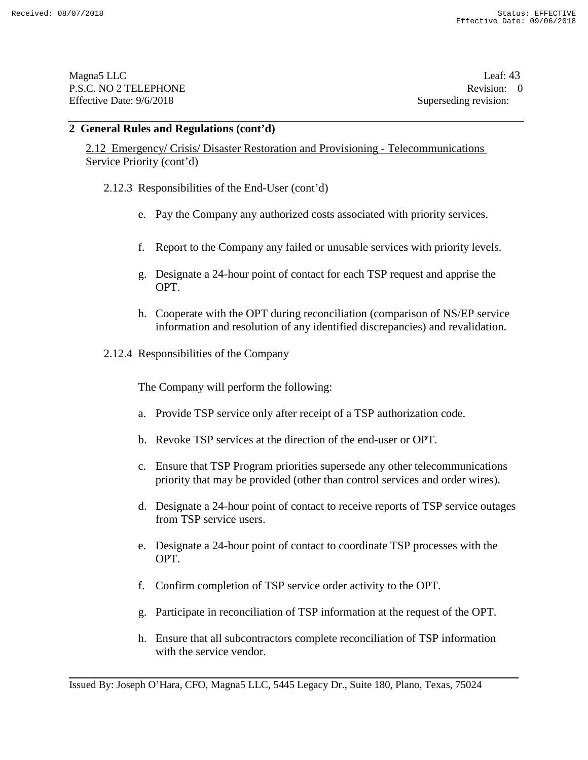Magna5 LLC Leaf: 43 P.S.C. NO 2 TELEPHONE Revision: 0<br>Effective Date: 9/6/2018 Superseding revision: 0 Effective Date: 9/6/2018

### **2 General Rules and Regulations (cont'd)**

2.12 Emergency/ Crisis/ Disaster Restoration and Provisioning - Telecommunications Service Priority (cont'd)

- 2.12.3 Responsibilities of the End-User (cont'd)
	- e. Pay the Company any authorized costs associated with priority services.
	- f. Report to the Company any failed or unusable services with priority levels.
	- g. Designate a 24-hour point of contact for each TSP request and apprise the OPT.
	- h. Cooperate with the OPT during reconciliation (comparison of NS/EP service information and resolution of any identified discrepancies) and revalidation.
- 2.12.4 Responsibilities of the Company

The Company will perform the following:

- a. Provide TSP service only after receipt of a TSP authorization code.
- b. Revoke TSP services at the direction of the end-user or OPT.
- c. Ensure that TSP Program priorities supersede any other telecommunications priority that may be provided (other than control services and order wires).
- d. Designate a 24-hour point of contact to receive reports of TSP service outages from TSP service users.
- e. Designate a 24-hour point of contact to coordinate TSP processes with the OPT.
- f. Confirm completion of TSP service order activity to the OPT.
- g. Participate in reconciliation of TSP information at the request of the OPT.
- h. Ensure that all subcontractors complete reconciliation of TSP information with the service vendor.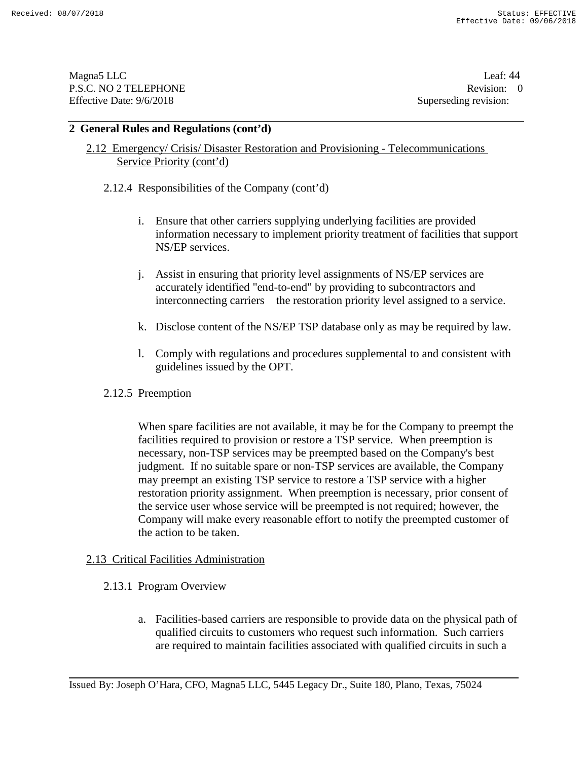Magna5 LLC Leaf: 44 P.S.C. NO 2 TELEPHONE Revision: 0<br>
Effective Date: 9/6/2018<br>
Superseding revision:

Superseding revision:

### **2 General Rules and Regulations (cont'd)**

# 2.12 Emergency/ Crisis/ Disaster Restoration and Provisioning - Telecommunications Service Priority (cont'd)

2.12.4 Responsibilities of the Company (cont'd)

- i. Ensure that other carriers supplying underlying facilities are provided information necessary to implement priority treatment of facilities that support NS/EP services.
- j. Assist in ensuring that priority level assignments of NS/EP services are accurately identified "end-to-end" by providing to subcontractors and interconnecting carriers the restoration priority level assigned to a service.
- k. Disclose content of the NS/EP TSP database only as may be required by law.
- l. Comply with regulations and procedures supplemental to and consistent with guidelines issued by the OPT.
- 2.12.5 Preemption

When spare facilities are not available, it may be for the Company to preempt the facilities required to provision or restore a TSP service. When preemption is necessary, non-TSP services may be preempted based on the Company's best judgment. If no suitable spare or non-TSP services are available, the Company may preempt an existing TSP service to restore a TSP service with a higher restoration priority assignment. When preemption is necessary, prior consent of the service user whose service will be preempted is not required; however, the Company will make every reasonable effort to notify the preempted customer of the action to be taken.

#### 2.13 Critical Facilities Administration

- 2.13.1 Program Overview
	- a. Facilities-based carriers are responsible to provide data on the physical path of qualified circuits to customers who request such information. Such carriers are required to maintain facilities associated with qualified circuits in such a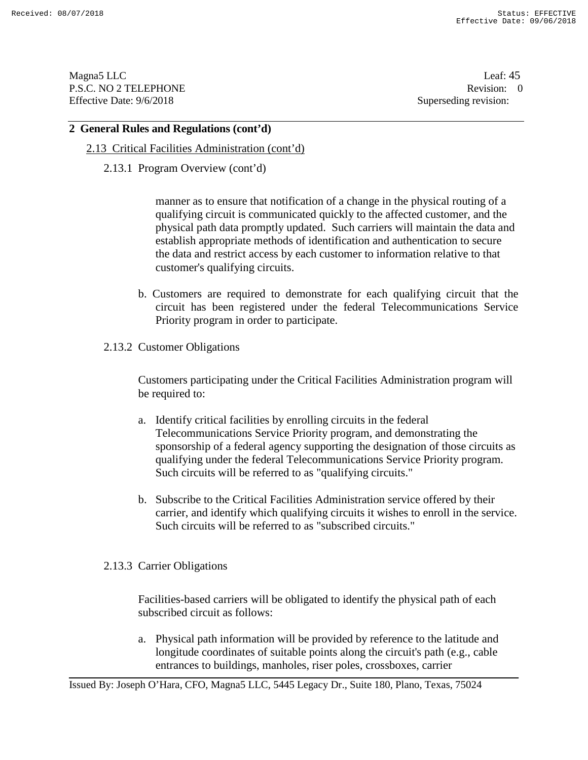Magna5 LLC Leaf: 45 P.S.C. NO 2 TELEPHONE Revision: 0<br>
Effective Date: 9/6/2018<br>
Superseding revision:

Superseding revision:

### **2 General Rules and Regulations (cont'd)**

- 2.13 Critical Facilities Administration (cont'd)
	- 2.13.1 Program Overview (cont'd)

manner as to ensure that notification of a change in the physical routing of a qualifying circuit is communicated quickly to the affected customer, and the physical path data promptly updated. Such carriers will maintain the data and establish appropriate methods of identification and authentication to secure the data and restrict access by each customer to information relative to that customer's qualifying circuits.

- b. Customers are required to demonstrate for each qualifying circuit that the circuit has been registered under the federal Telecommunications Service Priority program in order to participate.
- 2.13.2 Customer Obligations

Customers participating under the Critical Facilities Administration program will be required to:

- a. Identify critical facilities by enrolling circuits in the federal Telecommunications Service Priority program, and demonstrating the sponsorship of a federal agency supporting the designation of those circuits as qualifying under the federal Telecommunications Service Priority program. Such circuits will be referred to as "qualifying circuits."
- b. Subscribe to the Critical Facilities Administration service offered by their carrier, and identify which qualifying circuits it wishes to enroll in the service. Such circuits will be referred to as "subscribed circuits."
- 2.13.3 Carrier Obligations

Facilities-based carriers will be obligated to identify the physical path of each subscribed circuit as follows:

a. Physical path information will be provided by reference to the latitude and longitude coordinates of suitable points along the circuit's path (e.g., cable entrances to buildings, manholes, riser poles, crossboxes, carrier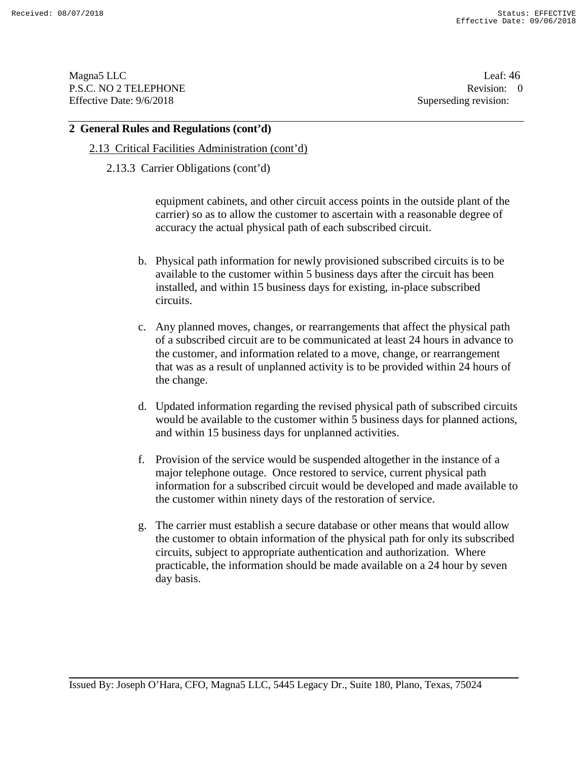Magna5 LLC Leaf: 46 P.S.C. NO 2 TELEPHONE Revision: 0<br>Effective Date: 9/6/2018 Superseding revision: 0 Effective Date: 9/6/2018

#### **2 General Rules and Regulations (cont'd)**

- 2.13 Critical Facilities Administration (cont'd)
	- 2.13.3 Carrier Obligations (cont'd)

equipment cabinets, and other circuit access points in the outside plant of the carrier) so as to allow the customer to ascertain with a reasonable degree of accuracy the actual physical path of each subscribed circuit.

- b. Physical path information for newly provisioned subscribed circuits is to be available to the customer within 5 business days after the circuit has been installed, and within 15 business days for existing, in-place subscribed circuits.
- c. Any planned moves, changes, or rearrangements that affect the physical path of a subscribed circuit are to be communicated at least 24 hours in advance to the customer, and information related to a move, change, or rearrangement that was as a result of unplanned activity is to be provided within 24 hours of the change.
- d. Updated information regarding the revised physical path of subscribed circuits would be available to the customer within 5 business days for planned actions, and within 15 business days for unplanned activities.
- f. Provision of the service would be suspended altogether in the instance of a major telephone outage. Once restored to service, current physical path information for a subscribed circuit would be developed and made available to the customer within ninety days of the restoration of service.
- g. The carrier must establish a secure database or other means that would allow the customer to obtain information of the physical path for only its subscribed circuits, subject to appropriate authentication and authorization. Where practicable, the information should be made available on a 24 hour by seven day basis.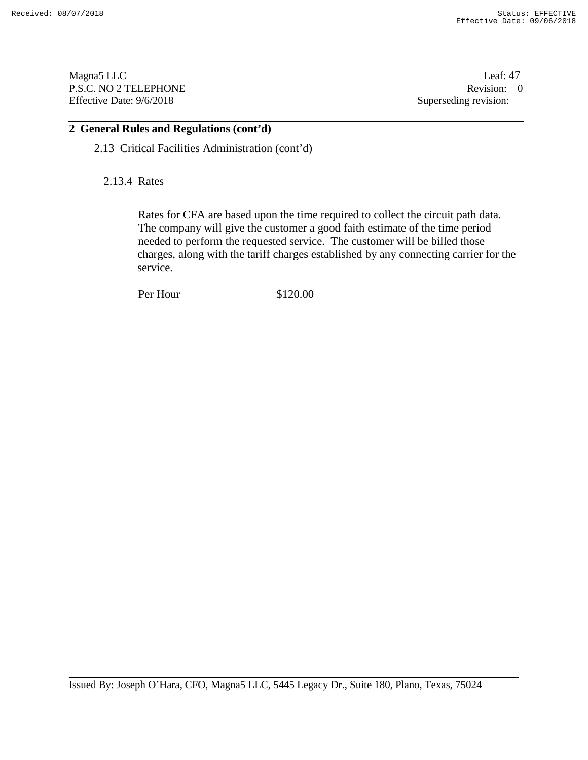Magna5 LLC Leaf: 47 P.S.C. NO 2 TELEPHONE Revision: 0<br>Effective Date: 9/6/2018 Superseding revision: 0 Effective Date: 9/6/2018

# **2 General Rules and Regulations (cont'd)**

2.13 Critical Facilities Administration (cont'd)

2.13.4 Rates

Rates for CFA are based upon the time required to collect the circuit path data. The company will give the customer a good faith estimate of the time period needed to perform the requested service. The customer will be billed those charges, along with the tariff charges established by any connecting carrier for the service.

Per Hour \$120.00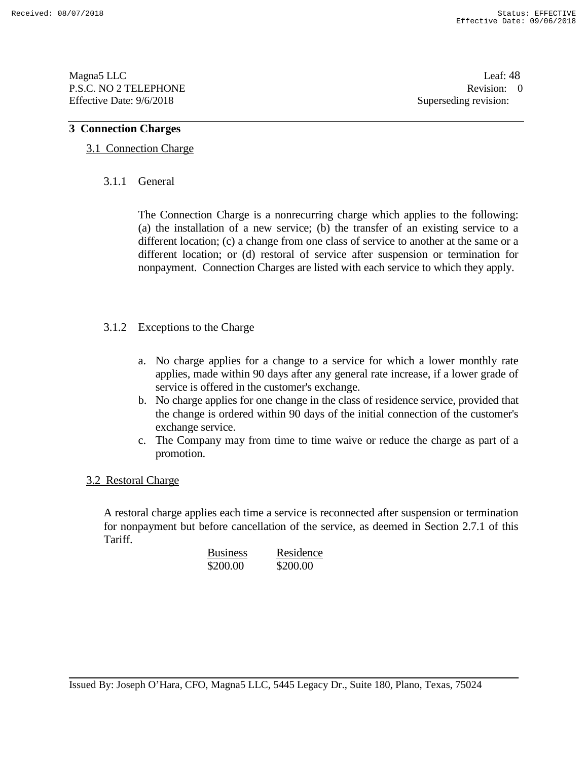Magna5 LLC Leaf: 48 P.S.C. NO 2 TELEPHONE Revision: 0<br>Effective Date: 9/6/2018 Superseding revision: 0 Effective Date: 9/6/2018

## **3 Connection Charges**

## 3.1 Connection Charge

## 3.1.1 General

The Connection Charge is a nonrecurring charge which applies to the following: (a) the installation of a new service; (b) the transfer of an existing service to a different location; (c) a change from one class of service to another at the same or a different location; or (d) restoral of service after suspension or termination for nonpayment. Connection Charges are listed with each service to which they apply.

## 3.1.2 Exceptions to the Charge

- a. No charge applies for a change to a service for which a lower monthly rate applies, made within 90 days after any general rate increase, if a lower grade of service is offered in the customer's exchange.
- b. No charge applies for one change in the class of residence service, provided that the change is ordered within 90 days of the initial connection of the customer's exchange service.
- c. The Company may from time to time waive or reduce the charge as part of a promotion.

#### 3.2 Restoral Charge

A restoral charge applies each time a service is reconnected after suspension or termination for nonpayment but before cancellation of the service, as deemed in Section 2.7.1 of this Tariff.

| <b>Business</b> | Residence |
|-----------------|-----------|
| \$200.00        | \$200.00  |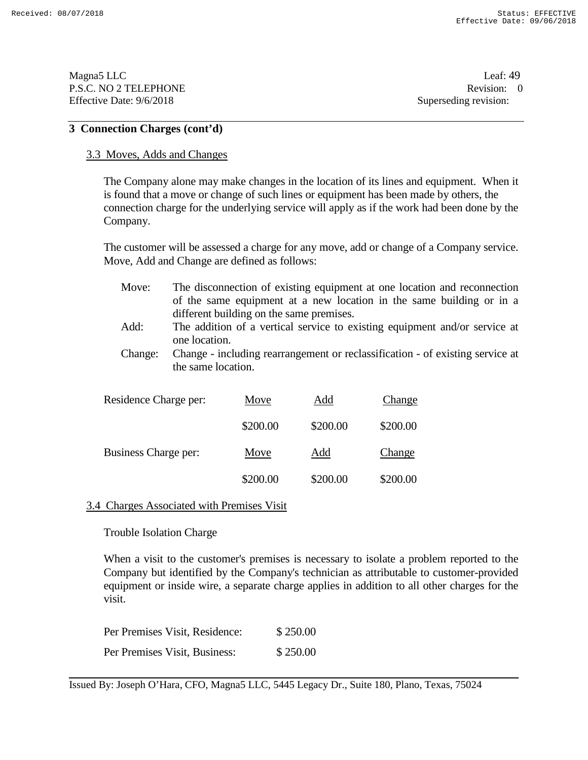Magna5 LLC Leaf: 49 P.S.C. NO 2 TELEPHONE Revision: 0<br>Effective Date: 9/6/2018 Superseding revision: 0 Effective Date: 9/6/2018

### **3 Connection Charges (cont'd)**

#### 3.3 Moves, Adds and Changes

The Company alone may make changes in the location of its lines and equipment. When it is found that a move or change of such lines or equipment has been made by others, the connection charge for the underlying service will apply as if the work had been done by the Company.

The customer will be assessed a charge for any move, add or change of a Company service. Move, Add and Change are defined as follows:

- Move: The disconnection of existing equipment at one location and reconnection of the same equipment at a new location in the same building or in a different building on the same premises.
- Add: The addition of a vertical service to existing equipment and/or service at one location.
- Change: Change including rearrangement or reclassification of existing service at the same location.

| Residence Charge per: | Move     | Add      | Change   |
|-----------------------|----------|----------|----------|
|                       | \$200.00 | \$200.00 | \$200.00 |
| Business Charge per:  | Move     | Add      | Change   |
|                       | \$200.00 | \$200.00 | \$200.00 |

#### 3.4 Charges Associated with Premises Visit

Trouble Isolation Charge

When a visit to the customer's premises is necessary to isolate a problem reported to the Company but identified by the Company's technician as attributable to customer-provided equipment or inside wire, a separate charge applies in addition to all other charges for the visit.

| Per Premises Visit, Residence: | \$250.00 |
|--------------------------------|----------|
| Per Premises Visit, Business:  | \$250.00 |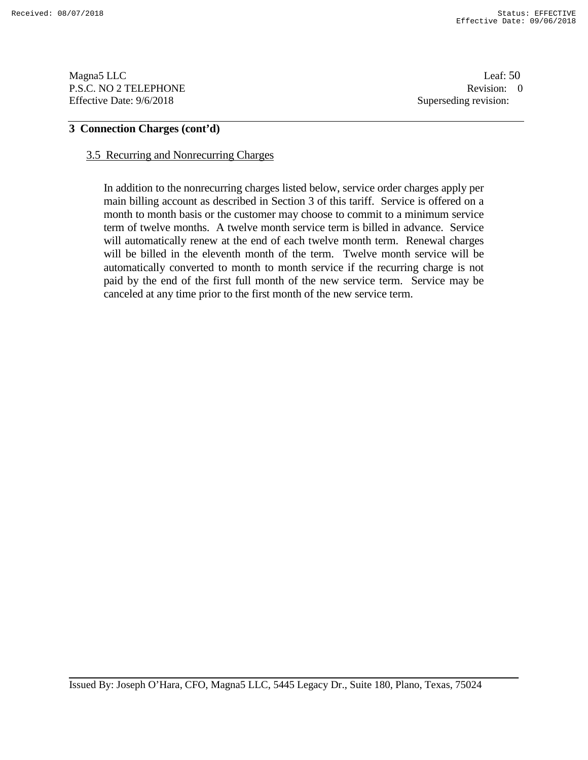Magna5 LLC Leaf: 50 P.S.C. NO 2 TELEPHONE Revision: 0<br>Effective Date: 9/6/2018 Superseding revision: 0 Effective Date: 9/6/2018

## **3 Connection Charges (cont'd)**

#### 3.5 Recurring and Nonrecurring Charges

In addition to the nonrecurring charges listed below, service order charges apply per main billing account as described in Section 3 of this tariff. Service is offered on a month to month basis or the customer may choose to commit to a minimum service term of twelve months. A twelve month service term is billed in advance. Service will automatically renew at the end of each twelve month term. Renewal charges will be billed in the eleventh month of the term. Twelve month service will be automatically converted to month to month service if the recurring charge is not paid by the end of the first full month of the new service term. Service may be canceled at any time prior to the first month of the new service term.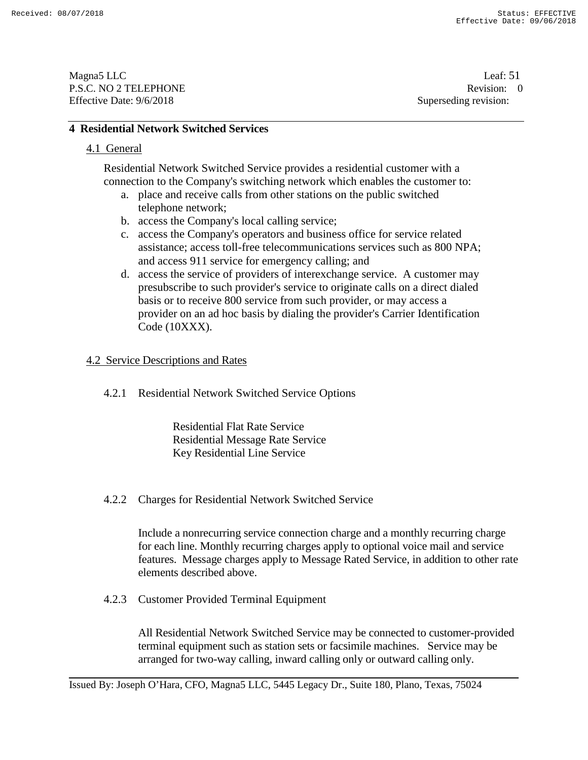Magna5 LLC Leaf: 51 P.S.C. NO 2 TELEPHONE Revision: 0<br>
Effective Date: 9/6/2018<br>
Superseding revision:

## **4 Residential Network Switched Services**

## 4.1 General

Residential Network Switched Service provides a residential customer with a connection to the Company's switching network which enables the customer to:

- a. place and receive calls from other stations on the public switched telephone network;
- b. access the Company's local calling service;
- c. access the Company's operators and business office for service related assistance; access toll-free telecommunications services such as 800 NPA; and access 911 service for emergency calling; and
- d. access the service of providers of interexchange service. A customer may presubscribe to such provider's service to originate calls on a direct dialed basis or to receive 800 service from such provider, or may access a provider on an ad hoc basis by dialing the provider's Carrier Identification Code (10XXX).

#### 4.2 Service Descriptions and Rates

4.2.1 Residential Network Switched Service Options

Residential Flat Rate Service Residential Message Rate Service Key Residential Line Service

4.2.2 Charges for Residential Network Switched Service

Include a nonrecurring service connection charge and a monthly recurring charge for each line. Monthly recurring charges apply to optional voice mail and service features. Message charges apply to Message Rated Service, in addition to other rate elements described above.

4.2.3 Customer Provided Terminal Equipment

All Residential Network Switched Service may be connected to customer-provided terminal equipment such as station sets or facsimile machines. Service may be arranged for two-way calling, inward calling only or outward calling only.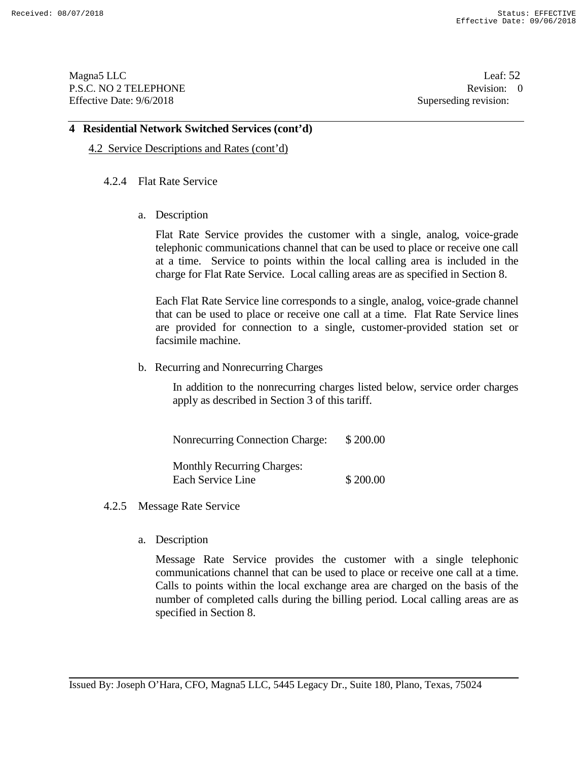Magna5 LLC Leaf: 52 P.S.C. NO 2 TELEPHONE Revision: 0<br>Effective Date: 9/6/2018 Superseding revision: 0 Effective Date: 9/6/2018

#### **4 Residential Network Switched Services (cont'd)**

4.2 Service Descriptions and Rates (cont'd)

#### 4.2.4 Flat Rate Service

a. Description

Flat Rate Service provides the customer with a single, analog, voice-grade telephonic communications channel that can be used to place or receive one call at a time. Service to points within the local calling area is included in the charge for Flat Rate Service. Local calling areas are as specified in Section 8.

Each Flat Rate Service line corresponds to a single, analog, voice-grade channel that can be used to place or receive one call at a time. Flat Rate Service lines are provided for connection to a single, customer-provided station set or facsimile machine.

b. Recurring and Nonrecurring Charges

In addition to the nonrecurring charges listed below, service order charges apply as described in Section 3 of this tariff.

Nonrecurring Connection Charge: \$ 200.00 Monthly Recurring Charges: Each Service Line \$200.00

- 4.2.5 Message Rate Service
	- a. Description

Message Rate Service provides the customer with a single telephonic communications channel that can be used to place or receive one call at a time. Calls to points within the local exchange area are charged on the basis of the number of completed calls during the billing period. Local calling areas are as specified in Section 8.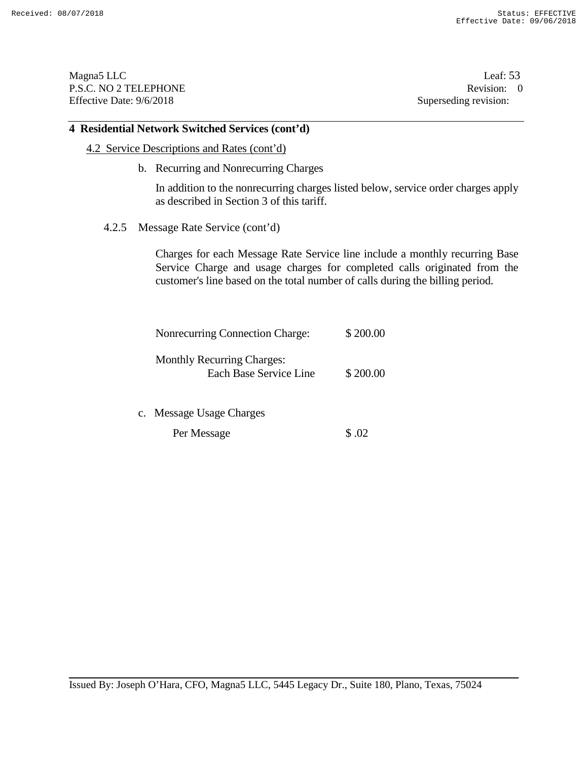Magna5 LLC Leaf: 53 P.S.C. NO 2 TELEPHONE Revision: 0<br>Effective Date: 9/6/2018 Superseding revision: 0 Effective Date: 9/6/2018

## **4 Residential Network Switched Services (cont'd)**

- 4.2 Service Descriptions and Rates (cont'd)
	- b. Recurring and Nonrecurring Charges

In addition to the nonrecurring charges listed below, service order charges apply as described in Section 3 of this tariff.

4.2.5 Message Rate Service (cont'd)

Charges for each Message Rate Service line include a monthly recurring Base Service Charge and usage charges for completed calls originated from the customer's line based on the total number of calls during the billing period.

| Nonrecurring Connection Charge:   | \$200.00 |
|-----------------------------------|----------|
| <b>Monthly Recurring Charges:</b> |          |
| Each Base Service Line            | \$200.00 |

c. Message Usage Charges

Per Message  $\$$ .02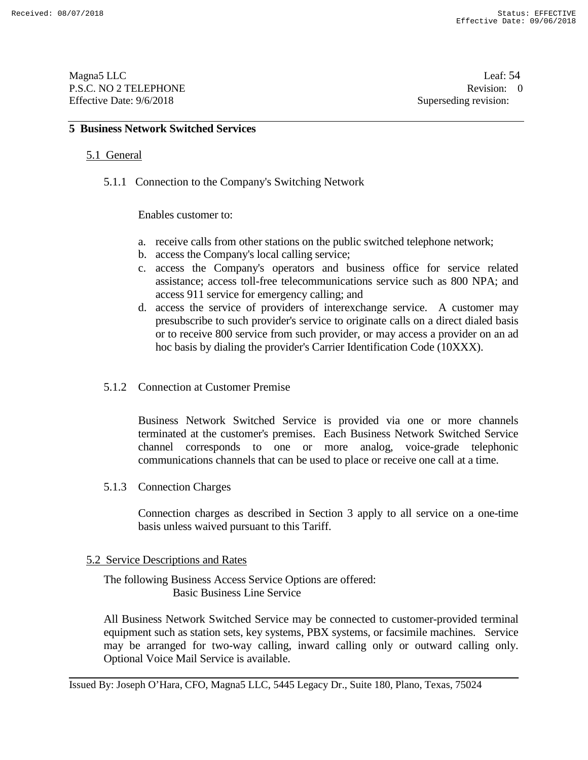Magna5 LLC Leaf: 54 P.S.C. NO 2 TELEPHONE Revision: 0<br>
Effective Date: 9/6/2018<br>
Superseding revision:

## **5 Business Network Switched Services**

### 5.1 General

5.1.1 Connection to the Company's Switching Network

Enables customer to:

- a. receive calls from other stations on the public switched telephone network;
- b. access the Company's local calling service;
- c. access the Company's operators and business office for service related assistance; access toll-free telecommunications service such as 800 NPA; and access 911 service for emergency calling; and
- d. access the service of providers of interexchange service. A customer may presubscribe to such provider's service to originate calls on a direct dialed basis or to receive 800 service from such provider, or may access a provider on an ad hoc basis by dialing the provider's Carrier Identification Code (10XXX).
- 5.1.2 Connection at Customer Premise

Business Network Switched Service is provided via one or more channels terminated at the customer's premises. Each Business Network Switched Service channel corresponds to one or more analog, voice-grade telephonic communications channels that can be used to place or receive one call at a time.

5.1.3 Connection Charges

Connection charges as described in Section 3 apply to all service on a one-time basis unless waived pursuant to this Tariff.

#### 5.2 Service Descriptions and Rates

The following Business Access Service Options are offered: Basic Business Line Service

All Business Network Switched Service may be connected to customer-provided terminal equipment such as station sets, key systems, PBX systems, or facsimile machines. Service may be arranged for two-way calling, inward calling only or outward calling only. Optional Voice Mail Service is available.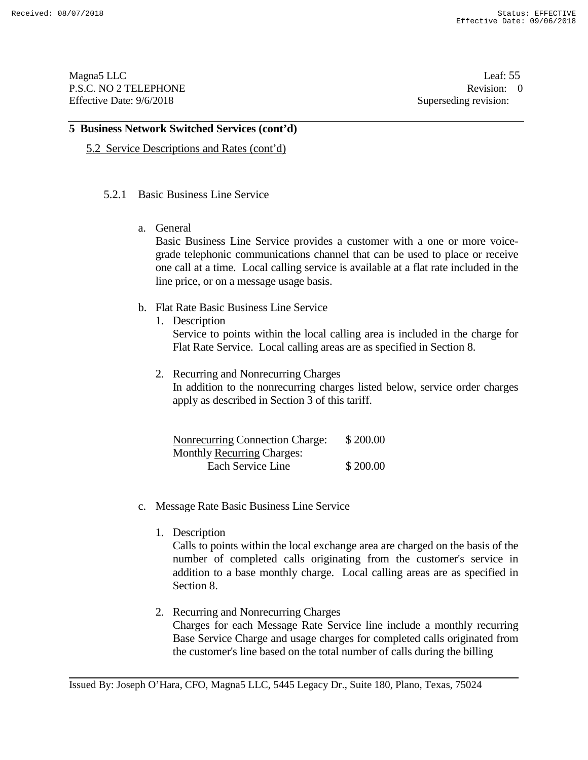Magna5 LLC Leaf: 55 P.S.C. NO 2 TELEPHONE Revision: 0<br>Effective Date: 9/6/2018 Superseding revision: 0 Effective Date: 9/6/2018

### **5 Business Network Switched Services (cont'd)**

5.2 Service Descriptions and Rates (cont'd)

#### 5.2.1 Basic Business Line Service

a. General

Basic Business Line Service provides a customer with a one or more voicegrade telephonic communications channel that can be used to place or receive one call at a time. Local calling service is available at a flat rate included in the line price, or on a message usage basis.

- b. Flat Rate Basic Business Line Service
	- 1. Description

Service to points within the local calling area is included in the charge for Flat Rate Service. Local calling areas are as specified in Section 8.

2. Recurring and Nonrecurring Charges

In addition to the nonrecurring charges listed below, service order charges apply as described in Section 3 of this tariff.

| <b>Nonrecurring Connection Charge:</b> | \$200.00 |
|----------------------------------------|----------|
| <b>Monthly Recurring Charges:</b>      |          |
| Each Service Line                      | \$200.00 |

- c. Message Rate Basic Business Line Service
	- 1. Description

Calls to points within the local exchange area are charged on the basis of the number of completed calls originating from the customer's service in addition to a base monthly charge. Local calling areas are as specified in Section 8.

2. Recurring and Nonrecurring Charges Charges for each Message Rate Service line include a monthly recurring Base Service Charge and usage charges for completed calls originated from the customer's line based on the total number of calls during the billing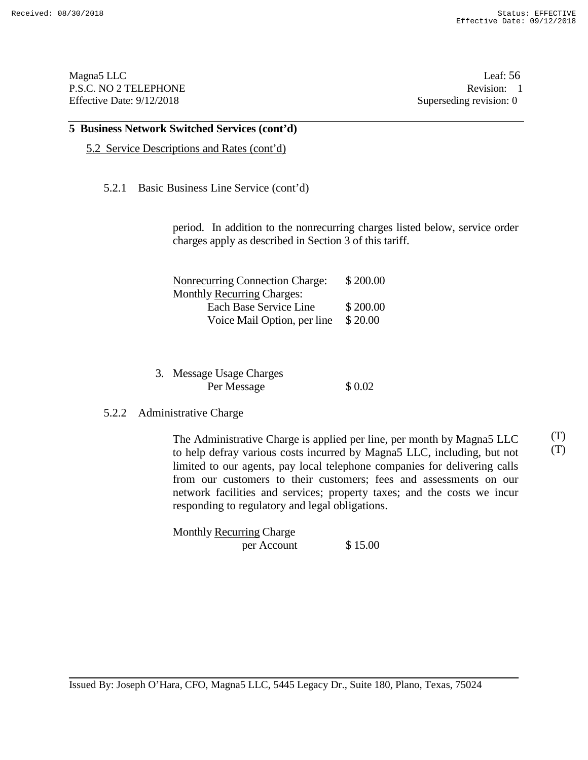Magna5 LLC Leaf: 56 P.S.C. NO 2 TELEPHONE Revision: 1<br>Effective Date: 9/12/2018 Superseding revision: 0 Effective Date:  $9/12/2018$ 

#### **5 Business Network Switched Services (cont'd)**

5.2 Service Descriptions and Rates (cont'd)

#### 5.2.1 Basic Business Line Service (cont'd)

period. In addition to the nonrecurring charges listed below, service order charges apply as described in Section 3 of this tariff.

| <b>Nonrecurring Connection Charge:</b> | \$200.00 |  |  |
|----------------------------------------|----------|--|--|
| <b>Monthly Recurring Charges:</b>      |          |  |  |
| Each Base Service Line                 | \$200.00 |  |  |
| Voice Mail Option, per line            | \$20.00  |  |  |

3. Message Usage Charges Per Message  $$ 0.02$ 

#### 5.2.2 Administrative Charge

The Administrative Charge is applied per line, per month by Magna5 LLC to help defray various costs incurred by Magna5 LLC, including, but not limited to our agents, pay local telephone companies for delivering calls from our customers to their customers; fees and assessments on our network facilities and services; property taxes; and the costs we incur responding to regulatory and legal obligations. (T) (T)

Monthly Recurring Charge per Account \$15.00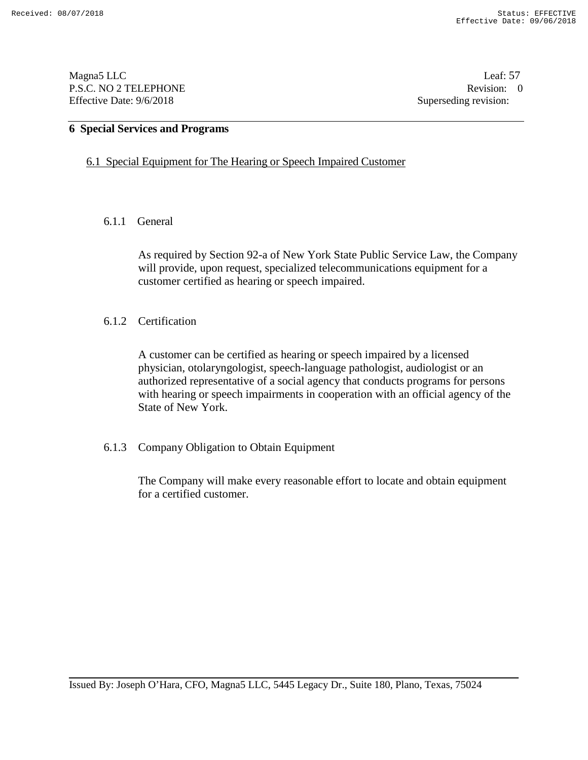Magna5 LLC Leaf: 57 P.S.C. NO 2 TELEPHONE Revision: 0<br>Effective Date: 9/6/2018 Superseding revision: 0 Effective Date: 9/6/2018

## **6 Special Services and Programs**

### 6.1 Special Equipment for The Hearing or Speech Impaired Customer

## 6.1.1 General

As required by Section 92-a of New York State Public Service Law, the Company will provide, upon request, specialized telecommunications equipment for a customer certified as hearing or speech impaired.

### 6.1.2 Certification

A customer can be certified as hearing or speech impaired by a licensed physician, otolaryngologist, speech-language pathologist, audiologist or an authorized representative of a social agency that conducts programs for persons with hearing or speech impairments in cooperation with an official agency of the State of New York.

#### 6.1.3 Company Obligation to Obtain Equipment

The Company will make every reasonable effort to locate and obtain equipment for a certified customer.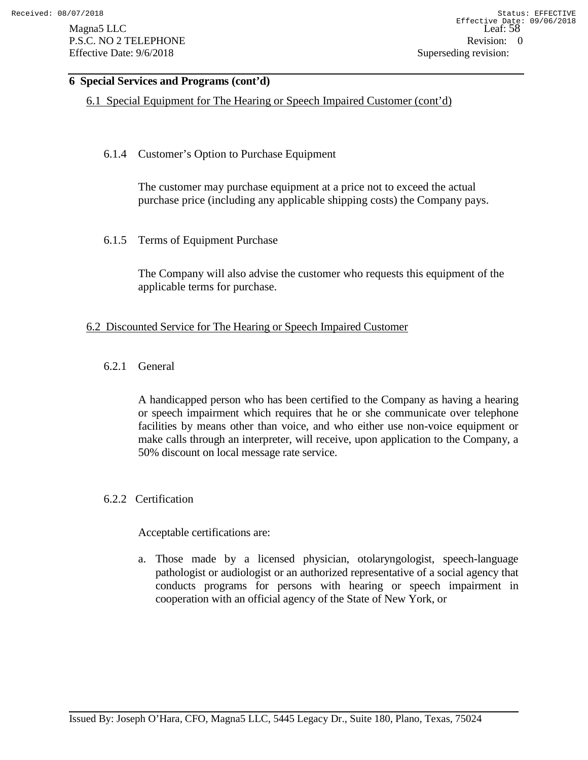Magna5 LLC Leaf: 588 Leaf: 588 Leaf: 588 Leaf: 588 Leaf: 588 Leaf: 588 Leaf: 588 Leaf: 588 Leaf: 588 Leaf: 588 Leaf: 588 Leaf: 588 Leaf: 588 Leaf: 588 Leaf: 588 Leaf: 588 Leaf: 588 Leaf: 588 Leaf: 588 Leaf: 588 Leaf: 588 L P.S.C. NO 2 TELEPHONE Revision: 0 Effective Date: 9/6/2018 Superseding revision:

# **6 Special Services and Programs (cont'd)**

6.1 Special Equipment for The Hearing or Speech Impaired Customer (cont'd)

# 6.1.4 Customer's Option to Purchase Equipment

The customer may purchase equipment at a price not to exceed the actual purchase price (including any applicable shipping costs) the Company pays.

6.1.5 Terms of Equipment Purchase

The Company will also advise the customer who requests this equipment of the applicable terms for purchase.

## 6.2 Discounted Service for The Hearing or Speech Impaired Customer

6.2.1 General

A handicapped person who has been certified to the Company as having a hearing or speech impairment which requires that he or she communicate over telephone facilities by means other than voice, and who either use non-voice equipment or make calls through an interpreter, will receive, upon application to the Company, a 50% discount on local message rate service.

## 6.2.2 Certification

#### Acceptable certifications are:

a. Those made by a licensed physician, otolaryngologist, speech-language pathologist or audiologist or an authorized representative of a social agency that conducts programs for persons with hearing or speech impairment in cooperation with an official agency of the State of New York, or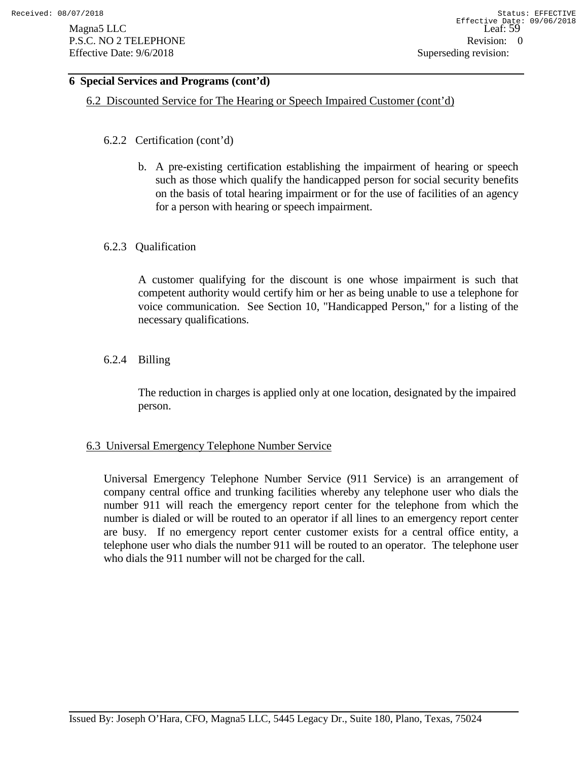# **6 Special Services and Programs (cont'd)**

6.2 Discounted Service for The Hearing or Speech Impaired Customer (cont'd)

- 6.2.2 Certification (cont'd)
	- b. A pre-existing certification establishing the impairment of hearing or speech such as those which qualify the handicapped person for social security benefits on the basis of total hearing impairment or for the use of facilities of an agency for a person with hearing or speech impairment.

## 6.2.3 Qualification

A customer qualifying for the discount is one whose impairment is such that competent authority would certify him or her as being unable to use a telephone for voice communication. See Section 10, "Handicapped Person," for a listing of the necessary qualifications.

# 6.2.4 Billing

The reduction in charges is applied only at one location, designated by the impaired person.

## 6.3 Universal Emergency Telephone Number Service

Universal Emergency Telephone Number Service (911 Service) is an arrangement of company central office and trunking facilities whereby any telephone user who dials the number 911 will reach the emergency report center for the telephone from which the number is dialed or will be routed to an operator if all lines to an emergency report center are busy. If no emergency report center customer exists for a central office entity, a telephone user who dials the number 911 will be routed to an operator. The telephone user who dials the 911 number will not be charged for the call.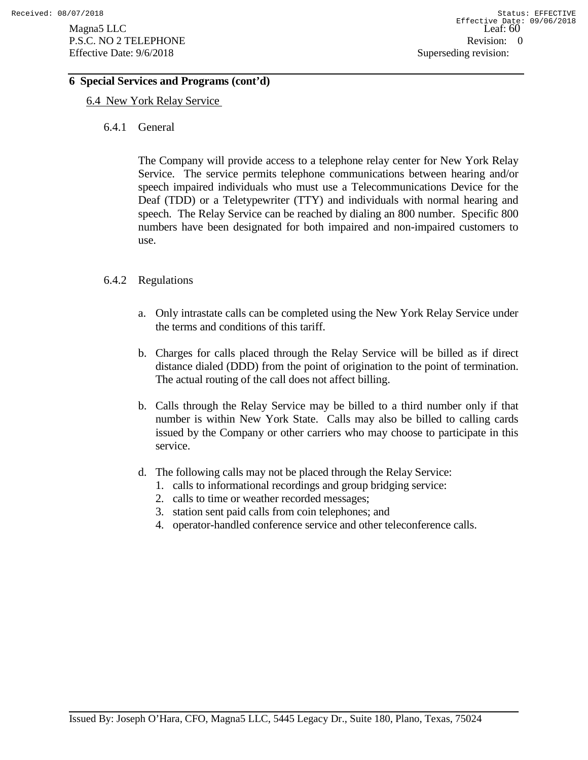## **6 Special Services and Programs (cont'd)**

### 6.4 New York Relay Service

6.4.1 General

The Company will provide access to a telephone relay center for New York Relay Service. The service permits telephone communications between hearing and/or speech impaired individuals who must use a Telecommunications Device for the Deaf (TDD) or a Teletypewriter (TTY) and individuals with normal hearing and speech. The Relay Service can be reached by dialing an 800 number. Specific 800 numbers have been designated for both impaired and non-impaired customers to use.

### 6.4.2 Regulations

- a. Only intrastate calls can be completed using the New York Relay Service under the terms and conditions of this tariff.
- b. Charges for calls placed through the Relay Service will be billed as if direct distance dialed (DDD) from the point of origination to the point of termination. The actual routing of the call does not affect billing.
- b. Calls through the Relay Service may be billed to a third number only if that number is within New York State. Calls may also be billed to calling cards issued by the Company or other carriers who may choose to participate in this service.
- d. The following calls may not be placed through the Relay Service:
	- 1. calls to informational recordings and group bridging service:
	- 2. calls to time or weather recorded messages;
	- 3. station sent paid calls from coin telephones; and
	- 4. operator-handled conference service and other teleconference calls.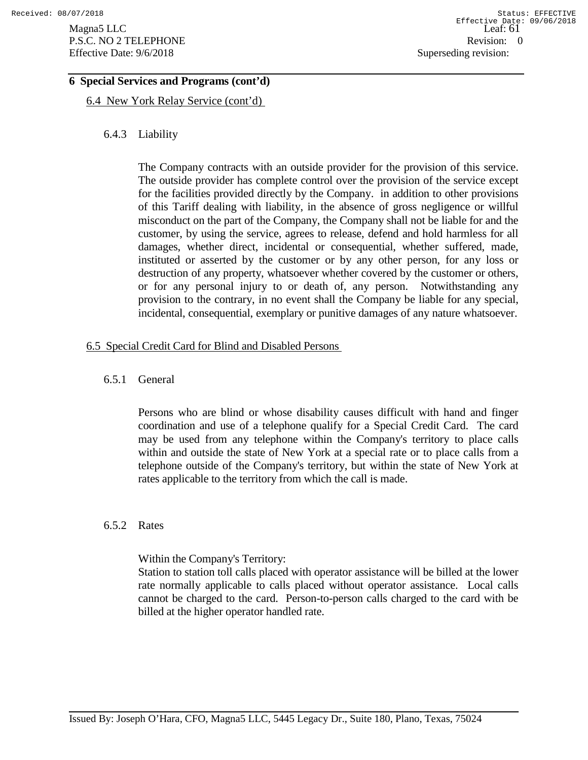## **6 Special Services and Programs (cont'd)**

6.4 New York Relay Service (cont'd)

## 6.4.3 Liability

The Company contracts with an outside provider for the provision of this service. The outside provider has complete control over the provision of the service except for the facilities provided directly by the Company. in addition to other provisions of this Tariff dealing with liability, in the absence of gross negligence or willful misconduct on the part of the Company, the Company shall not be liable for and the customer, by using the service, agrees to release, defend and hold harmless for all damages, whether direct, incidental or consequential, whether suffered, made, instituted or asserted by the customer or by any other person, for any loss or destruction of any property, whatsoever whether covered by the customer or others, or for any personal injury to or death of, any person. Notwithstanding any provision to the contrary, in no event shall the Company be liable for any special, incidental, consequential, exemplary or punitive damages of any nature whatsoever.

## 6.5 Special Credit Card for Blind and Disabled Persons

#### 6.5.1 General

Persons who are blind or whose disability causes difficult with hand and finger coordination and use of a telephone qualify for a Special Credit Card. The card may be used from any telephone within the Company's territory to place calls within and outside the state of New York at a special rate or to place calls from a telephone outside of the Company's territory, but within the state of New York at rates applicable to the territory from which the call is made.

### 6.5.2 Rates

Within the Company's Territory:

Station to station toll calls placed with operator assistance will be billed at the lower rate normally applicable to calls placed without operator assistance. Local calls cannot be charged to the card. Person-to-person calls charged to the card with be billed at the higher operator handled rate.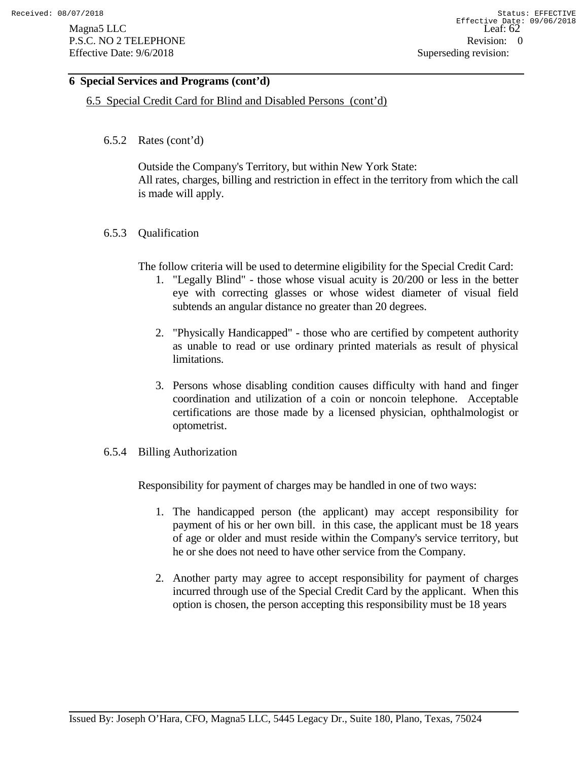# **6 Special Services and Programs (cont'd)**

6.5 Special Credit Card for Blind and Disabled Persons (cont'd)

6.5.2 Rates (cont'd)

Outside the Company's Territory, but within New York State: All rates, charges, billing and restriction in effect in the territory from which the call is made will apply.

6.5.3 Qualification

The follow criteria will be used to determine eligibility for the Special Credit Card:

- 1. "Legally Blind" those whose visual acuity is 20/200 or less in the better eye with correcting glasses or whose widest diameter of visual field subtends an angular distance no greater than 20 degrees.
- 2. "Physically Handicapped" those who are certified by competent authority as unable to read or use ordinary printed materials as result of physical limitations.
- 3. Persons whose disabling condition causes difficulty with hand and finger coordination and utilization of a coin or noncoin telephone. Acceptable certifications are those made by a licensed physician, ophthalmologist or optometrist.
- 6.5.4 Billing Authorization

Responsibility for payment of charges may be handled in one of two ways:

- 1. The handicapped person (the applicant) may accept responsibility for payment of his or her own bill. in this case, the applicant must be 18 years of age or older and must reside within the Company's service territory, but he or she does not need to have other service from the Company.
- 2. Another party may agree to accept responsibility for payment of charges incurred through use of the Special Credit Card by the applicant. When this option is chosen, the person accepting this responsibility must be 18 years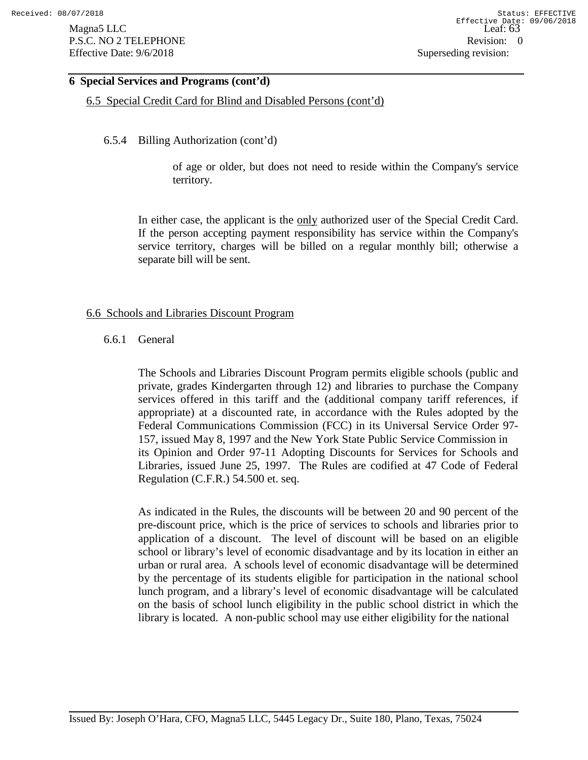### **6 Special Services and Programs (cont'd)**

6.5 Special Credit Card for Blind and Disabled Persons (cont'd)

### 6.5.4 Billing Authorization (cont'd)

of age or older, but does not need to reside within the Company's service territory.

In either case, the applicant is the only authorized user of the Special Credit Card. If the person accepting payment responsibility has service within the Company's service territory, charges will be billed on a regular monthly bill; otherwise a separate bill will be sent.

### 6.6 Schools and Libraries Discount Program

### 6.6.1 General

The Schools and Libraries Discount Program permits eligible schools (public and private, grades Kindergarten through 12) and libraries to purchase the Company services offered in this tariff and the (additional company tariff references, if appropriate) at a discounted rate, in accordance with the Rules adopted by the Federal Communications Commission (FCC) in its Universal Service Order 97- 157, issued May 8, 1997 and the New York State Public Service Commission in its Opinion and Order 97-11 Adopting Discounts for Services for Schools and Libraries, issued June 25, 1997. The Rules are codified at 47 Code of Federal Regulation (C.F.R.) 54.500 et. seq.

As indicated in the Rules, the discounts will be between 20 and 90 percent of the pre-discount price, which is the price of services to schools and libraries prior to application of a discount. The level of discount will be based on an eligible school or library's level of economic disadvantage and by its location in either an urban or rural area. A schools level of economic disadvantage will be determined by the percentage of its students eligible for participation in the national school lunch program, and a library's level of economic disadvantage will be calculated on the basis of school lunch eligibility in the public school district in which the library is located. A non-public school may use either eligibility for the national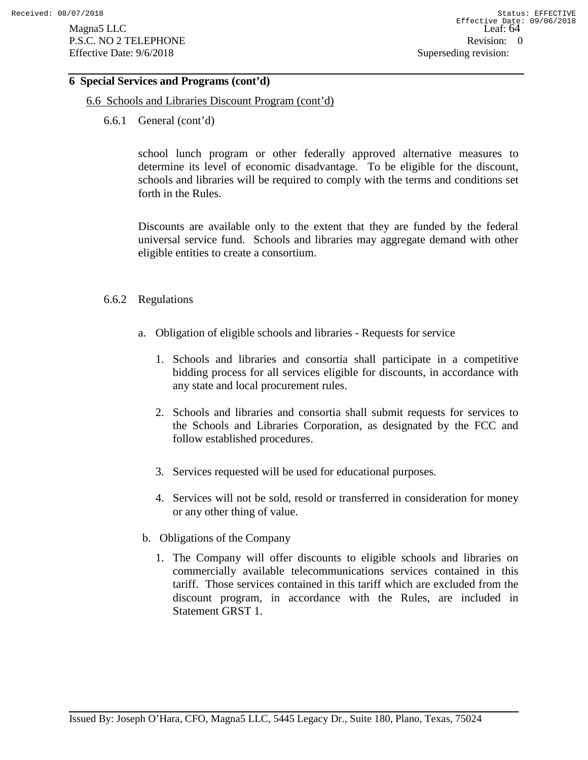## **6 Special Services and Programs (cont'd)**

- 6.6 Schools and Libraries Discount Program (cont'd)
	- 6.6.1 General (cont'd)

school lunch program or other federally approved alternative measures to determine its level of economic disadvantage. To be eligible for the discount, schools and libraries will be required to comply with the terms and conditions set forth in the Rules.

Discounts are available only to the extent that they are funded by the federal universal service fund. Schools and libraries may aggregate demand with other eligible entities to create a consortium.

### 6.6.2 Regulations

- a. Obligation of eligible schools and libraries Requests for service
	- 1. Schools and libraries and consortia shall participate in a competitive bidding process for all services eligible for discounts, in accordance with any state and local procurement rules.
	- 2. Schools and libraries and consortia shall submit requests for services to the Schools and Libraries Corporation, as designated by the FCC and follow established procedures.
	- 3. Services requested will be used for educational purposes.
	- 4. Services will not be sold, resold or transferred in consideration for money or any other thing of value.
- b. Obligations of the Company
	- 1. The Company will offer discounts to eligible schools and libraries on commercially available telecommunications services contained in this tariff. Those services contained in this tariff which are excluded from the discount program, in accordance with the Rules, are included in Statement GRST 1.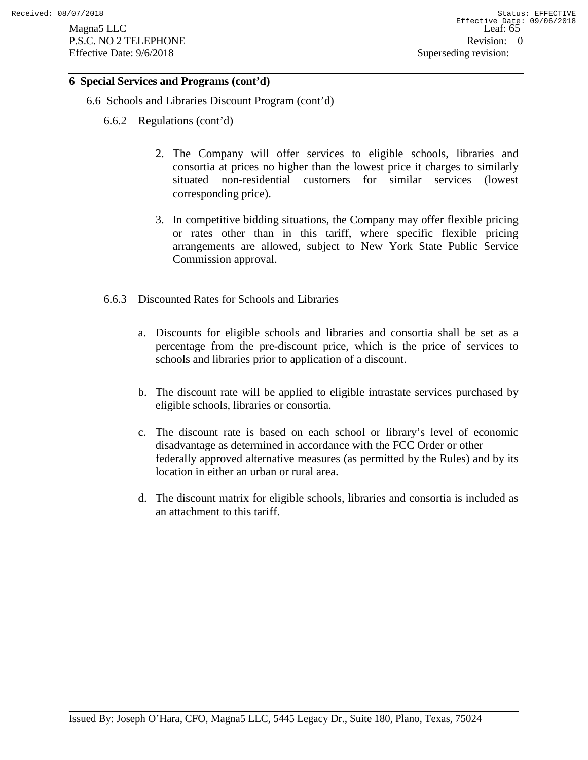## **6 Special Services and Programs (cont'd)**

- 6.6 Schools and Libraries Discount Program (cont'd)
	- 6.6.2 Regulations (cont'd)
		- 2. The Company will offer services to eligible schools, libraries and consortia at prices no higher than the lowest price it charges to similarly situated non-residential customers for similar services (lowest corresponding price).
		- 3. In competitive bidding situations, the Company may offer flexible pricing or rates other than in this tariff, where specific flexible pricing arrangements are allowed, subject to New York State Public Service Commission approval.
	- 6.6.3 Discounted Rates for Schools and Libraries
		- a. Discounts for eligible schools and libraries and consortia shall be set as a percentage from the pre-discount price, which is the price of services to schools and libraries prior to application of a discount.
		- b. The discount rate will be applied to eligible intrastate services purchased by eligible schools, libraries or consortia.
		- c. The discount rate is based on each school or library's level of economic disadvantage as determined in accordance with the FCC Order or other federally approved alternative measures (as permitted by the Rules) and by its location in either an urban or rural area.
		- d. The discount matrix for eligible schools, libraries and consortia is included as an attachment to this tariff.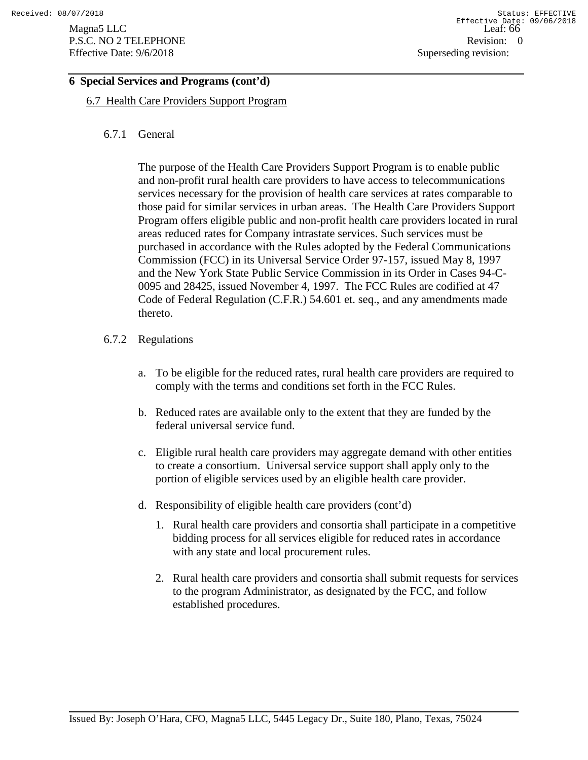# **6 Special Services and Programs (cont'd)**

6.7 Health Care Providers Support Program

## 6.7.1 General

The purpose of the Health Care Providers Support Program is to enable public and non-profit rural health care providers to have access to telecommunications services necessary for the provision of health care services at rates comparable to those paid for similar services in urban areas. The Health Care Providers Support Program offers eligible public and non-profit health care providers located in rural areas reduced rates for Company intrastate services. Such services must be purchased in accordance with the Rules adopted by the Federal Communications Commission (FCC) in its Universal Service Order 97-157, issued May 8, 1997 and the New York State Public Service Commission in its Order in Cases 94-C-0095 and 28425, issued November 4, 1997. The FCC Rules are codified at 47 Code of Federal Regulation (C.F.R.) 54.601 et. seq., and any amendments made thereto.

## 6.7.2 Regulations

- a. To be eligible for the reduced rates, rural health care providers are required to comply with the terms and conditions set forth in the FCC Rules.
- b. Reduced rates are available only to the extent that they are funded by the federal universal service fund.
- c. Eligible rural health care providers may aggregate demand with other entities to create a consortium. Universal service support shall apply only to the portion of eligible services used by an eligible health care provider.
- d. Responsibility of eligible health care providers (cont'd)
	- 1. Rural health care providers and consortia shall participate in a competitive bidding process for all services eligible for reduced rates in accordance with any state and local procurement rules.
	- 2. Rural health care providers and consortia shall submit requests for services to the program Administrator, as designated by the FCC, and follow established procedures.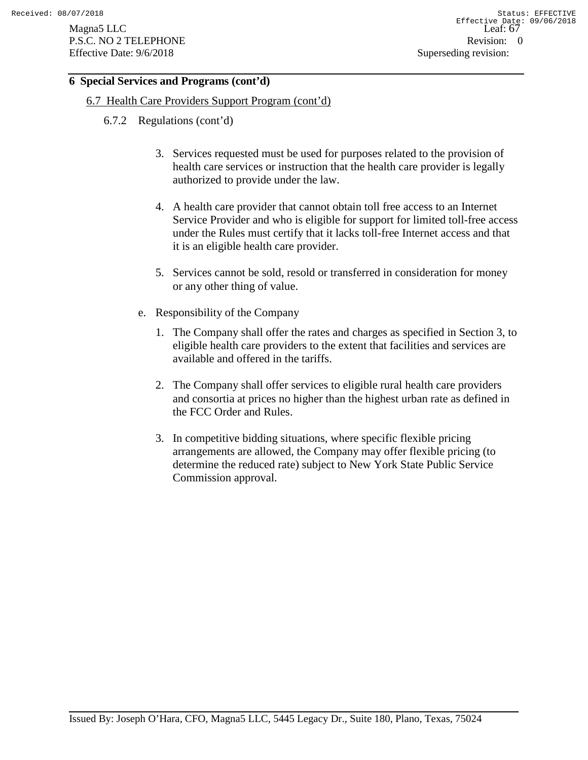# **6 Special Services and Programs (cont'd)**

- 6.7 Health Care Providers Support Program (cont'd)
	- 6.7.2 Regulations (cont'd)
		- 3. Services requested must be used for purposes related to the provision of health care services or instruction that the health care provider is legally authorized to provide under the law.
		- 4. A health care provider that cannot obtain toll free access to an Internet Service Provider and who is eligible for support for limited toll-free access under the Rules must certify that it lacks toll-free Internet access and that it is an eligible health care provider.
		- 5. Services cannot be sold, resold or transferred in consideration for money or any other thing of value.
		- e. Responsibility of the Company
			- 1. The Company shall offer the rates and charges as specified in Section 3, to eligible health care providers to the extent that facilities and services are available and offered in the tariffs.
			- 2. The Company shall offer services to eligible rural health care providers and consortia at prices no higher than the highest urban rate as defined in the FCC Order and Rules.
			- 3. In competitive bidding situations, where specific flexible pricing arrangements are allowed, the Company may offer flexible pricing (to determine the reduced rate) subject to New York State Public Service Commission approval.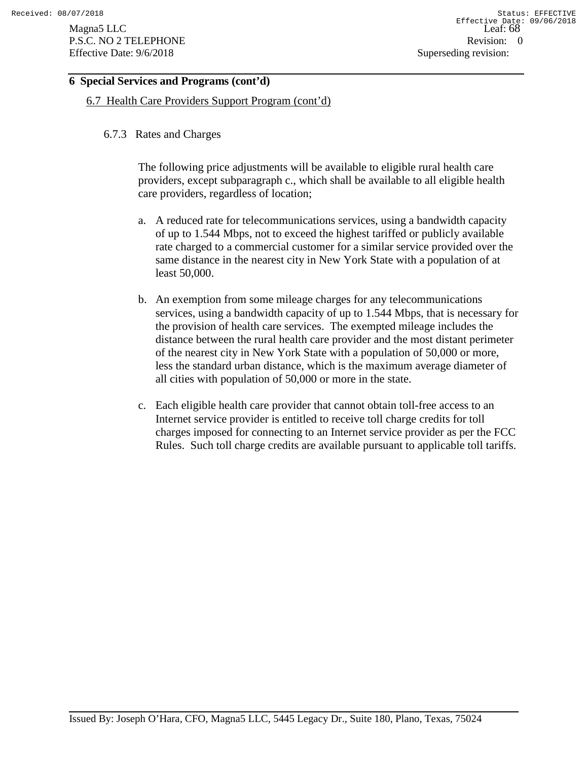# **6 Special Services and Programs (cont'd)**

6.7 Health Care Providers Support Program (cont'd)

## 6.7.3 Rates and Charges

The following price adjustments will be available to eligible rural health care providers, except subparagraph c., which shall be available to all eligible health care providers, regardless of location;

- a. A reduced rate for telecommunications services, using a bandwidth capacity of up to 1.544 Mbps, not to exceed the highest tariffed or publicly available rate charged to a commercial customer for a similar service provided over the same distance in the nearest city in New York State with a population of at least 50,000.
- b. An exemption from some mileage charges for any telecommunications services, using a bandwidth capacity of up to 1.544 Mbps, that is necessary for the provision of health care services. The exempted mileage includes the distance between the rural health care provider and the most distant perimeter of the nearest city in New York State with a population of 50,000 or more, less the standard urban distance, which is the maximum average diameter of all cities with population of 50,000 or more in the state.
- c. Each eligible health care provider that cannot obtain toll-free access to an Internet service provider is entitled to receive toll charge credits for toll charges imposed for connecting to an Internet service provider as per the FCC Rules. Such toll charge credits are available pursuant to applicable toll tariffs.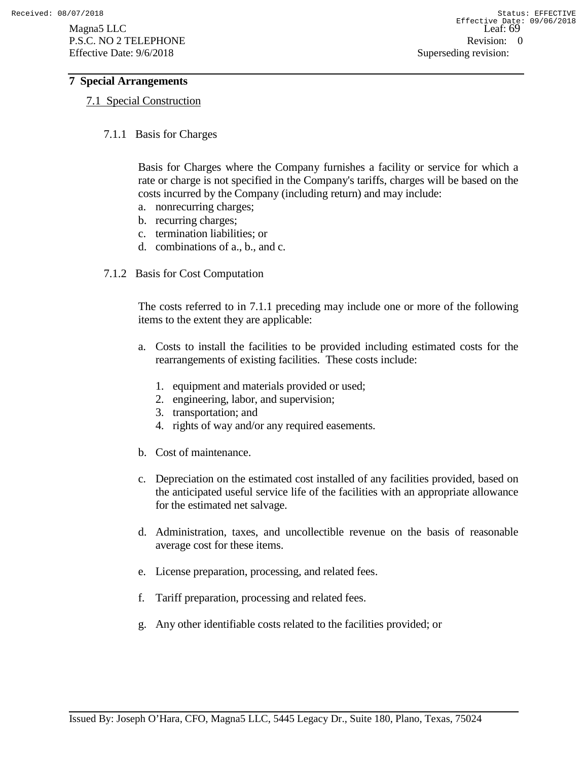### **7 Special Arrangements**

### 7.1 Special Construction

7.1.1 Basis for Charges

Basis for Charges where the Company furnishes a facility or service for which a rate or charge is not specified in the Company's tariffs, charges will be based on the costs incurred by the Company (including return) and may include:

- a. nonrecurring charges;
- b. recurring charges;
- c. termination liabilities; or
- d. combinations of a., b., and c.
- 7.1.2 Basis for Cost Computation

The costs referred to in 7.1.1 preceding may include one or more of the following items to the extent they are applicable:

- a. Costs to install the facilities to be provided including estimated costs for the rearrangements of existing facilities. These costs include:
	- 1. equipment and materials provided or used;
	- 2. engineering, labor, and supervision;
	- 3. transportation; and
	- 4. rights of way and/or any required easements.
- b. Cost of maintenance.
- c. Depreciation on the estimated cost installed of any facilities provided, based on the anticipated useful service life of the facilities with an appropriate allowance for the estimated net salvage.
- d. Administration, taxes, and uncollectible revenue on the basis of reasonable average cost for these items.
- e. License preparation, processing, and related fees.
- f. Tariff preparation, processing and related fees.
- g. Any other identifiable costs related to the facilities provided; or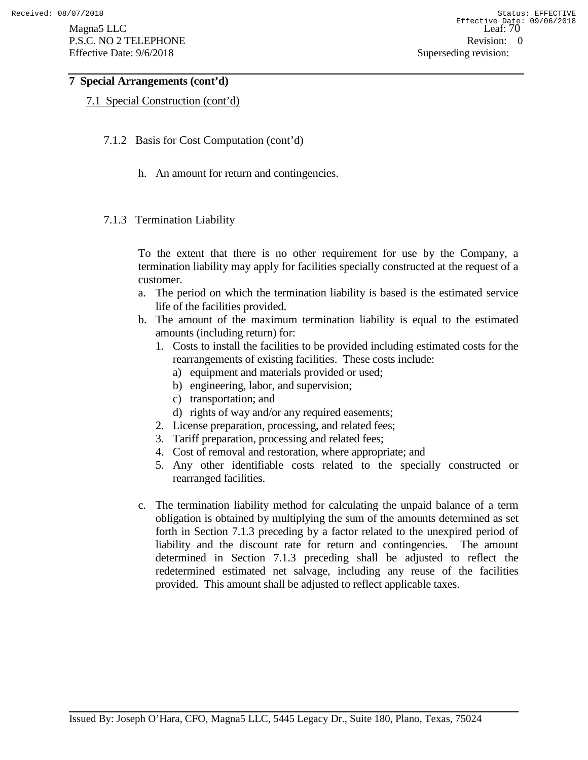Magna5 LLC Leaf: 70 P.S.C. NO 2 TELEPHONE Revision: 0 Effective Date: 9/6/2018 Superseding revision:

## **7 Special Arrangements (cont'd)**

### 7.1 Special Construction (cont'd)

- 7.1.2 Basis for Cost Computation (cont'd)
	- h. An amount for return and contingencies.
- 7.1.3 Termination Liability

To the extent that there is no other requirement for use by the Company, a termination liability may apply for facilities specially constructed at the request of a customer.

- a. The period on which the termination liability is based is the estimated service life of the facilities provided.
- b. The amount of the maximum termination liability is equal to the estimated amounts (including return) for:
	- 1. Costs to install the facilities to be provided including estimated costs for the rearrangements of existing facilities. These costs include:
		- a) equipment and materials provided or used;
		- b) engineering, labor, and supervision;
		- c) transportation; and
		- d) rights of way and/or any required easements;
	- 2. License preparation, processing, and related fees;
	- 3. Tariff preparation, processing and related fees;
	- 4. Cost of removal and restoration, where appropriate; and
	- 5. Any other identifiable costs related to the specially constructed or rearranged facilities.
- c. The termination liability method for calculating the unpaid balance of a term obligation is obtained by multiplying the sum of the amounts determined as set forth in Section 7.1.3 preceding by a factor related to the unexpired period of liability and the discount rate for return and contingencies. The amount determined in Section 7.1.3 preceding shall be adjusted to reflect the redetermined estimated net salvage, including any reuse of the facilities provided. This amount shall be adjusted to reflect applicable taxes.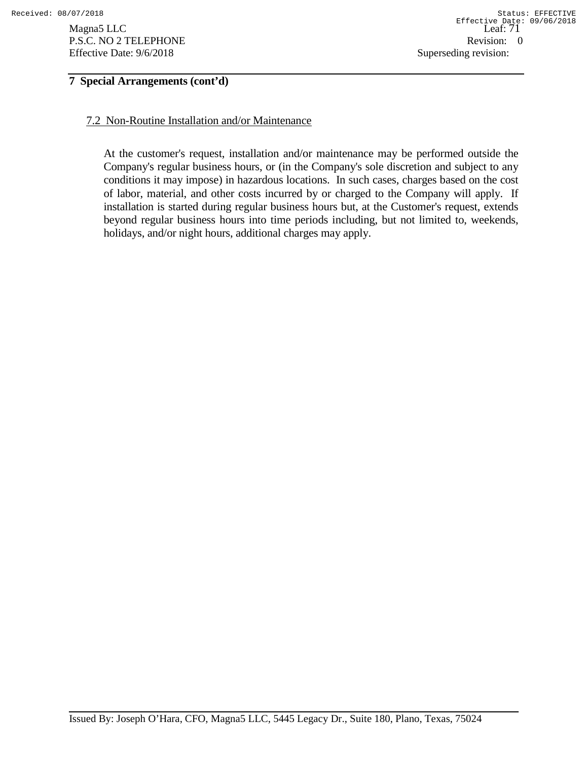# **7 Special Arrangements (cont'd)**

## 7.2 Non-Routine Installation and/or Maintenance

At the customer's request, installation and/or maintenance may be performed outside the Company's regular business hours, or (in the Company's sole discretion and subject to any conditions it may impose) in hazardous locations. In such cases, charges based on the cost of labor, material, and other costs incurred by or charged to the Company will apply. If installation is started during regular business hours but, at the Customer's request, extends beyond regular business hours into time periods including, but not limited to, weekends, holidays, and/or night hours, additional charges may apply.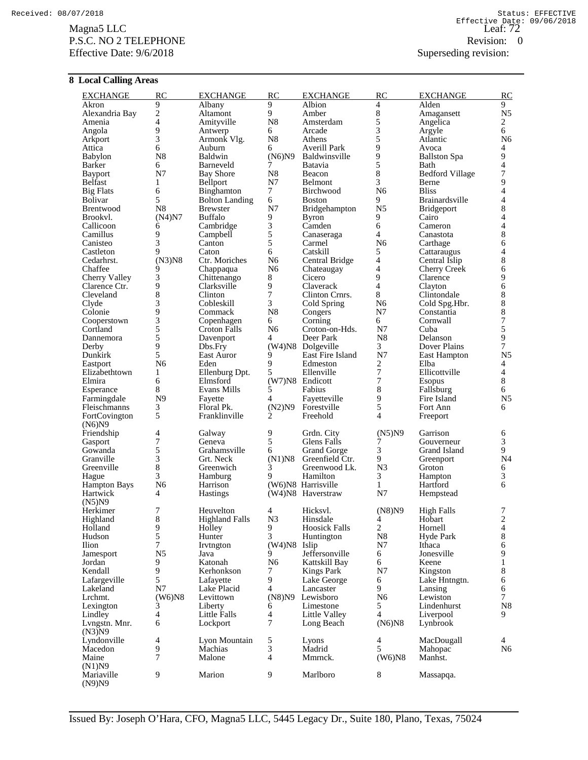### $\frac{2}{\text{Meaf}}$ . The Leaf:  $\frac{72}{\text{Meaf}}$ P.S.C. NO 2 TELEPHONE Revision: 0 Effective Date: 9/6/2018 Superseding revision:

### **8 Local Calling Areas**

| <b>EXCHANGE</b>          | <b>RC</b>                                  | <b>EXCHANGE</b>        | <b>RC</b>        | <b>EXCHANGE</b>              | <b>RC</b>               | <b>EXCHANGE</b>        | RC                               |
|--------------------------|--------------------------------------------|------------------------|------------------|------------------------------|-------------------------|------------------------|----------------------------------|
| Akron                    | 9                                          | Albany                 | 9<br>9           | Albion                       | 4                       | Alden                  | 9                                |
| Alexandria Bay<br>Amenia | $\overline{c}$<br>$\overline{\mathcal{L}}$ | Altamont<br>Amityville | ${\bf N8}$       | Amber<br>Amsterdam           | 8<br>5                  | Amagansett<br>Angelica | N <sub>5</sub><br>$\overline{c}$ |
| Angola                   | 9                                          | Antwerp                | 6                | Arcade                       | 3                       | Argyle                 | 6                                |
| Arkport                  | 3                                          | Armonk Vlg.            | ${\bf N8}$       | Athens                       | 5                       | Atlantic               | N <sub>6</sub>                   |
| Attica                   | 6                                          | Auburn                 | 6                | <b>Averill Park</b>          | 9                       | Avoca                  | 4                                |
| Babylon                  | N8                                         | Baldwin                | (N6)N9           | <b>Baldwinsville</b>         | 9                       | <b>Ballston Spa</b>    | 9                                |
| Barker                   | 6                                          | Barneveld              | 7                | <b>Batavia</b>               | 5                       | Bath                   | $\overline{4}$                   |
| <b>Bayport</b>           | N7                                         | <b>Bay Shore</b>       | N8               | Beacon                       | 8                       | <b>Bedford Village</b> | 7                                |
| Belfast                  | 1                                          | Bellport               | N7               | Belmont                      | 3                       | Berne                  | 9                                |
| <b>Big Flats</b>         | 6                                          | Binghamton             | $\tau$           | Birchwood                    | N <sub>6</sub>          | <b>Bliss</b>           | $\overline{4}$                   |
| <b>Bolivar</b>           | 5                                          | <b>Bolton Landing</b>  | 6                | <b>Boston</b>                | 9                       | Brainardsville         | $\overline{4}$                   |
| Brentwood                | N8                                         | <b>Brewster</b>        | N7               | Bridgehampton                | N <sub>5</sub>          | <b>Bridgeport</b>      | 8                                |
| Brookvl.                 | (N4)N7                                     | <b>Buffalo</b>         | 9                | Byron                        | 9<br>6                  | Cairo                  | $\overline{4}$                   |
| Callicoon                | 6<br>9                                     | Cambridge              | 3<br>5           | Camden                       | 4                       | Cameron                | 4<br>8                           |
| Camillus<br>Canisteo     | 3                                          | Campbell<br>Canton     | 5                | Canaseraga<br>Carmel         | N <sub>6</sub>          | Canastota<br>Carthage  | 6                                |
| Castleton                | 9                                          | Caton                  | 6                | Catskill                     | 5                       | Cattaraugus            | $\overline{4}$                   |
| Cedarhrst.               | $(N3)$ N8                                  | Ctr. Moriches          | N <sub>6</sub>   | Central Bridge               | 4                       | Central Islip          | 8                                |
| Chaffee                  | 9                                          | Chappaqua              | N <sub>6</sub>   | Chateaugay                   | 4                       | <b>Cherry Creek</b>    | 6                                |
| Cherry Valley            | 3                                          | Chittenango            | 8                | Cicero                       | 9                       | Clarence               | 9                                |
| Clarence Ctr.            | 9                                          | Clarksville            | 9                | Claverack                    | $\overline{4}$          | Clayton                | 6                                |
| Cleveland                | 8                                          | Clinton                | $\boldsymbol{7}$ | Clinton Crnrs.               | 8                       | Clintondale            | 8                                |
| Clyde                    | 3                                          | Cobleskill             | 3                | Cold Spring                  | N <sub>6</sub>          | Cold Spg.Hbr.          | 8                                |
| Colonie                  | 9                                          | Commack                | ${\bf N8}$       | Congers                      | N7                      | Constantia             | 8                                |
| Cooperstown              | 3                                          | Copenhagen             | 6                | Corning                      | 6                       | Cornwall               | $\overline{7}$                   |
| Cortland                 | 5                                          | Croton Falls           | N <sub>6</sub>   | Croton-on-Hds.               | N7                      | Cuba                   | 5                                |
| Dannemora                | 5                                          | Davenport              | 4                | Deer Park                    | N <sub>8</sub>          | Delanson               | 9                                |
| Derby                    | 9<br>5                                     | Dbs.Fry                | 9                | (W4)N8 Dolgeville            | 3                       | <b>Dover Plains</b>    | $\tau$                           |
| Dunkirk<br>Eastport      | N <sub>6</sub>                             | East Auror<br>Eden     | 9                | East Fire Island<br>Edmeston | N7<br>2                 | East Hampton<br>Elba   | N5<br>4                          |
| Elizabethtown            | $\mathbf{1}$                               | Ellenburg Dpt.         | 5                | Ellenville                   | 7                       | Ellicottville          | 4                                |
| Elmira                   | 6                                          | Elmsford               |                  | (W7)N8 Endicott              | 7                       | <b>Esopus</b>          | 8                                |
| Esperance                | 8                                          | Evans Mills            | 5                | Fabius                       | 8                       | Fallsburg              | 6                                |
| Farmingdale              | N <sub>9</sub>                             | Fayette                | 4                | Fayetteville                 | 9                       | Fire Island            | N <sub>5</sub>                   |
| Fleischmanns             | 3                                          | Floral Pk.             | (N2)N9           | Forestville                  | 5                       | Fort Ann               | 6                                |
| FortCovington            | 5                                          | Franklinville          | 2                | Freehold                     | $\overline{4}$          | Freeport               |                                  |
| (N6)N9                   |                                            |                        |                  |                              |                         |                        |                                  |
| Friendship<br>Gasport    | 4<br>7                                     | Galway<br>Geneva       | 9<br>5           | Grdn. City<br>Glens Falls    | (N5)N9<br>7             | Garrison<br>Gouverneur | 6<br>3                           |
| Gowanda                  | 5                                          | Grahamsville           | 6                | <b>Grand Gorge</b>           | 3                       | Grand Island           | 9                                |
| Granville                | 3                                          | Grt. Neck              | $(N1)$ N8        | Greenfield Ctr.              | 9                       | Greenport              | N <sub>4</sub>                   |
| Greenville               | 8                                          | Greenwich              | 3                | Greenwood Lk.                | N <sub>3</sub>          | Groton                 | 6                                |
| Hague                    | 3                                          | Hamburg                | 9                | Hamilton                     | 3                       | Hampton                | 3                                |
| <b>Hampton Bays</b>      | N <sub>6</sub>                             | Harrison               |                  | (W6)N8 Harrisville           | $\mathbf{1}$            | Hartford               | 6                                |
| Hartwick                 | 4                                          | <b>Hastings</b>        |                  | (W4)N8 Haverstraw            | N7                      | Hempstead              |                                  |
| (N5)N9                   |                                            |                        |                  |                              |                         |                        |                                  |
| Herkimer                 | 7                                          | Heuvelton              | 4                | Hicksyl.                     | (N8)N9                  | <b>High Falls</b>      | 7                                |
| Highland                 | $\,$ 8 $\,$                                | <b>Highland Falls</b>  | N3               | Hinsdale                     | 4                       | Hobart                 | $\frac{2}{4}$                    |
| Holland                  | 9                                          | Holley                 | 9                | <b>Hoosick Falls</b>         | $\overline{c}$          | Hornell                |                                  |
| Hudson                   | 5<br>7                                     | Hunter                 | 3                | Huntington                   | N8                      | Hyde Park              | 8                                |
| Ilion<br>Jamesport       | N <sub>5</sub>                             | Irvtngton<br>Java      | $(W4)$ N8<br>9   | Islip<br>Jeffersonville      | N7<br>6                 | Ithaca<br>Jonesville   | 6<br>9                           |
| Jordan                   | 9                                          | Katonah                | N <sub>6</sub>   | Kattskill Bay                | 6                       | Keene                  | $\mathbf{1}$                     |
| Kendall                  | 9                                          | Kerhonkson             | 7                | <b>Kings Park</b>            | N7                      | Kingston               | 8                                |
| Lafargeville             | 5                                          | Lafayette              | 9                | Lake George                  | 6                       | Lake Hntngtn.          | 6                                |
| Lakeland                 | N7                                         | Lake Placid            | $\overline{4}$   | Lancaster                    | 9                       | Lansing                | 6                                |
| Lrchmt.                  | $(W6)$ N8                                  | Levittown              | (N8)N9           | Lewisboro                    | N <sub>6</sub>          | Lewiston               | $\overline{7}$                   |
| Lexington                | 3                                          | Liberty                | 6                | Limestone                    | 5                       | Lindenhurst            | N <sub>8</sub>                   |
| Lindley                  | 4                                          | Little Falls           | 4                | Little Valley                | $\overline{4}$          | Liverpool              | 9                                |
| Lyngstn. Mnr.<br>(N3)N9  | 6                                          | Lockport               | 7                | Long Beach                   | $(N6)$ N8               | Lynbrook               |                                  |
| Lyndonville              | 4                                          | Lyon Mountain          | $\sqrt{5}$       | Lyons                        | $\overline{\mathbf{4}}$ | MacDougall             | $\overline{4}$                   |
| Macedon                  | 9                                          | Machias                | 3                | Madrid                       | 5                       | Mahopac                | N <sub>6</sub>                   |
| Maine                    | 7                                          | Malone                 | $\overline{4}$   | Mmrnck.                      | $(W6)$ N8               | Manhst.                |                                  |
| (N1)N9                   |                                            |                        |                  |                              |                         |                        |                                  |
| Mariaville<br>(N9)N9     | 9                                          | Marion                 | 9                | Marlboro                     | 8                       | Massapqa.              |                                  |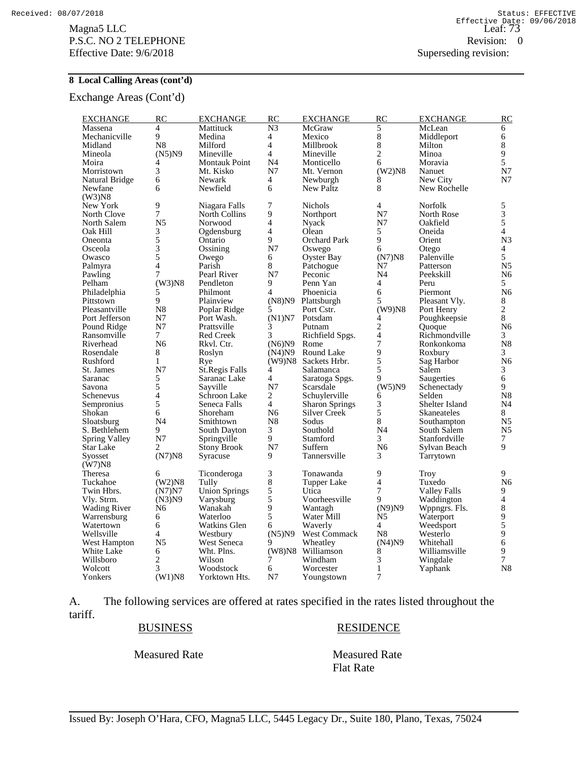$\frac{2128816}{\text{Leaf: } 73}$ P.S.C. NO 2 TELEPHONE Revision: 0 Effective Date: 9/6/2018 Superseding revision:

#### **8 Local Calling Areas (cont'd)**

Exchange Areas (Cont'd)

| <b>EXCHANGE</b>     | RC                       | <b>EXCHANGE</b>       | RC             | <b>EXCHANGE</b>       | RC             | <b>EXCHANGE</b>     | RC             |
|---------------------|--------------------------|-----------------------|----------------|-----------------------|----------------|---------------------|----------------|
| Massena             | $\overline{4}$           | Mattituck             | N <sub>3</sub> | McGraw                | 5              | McLean              | 6              |
| Mechanicville       | 9                        | Medina                | 4              | Mexico                | $\,8\,$        | Middleport          | 6              |
| Midland             | N <sub>8</sub>           | Milford               | $\overline{4}$ | Millbrook             | $\,8\,$        | Milton              | 8              |
| Mineola             | (N5)N9                   | Mineville             | $\overline{4}$ | Mineville             | $\overline{c}$ | Minoa               | 9              |
| Moira               | 4                        | <b>Montauk Point</b>  | N4             | Monticello            | 6              | Moravia             | 5              |
| Morristown          | 3                        | Mt. Kisko             | N7             | Mt. Vernon            | $(W2)$ N8      | Nanuet              | N7             |
| Natural Bridge      | 6                        | Newark                | 4              | Newburgh              | 8              | New City            | N7             |
| Newfane             | 6                        | Newfield              | 6              | <b>New Paltz</b>      | 8              | New Rochelle        |                |
| $(W3)$ N8           |                          |                       |                |                       |                |                     |                |
| New York            | 9                        | Niagara Falls         | 7              | <b>Nichols</b>        | $\overline{4}$ | Norfolk             | 5              |
| North Clove         | $\tilde{7}$              | <b>North Collins</b>  | 9              | Northport             | N7             | North Rose          | 3              |
| North Salem         | N <sub>5</sub>           | Norwood               | $\overline{4}$ | Nyack                 | N7             | Oakfield            | 5              |
| Oak Hill            | 3                        | Ogdensburg            | $\overline{4}$ | Olean                 | 5              | Oneida              | 4              |
| Oneonta             | 5                        | Ontario               | 9              | <b>Orchard Park</b>   | 9              | Orient              | N <sub>3</sub> |
| Osceola             | $\overline{\mathbf{3}}$  | Ossining              | N7             | Oswego                | 6              | Otego               | 4              |
| Owasco              | 5                        | Owego                 | 6              | Oyster Bay            | $(N7)$ N8      | Palenville          | 5              |
| Palmyra             | $\overline{4}$           | Parish                | 8              | Patchogue             | N7             | Patterson           | N <sub>5</sub> |
| Pawling             | 7                        | Pearl River           | N7             | Peconic               | N <sub>4</sub> | Peekskill           | N6             |
| Pelham              | $(W3)$ N8                | Pendleton             | 9              | Penn Yan              | $\overline{4}$ | Peru                | 5              |
| Philadelphia        | 5                        | Philmont              | 4              | Phoenicia             | 6              | Piermont            | N <sub>6</sub> |
| Pittstown           | 9                        | Plainview             | (N8)N9         | Plattsburgh           | 5              | Pleasant Vly.       | 8              |
| Pleasantville       | N <sub>8</sub>           | Poplar Ridge          | 5              | Port Cstr.            | $(W9)$ N8      | Port Henry          | $\overline{c}$ |
| Port Jefferson      | N7                       | Port Wash.            | (N1)N7         | Potsdam               | 4              | Poughkeepsie        | 8              |
| Pound Ridge         | N7                       | Prattsville           | 3              | Putnam                | $\overline{c}$ | Quoque              | N <sub>6</sub> |
| Ransomville         | $7\overline{ }$          | <b>Red Creek</b>      | 3              | Richfield Spgs.       | $\overline{4}$ | Richmondville       | 3              |
| Riverhead           | N <sub>6</sub>           | Rkvl. Ctr.            | (N6)N9         | Rome                  | $\overline{7}$ | Ronkonkoma          | N <sub>8</sub> |
| Rosendale           | 8                        | Roslyn                | (N4)N9         | Round Lake            | 9              | Roxbury             | 3              |
| Rushford            | $\mathbf{1}$             | Rye                   | (W9)N8         | Sackets Hrbr.         | $\overline{5}$ | Sag Harbor          | N <sub>6</sub> |
| St. James           | N7                       | <b>St.Regis Falls</b> | 4              | Salamanca             | 5              | Salem               | 3              |
| Saranac             | 5                        | Saranac Lake          | 4              | Saratoga Spgs.        | 9              | Saugerties          | 6              |
| Savona              | 5                        | Sayville              | N7             | Scarsdale             | (W5)N9         | Schenectady         | 9              |
| Schenevus           | $\overline{\mathcal{L}}$ | Schroon Lake          | $\overline{2}$ | Schuylerville         | 6              | Selden              | N <sub>8</sub> |
| Sempronius          | 5                        | Seneca Falls          | $\overline{4}$ | <b>Sharon Springs</b> | 3              | Shelter Island      | N4             |
| Shokan              | 6                        | Shoreham              | N <sub>6</sub> | <b>Silver Creek</b>   | 5              | Skaneateles         | 8              |
| Sloatsburg          | N <sub>4</sub>           | Smithtown             | N8             | Sodus                 | $\,8\,$        | Southampton         | N <sub>5</sub> |
| S. Bethlehem        | 9                        | South Dayton          | 3              | Southold              | N <sub>4</sub> | South Salem         | N <sub>5</sub> |
| Spring Valley       | N7                       | Springville           | 9              | Stamford              | 3              | Stanfordville       | 7              |
| Star Lake           | 2                        | Stony Brook           | N7             | Suffern               | N <sub>6</sub> | Sylvan Beach        | 9              |
| Syosset             | (N7)N8                   | Syracuse              | 9              | Tannersville          | 3              | Tarrytown           |                |
| (W7)N8              |                          |                       |                |                       |                |                     |                |
| Theresa             | 6                        | Ticonderoga           | 3              | Tonawanda             | 9              | <b>Troy</b>         | 9              |
| Tuckahoe            | $(W2)$ N8                | Tully                 | 8              | Tupper Lake           | $\overline{4}$ | Tuxedo              | N <sub>6</sub> |
| Twin Hbrs.          | (N7)N7                   | Union Springs         | 5              | Utica                 | $\overline{7}$ | <b>Valley Falls</b> | 9              |
| Vly. Strm.          | (N3)N9                   | Varysburg             | 5              | Voorheesville         | 9              | Waddington          | $\overline{4}$ |
| <b>Wading River</b> | N6                       | Wanakah               | 9              | Wantagh               | (N9)N9         | Wppngrs. Fls.       | 8              |
| Warrensburg         | 6                        | Waterloo              | 5              | Water Mill            | N5             | Waterport           | 9              |
| Watertown           | 6                        | Watkins Glen          | 6              | Waverly               | $\overline{4}$ | Weedsport           | 5              |
| Wellsville          | $\overline{4}$           | Westbury              | (N5)N9         | West Commack          | N <sub>8</sub> | Westerlo            | 9              |
| West Hampton        | N <sub>5</sub>           | West Seneca           | 9              | Wheatley              | (N4)N9         | Whitehall           | 6              |
| White Lake          | 6                        | Wht. Plns.            | $(W8)$ N $8$   | Williamson            | 8              | Williamsville       | 9              |
| Willsboro           | $\overline{\mathbf{c}}$  | Wilson                | 7              | Windham               | 3              | Wingdale            | 7              |
| Wolcott             | 3                        | Woodstock             | 6              | Worcester             | $\mathbf{1}$   | Yaphank             | N <sub>8</sub> |
| Yonkers             | $(W1)$ <sub>N8</sub>     | Yorktown Hts.         | N <sub>7</sub> | Youngstown            | 7              |                     |                |

A. The following services are offered at rates specified in the rates listed throughout the tariff.

Measured Rate Measured Rate

BUSINESS RESIDENCE

Flat Rate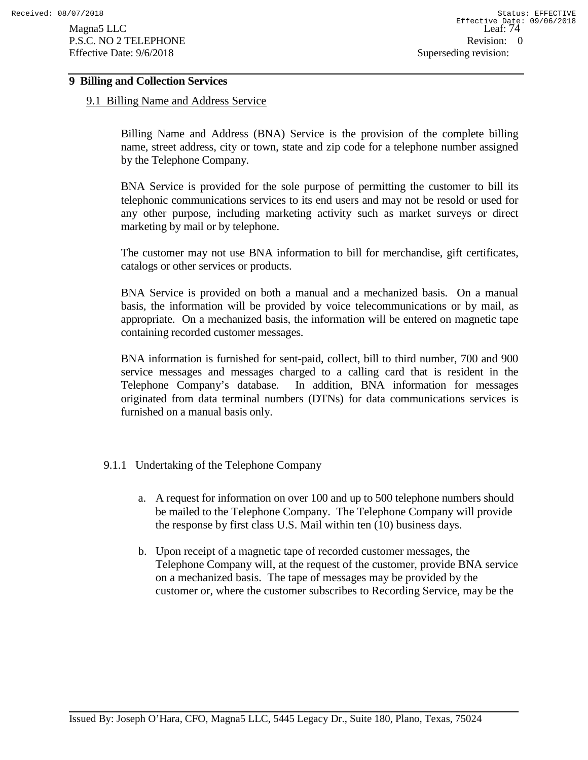### **9 Billing and Collection Services**

#### 9.1 Billing Name and Address Service

Billing Name and Address (BNA) Service is the provision of the complete billing name, street address, city or town, state and zip code for a telephone number assigned by the Telephone Company.

BNA Service is provided for the sole purpose of permitting the customer to bill its telephonic communications services to its end users and may not be resold or used for any other purpose, including marketing activity such as market surveys or direct marketing by mail or by telephone.

The customer may not use BNA information to bill for merchandise, gift certificates, catalogs or other services or products.

BNA Service is provided on both a manual and a mechanized basis. On a manual basis, the information will be provided by voice telecommunications or by mail, as appropriate. On a mechanized basis, the information will be entered on magnetic tape containing recorded customer messages.

BNA information is furnished for sent-paid, collect, bill to third number, 700 and 900 service messages and messages charged to a calling card that is resident in the Telephone Company's database. In addition, BNA information for messages originated from data terminal numbers (DTNs) for data communications services is furnished on a manual basis only.

### 9.1.1 Undertaking of the Telephone Company

- a. A request for information on over 100 and up to 500 telephone numbers should be mailed to the Telephone Company. The Telephone Company will provide the response by first class U.S. Mail within ten (10) business days.
- b. Upon receipt of a magnetic tape of recorded customer messages, the Telephone Company will, at the request of the customer, provide BNA service on a mechanized basis. The tape of messages may be provided by the customer or, where the customer subscribes to Recording Service, may be the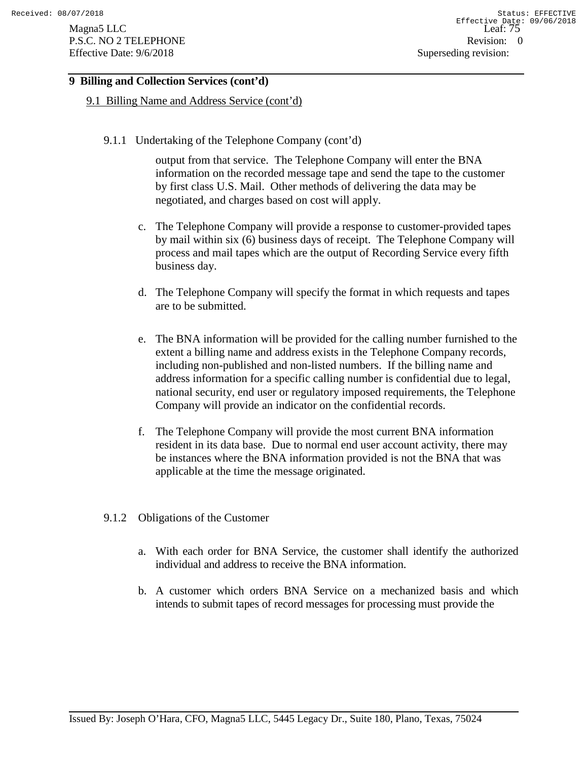# **9 Billing and Collection Services (cont'd)**

#### 9.1 Billing Name and Address Service (cont'd)

9.1.1 Undertaking of the Telephone Company (cont'd)

output from that service. The Telephone Company will enter the BNA information on the recorded message tape and send the tape to the customer by first class U.S. Mail. Other methods of delivering the data may be negotiated, and charges based on cost will apply.

- c. The Telephone Company will provide a response to customer-provided tapes by mail within six (6) business days of receipt. The Telephone Company will process and mail tapes which are the output of Recording Service every fifth business day.
- d. The Telephone Company will specify the format in which requests and tapes are to be submitted.
- e. The BNA information will be provided for the calling number furnished to the extent a billing name and address exists in the Telephone Company records, including non-published and non-listed numbers. If the billing name and address information for a specific calling number is confidential due to legal, national security, end user or regulatory imposed requirements, the Telephone Company will provide an indicator on the confidential records.
- f. The Telephone Company will provide the most current BNA information resident in its data base. Due to normal end user account activity, there may be instances where the BNA information provided is not the BNA that was applicable at the time the message originated.
- 9.1.2 Obligations of the Customer
	- a. With each order for BNA Service, the customer shall identify the authorized individual and address to receive the BNA information.
	- b. A customer which orders BNA Service on a mechanized basis and which intends to submit tapes of record messages for processing must provide the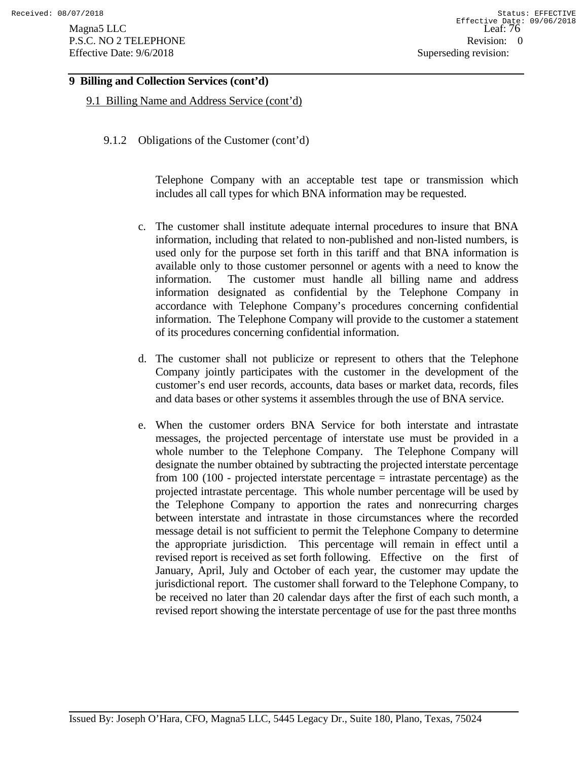# **9 Billing and Collection Services (cont'd)**

9.1 Billing Name and Address Service (cont'd)

9.1.2 Obligations of the Customer (cont'd)

Telephone Company with an acceptable test tape or transmission which includes all call types for which BNA information may be requested.

- c. The customer shall institute adequate internal procedures to insure that BNA information, including that related to non-published and non-listed numbers, is used only for the purpose set forth in this tariff and that BNA information is available only to those customer personnel or agents with a need to know the information. The customer must handle all billing name and address information designated as confidential by the Telephone Company in accordance with Telephone Company's procedures concerning confidential information. The Telephone Company will provide to the customer a statement of its procedures concerning confidential information.
- d. The customer shall not publicize or represent to others that the Telephone Company jointly participates with the customer in the development of the customer's end user records, accounts, data bases or market data, records, files and data bases or other systems it assembles through the use of BNA service.
- e. When the customer orders BNA Service for both interstate and intrastate messages, the projected percentage of interstate use must be provided in a whole number to the Telephone Company. The Telephone Company will designate the number obtained by subtracting the projected interstate percentage from 100 (100 - projected interstate percentage  $=$  intrastate percentage) as the projected intrastate percentage. This whole number percentage will be used by the Telephone Company to apportion the rates and nonrecurring charges between interstate and intrastate in those circumstances where the recorded message detail is not sufficient to permit the Telephone Company to determine the appropriate jurisdiction. This percentage will remain in effect until a revised report is received as set forth following. Effective on the first of January, April, July and October of each year, the customer may update the jurisdictional report. The customer shall forward to the Telephone Company, to be received no later than 20 calendar days after the first of each such month, a revised report showing the interstate percentage of use for the past three months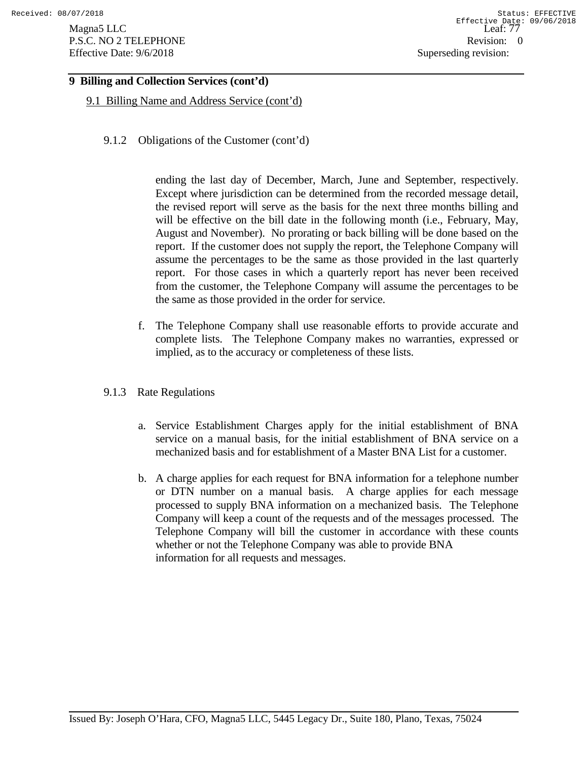Magna5 LLC Leaf: 77 Leaf: 77 Leaf: 77 Leaf: 77 Leaf: 77 Leaf: 77 Leaf: 77 Leaf: 77 Leaf: 77 Leaf: 77 Leaf: 77 Leaf: 77 Leaf: 77 Leaf: 77 Leaf: 77 Leaf: 77 Leaf: 77 Leaf: 77 Leaf: 77 Leaf: 77 Leaf: 77 Leaf: 77 Leaf: 77 Leaf P.S.C. NO 2 TELEPHONE Revision: 0 Effective Date: 9/6/2018 Superseding revision:

# **9 Billing and Collection Services (cont'd)**

9.1 Billing Name and Address Service (cont'd)

9.1.2 Obligations of the Customer (cont'd)

ending the last day of December, March, June and September, respectively. Except where jurisdiction can be determined from the recorded message detail, the revised report will serve as the basis for the next three months billing and will be effective on the bill date in the following month (i.e., February, May, August and November). No prorating or back billing will be done based on the report. If the customer does not supply the report, the Telephone Company will assume the percentages to be the same as those provided in the last quarterly report. For those cases in which a quarterly report has never been received from the customer, the Telephone Company will assume the percentages to be the same as those provided in the order for service.

- f. The Telephone Company shall use reasonable efforts to provide accurate and complete lists. The Telephone Company makes no warranties, expressed or implied, as to the accuracy or completeness of these lists.
- 9.1.3 Rate Regulations
	- a. Service Establishment Charges apply for the initial establishment of BNA service on a manual basis, for the initial establishment of BNA service on a mechanized basis and for establishment of a Master BNA List for a customer.
	- b. A charge applies for each request for BNA information for a telephone number or DTN number on a manual basis. A charge applies for each message processed to supply BNA information on a mechanized basis. The Telephone Company will keep a count of the requests and of the messages processed. The Telephone Company will bill the customer in accordance with these counts whether or not the Telephone Company was able to provide BNA information for all requests and messages.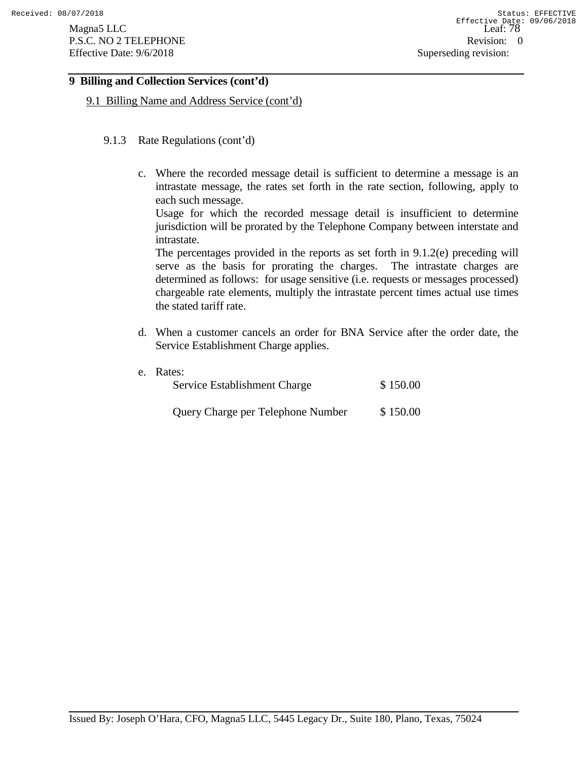# **9 Billing and Collection Services (cont'd)**

9.1 Billing Name and Address Service (cont'd)

- 9.1.3 Rate Regulations (cont'd)
	- c. Where the recorded message detail is sufficient to determine a message is an intrastate message, the rates set forth in the rate section, following, apply to each such message.

Usage for which the recorded message detail is insufficient to determine jurisdiction will be prorated by the Telephone Company between interstate and intrastate.

The percentages provided in the reports as set forth in 9.1.2(e) preceding will serve as the basis for prorating the charges. The intrastate charges are determined as follows: for usage sensitive (i.e. requests or messages processed) chargeable rate elements, multiply the intrastate percent times actual use times the stated tariff rate.

- d. When a customer cancels an order for BNA Service after the order date, the Service Establishment Charge applies.
- e. Rates:

| Service Establishment Charge      | \$150.00 |
|-----------------------------------|----------|
| Query Charge per Telephone Number | \$150.00 |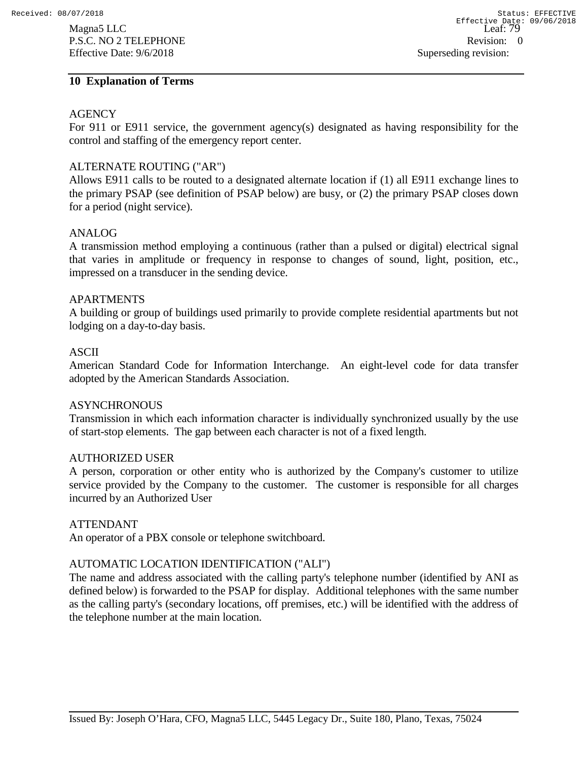#### **10 Explanation of Terms**

#### AGENCY

For 911 or E911 service, the government agency(s) designated as having responsibility for the control and staffing of the emergency report center.

### ALTERNATE ROUTING ("AR")

Allows E911 calls to be routed to a designated alternate location if (1) all E911 exchange lines to the primary PSAP (see definition of PSAP below) are busy, or (2) the primary PSAP closes down for a period (night service).

#### ANALOG

A transmission method employing a continuous (rather than a pulsed or digital) electrical signal that varies in amplitude or frequency in response to changes of sound, light, position, etc., impressed on a transducer in the sending device.

#### APARTMENTS

A building or group of buildings used primarily to provide complete residential apartments but not lodging on a day-to-day basis.

#### ASCII

American Standard Code for Information Interchange. An eight-level code for data transfer adopted by the American Standards Association.

#### **ASYNCHRONOUS**

Transmission in which each information character is individually synchronized usually by the use of start-stop elements. The gap between each character is not of a fixed length.

#### AUTHORIZED USER

A person, corporation or other entity who is authorized by the Company's customer to utilize service provided by the Company to the customer. The customer is responsible for all charges incurred by an Authorized User

#### ATTENDANT

An operator of a PBX console or telephone switchboard.

### AUTOMATIC LOCATION IDENTIFICATION ("ALI")

The name and address associated with the calling party's telephone number (identified by ANI as defined below) is forwarded to the PSAP for display. Additional telephones with the same number as the calling party's (secondary locations, off premises, etc.) will be identified with the address of the telephone number at the main location.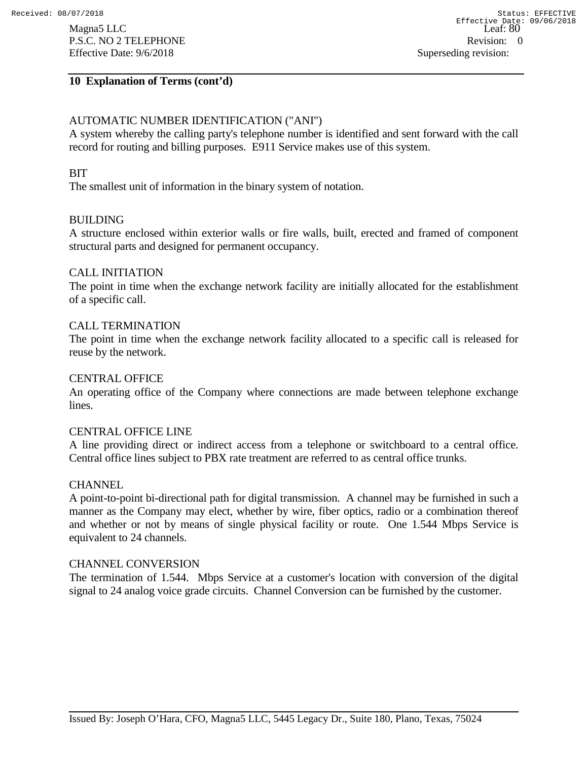## **10 Explanation of Terms (cont'd)**

# AUTOMATIC NUMBER IDENTIFICATION ("ANI")

A system whereby the calling party's telephone number is identified and sent forward with the call record for routing and billing purposes. E911 Service makes use of this system.

#### **BIT**

The smallest unit of information in the binary system of notation.

#### BUILDING

A structure enclosed within exterior walls or fire walls, built, erected and framed of component structural parts and designed for permanent occupancy.

#### CALL INITIATION

The point in time when the exchange network facility are initially allocated for the establishment of a specific call.

#### CALL TERMINATION

The point in time when the exchange network facility allocated to a specific call is released for reuse by the network.

#### CENTRAL OFFICE

An operating office of the Company where connections are made between telephone exchange lines.

#### CENTRAL OFFICE LINE

A line providing direct or indirect access from a telephone or switchboard to a central office. Central office lines subject to PBX rate treatment are referred to as central office trunks.

#### **CHANNEL**

A point-to-point bi-directional path for digital transmission. A channel may be furnished in such a manner as the Company may elect, whether by wire, fiber optics, radio or a combination thereof and whether or not by means of single physical facility or route. One 1.544 Mbps Service is equivalent to 24 channels.

#### CHANNEL CONVERSION

The termination of 1.544. Mbps Service at a customer's location with conversion of the digital signal to 24 analog voice grade circuits. Channel Conversion can be furnished by the customer.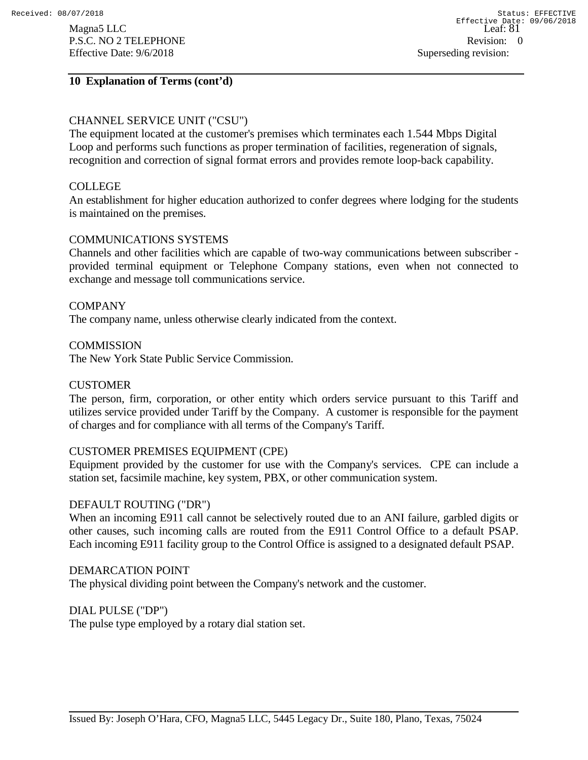#### **10 Explanation of Terms (cont'd)**

# CHANNEL SERVICE UNIT ("CSU")

The equipment located at the customer's premises which terminates each 1.544 Mbps Digital Loop and performs such functions as proper termination of facilities, regeneration of signals, recognition and correction of signal format errors and provides remote loop-back capability.

#### COLLEGE

An establishment for higher education authorized to confer degrees where lodging for the students is maintained on the premises.

#### COMMUNICATIONS SYSTEMS

Channels and other facilities which are capable of two-way communications between subscriber provided terminal equipment or Telephone Company stations, even when not connected to exchange and message toll communications service.

#### **COMPANY**

The company name, unless otherwise clearly indicated from the context.

#### **COMMISSION**

The New York State Public Service Commission.

#### CUSTOMER

The person, firm, corporation, or other entity which orders service pursuant to this Tariff and utilizes service provided under Tariff by the Company. A customer is responsible for the payment of charges and for compliance with all terms of the Company's Tariff.

#### CUSTOMER PREMISES EQUIPMENT (CPE)

Equipment provided by the customer for use with the Company's services. CPE can include a station set, facsimile machine, key system, PBX, or other communication system.

#### DEFAULT ROUTING ("DR")

When an incoming E911 call cannot be selectively routed due to an ANI failure, garbled digits or other causes, such incoming calls are routed from the E911 Control Office to a default PSAP. Each incoming E911 facility group to the Control Office is assigned to a designated default PSAP.

#### DEMARCATION POINT

The physical dividing point between the Company's network and the customer.

#### DIAL PULSE ("DP")

The pulse type employed by a rotary dial station set.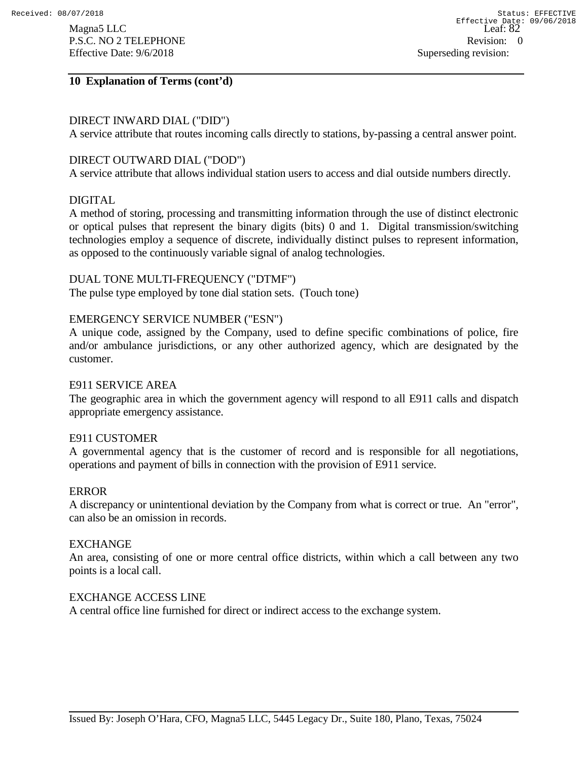### **10 Explanation of Terms (cont'd)**

#### DIRECT INWARD DIAL ("DID")

A service attribute that routes incoming calls directly to stations, by-passing a central answer point.

#### DIRECT OUTWARD DIAL ("DOD")

A service attribute that allows individual station users to access and dial outside numbers directly.

#### DIGITAL

A method of storing, processing and transmitting information through the use of distinct electronic or optical pulses that represent the binary digits (bits) 0 and 1. Digital transmission/switching technologies employ a sequence of discrete, individually distinct pulses to represent information, as opposed to the continuously variable signal of analog technologies.

#### DUAL TONE MULTI-FREQUENCY ("DTMF")

The pulse type employed by tone dial station sets. (Touch tone)

#### EMERGENCY SERVICE NUMBER ("ESN")

A unique code, assigned by the Company, used to define specific combinations of police, fire and/or ambulance jurisdictions, or any other authorized agency, which are designated by the customer.

#### E911 SERVICE AREA

The geographic area in which the government agency will respond to all E911 calls and dispatch appropriate emergency assistance.

### E911 CUSTOMER

A governmental agency that is the customer of record and is responsible for all negotiations, operations and payment of bills in connection with the provision of E911 service.

#### ERROR

A discrepancy or unintentional deviation by the Company from what is correct or true. An "error", can also be an omission in records.

#### **EXCHANGE**

An area, consisting of one or more central office districts, within which a call between any two points is a local call.

#### EXCHANGE ACCESS LINE

A central office line furnished for direct or indirect access to the exchange system.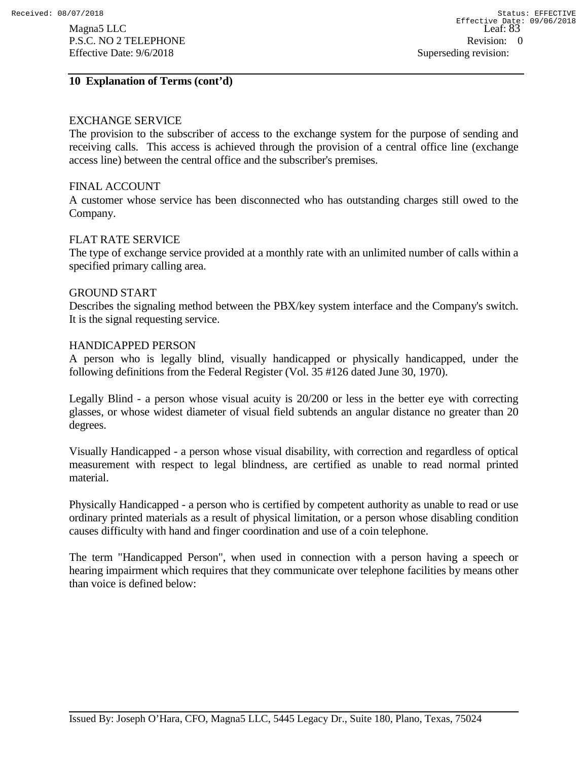#### **10 Explanation of Terms (cont'd)**

### EXCHANGE SERVICE

The provision to the subscriber of access to the exchange system for the purpose of sending and receiving calls. This access is achieved through the provision of a central office line (exchange access line) between the central office and the subscriber's premises.

#### FINAL ACCOUNT

A customer whose service has been disconnected who has outstanding charges still owed to the Company.

#### FLAT RATE SERVICE

The type of exchange service provided at a monthly rate with an unlimited number of calls within a specified primary calling area.

#### GROUND START

Describes the signaling method between the PBX/key system interface and the Company's switch. It is the signal requesting service.

#### HANDICAPPED PERSON

A person who is legally blind, visually handicapped or physically handicapped, under the following definitions from the Federal Register (Vol. 35 #126 dated June 30, 1970).

Legally Blind - a person whose visual acuity is 20/200 or less in the better eye with correcting glasses, or whose widest diameter of visual field subtends an angular distance no greater than 20 degrees.

Visually Handicapped - a person whose visual disability, with correction and regardless of optical measurement with respect to legal blindness, are certified as unable to read normal printed material.

Physically Handicapped - a person who is certified by competent authority as unable to read or use ordinary printed materials as a result of physical limitation, or a person whose disabling condition causes difficulty with hand and finger coordination and use of a coin telephone.

The term "Handicapped Person", when used in connection with a person having a speech or hearing impairment which requires that they communicate over telephone facilities by means other than voice is defined below: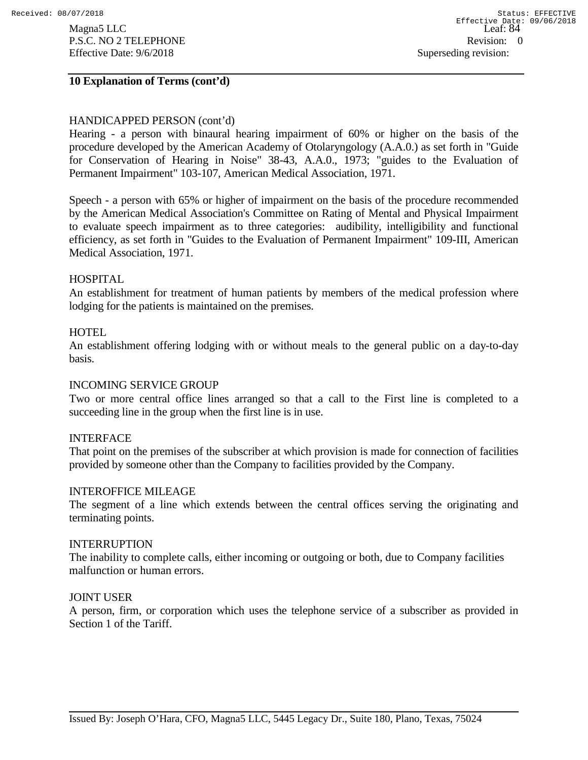Magna5 LLC Leaf:  $\overline{\text{Leaf}}$ P.S.C. NO 2 TELEPHONE Revision: 0 Effective Date:  $9/6/2018$  Superseding revision:

#### **10 Explanation of Terms (cont'd)**

#### HANDICAPPED PERSON (cont'd)

Hearing - a person with binaural hearing impairment of 60% or higher on the basis of the procedure developed by the American Academy of Otolaryngology (A.A.0.) as set forth in "Guide for Conservation of Hearing in Noise" 38-43, A.A.0., 1973; "guides to the Evaluation of Permanent Impairment" 103-107, American Medical Association, 1971.

Speech - a person with 65% or higher of impairment on the basis of the procedure recommended by the American Medical Association's Committee on Rating of Mental and Physical Impairment to evaluate speech impairment as to three categories: audibility, intelligibility and functional efficiency, as set forth in "Guides to the Evaluation of Permanent Impairment" 109-III, American Medical Association, 1971.

#### HOSPITAL

An establishment for treatment of human patients by members of the medical profession where lodging for the patients is maintained on the premises.

#### **HOTEL**

An establishment offering lodging with or without meals to the general public on a day-to-day basis.

#### INCOMING SERVICE GROUP

Two or more central office lines arranged so that a call to the First line is completed to a succeeding line in the group when the first line is in use.

#### INTERFACE

That point on the premises of the subscriber at which provision is made for connection of facilities provided by someone other than the Company to facilities provided by the Company.

#### INTEROFFICE MILEAGE

The segment of a line which extends between the central offices serving the originating and terminating points.

#### INTERRUPTION

The inability to complete calls, either incoming or outgoing or both, due to Company facilities malfunction or human errors.

#### JOINT USER

A person, firm, or corporation which uses the telephone service of a subscriber as provided in Section 1 of the Tariff.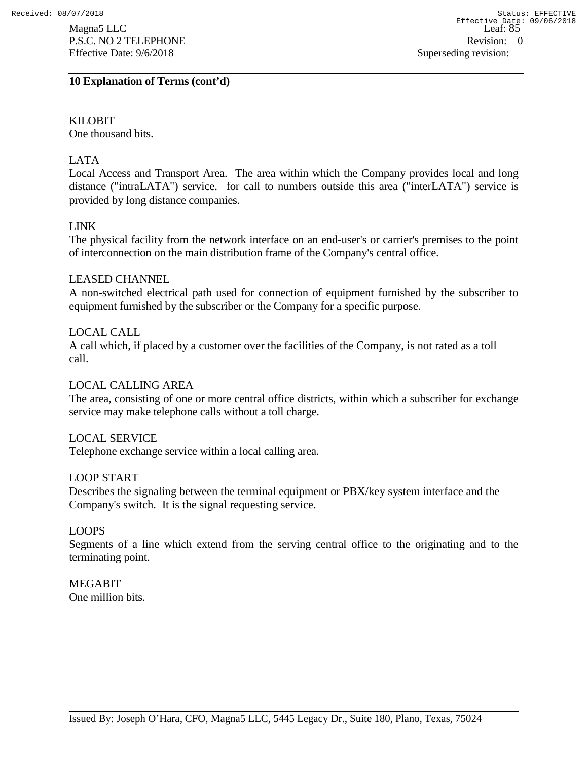KILOBIT One thousand bits.

# LATA

Local Access and Transport Area. The area within which the Company provides local and long distance ("intraLATA") service. for call to numbers outside this area ("interLATA") service is provided by long distance companies.

# LINK

The physical facility from the network interface on an end-user's or carrier's premises to the point of interconnection on the main distribution frame of the Company's central office.

### LEASED CHANNEL

A non-switched electrical path used for connection of equipment furnished by the subscriber to equipment furnished by the subscriber or the Company for a specific purpose.

# LOCAL CALL

A call which, if placed by a customer over the facilities of the Company, is not rated as a toll call.

### LOCAL CALLING AREA

The area, consisting of one or more central office districts, within which a subscriber for exchange service may make telephone calls without a toll charge.

### LOCAL SERVICE

Telephone exchange service within a local calling area.

### LOOP START

Describes the signaling between the terminal equipment or PBX/key system interface and the Company's switch. It is the signal requesting service.

### LOOPS

Segments of a line which extend from the serving central office to the originating and to the terminating point.

# MEGABIT

One million bits.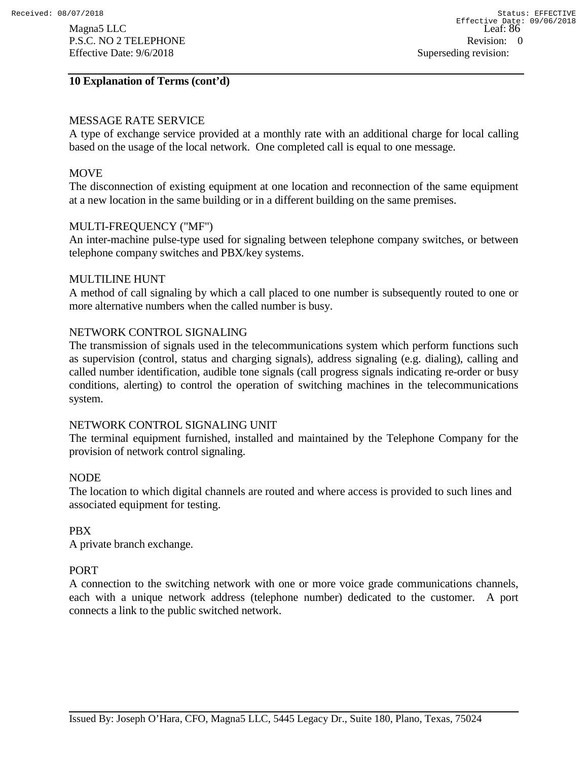#### **10 Explanation of Terms (cont'd)**

# MESSAGE RATE SERVICE

A type of exchange service provided at a monthly rate with an additional charge for local calling based on the usage of the local network. One completed call is equal to one message.

# **MOVE**

The disconnection of existing equipment at one location and reconnection of the same equipment at a new location in the same building or in a different building on the same premises.

#### MULTI-FREQUENCY ("MF")

An inter-machine pulse-type used for signaling between telephone company switches, or between telephone company switches and PBX/key systems.

#### MULTILINE HUNT

A method of call signaling by which a call placed to one number is subsequently routed to one or more alternative numbers when the called number is busy.

### NETWORK CONTROL SIGNALING

The transmission of signals used in the telecommunications system which perform functions such as supervision (control, status and charging signals), address signaling (e.g. dialing), calling and called number identification, audible tone signals (call progress signals indicating re-order or busy conditions, alerting) to control the operation of switching machines in the telecommunications system.

### NETWORK CONTROL SIGNALING UNIT

The terminal equipment furnished, installed and maintained by the Telephone Company for the provision of network control signaling.

### NODE

The location to which digital channels are routed and where access is provided to such lines and associated equipment for testing.

### PBX

A private branch exchange.

### PORT

A connection to the switching network with one or more voice grade communications channels, each with a unique network address (telephone number) dedicated to the customer. A port connects a link to the public switched network.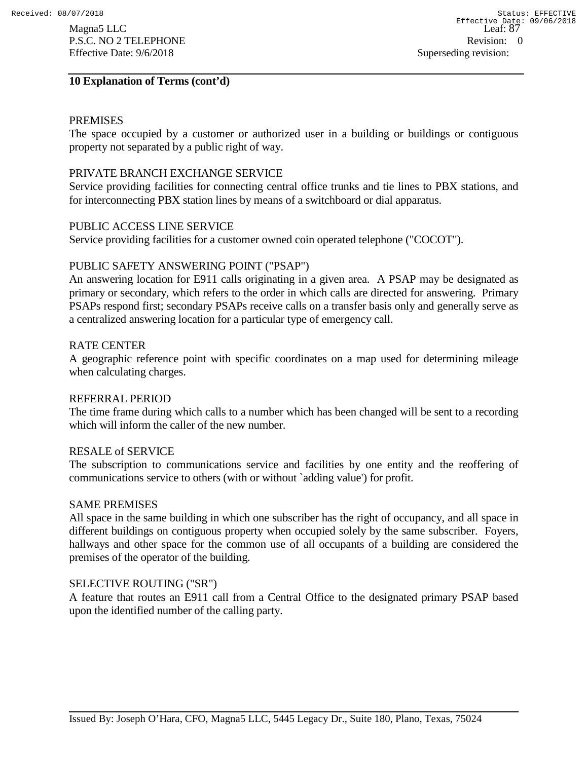### **10 Explanation of Terms (cont'd)**

#### PREMISES

The space occupied by a customer or authorized user in a building or buildings or contiguous property not separated by a public right of way.

#### PRIVATE BRANCH EXCHANGE SERVICE

Service providing facilities for connecting central office trunks and tie lines to PBX stations, and for interconnecting PBX station lines by means of a switchboard or dial apparatus.

#### PUBLIC ACCESS LINE SERVICE

Service providing facilities for a customer owned coin operated telephone ("COCOT").

#### PUBLIC SAFETY ANSWERING POINT ("PSAP")

An answering location for E911 calls originating in a given area. A PSAP may be designated as primary or secondary, which refers to the order in which calls are directed for answering. Primary PSAPs respond first; secondary PSAPs receive calls on a transfer basis only and generally serve as a centralized answering location for a particular type of emergency call.

#### RATE CENTER

A geographic reference point with specific coordinates on a map used for determining mileage when calculating charges.

#### REFERRAL PERIOD

The time frame during which calls to a number which has been changed will be sent to a recording which will inform the caller of the new number.

#### RESALE of SERVICE

The subscription to communications service and facilities by one entity and the reoffering of communications service to others (with or without `adding value') for profit.

#### SAME PREMISES

All space in the same building in which one subscriber has the right of occupancy, and all space in different buildings on contiguous property when occupied solely by the same subscriber. Foyers, hallways and other space for the common use of all occupants of a building are considered the premises of the operator of the building.

#### SELECTIVE ROUTING ("SR")

A feature that routes an E911 call from a Central Office to the designated primary PSAP based upon the identified number of the calling party.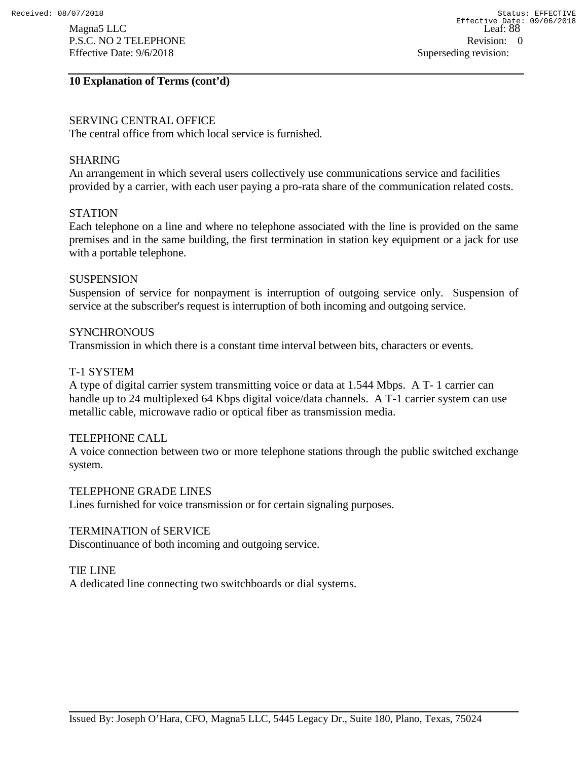#### **10 Explanation of Terms (cont'd)**

### SERVING CENTRAL OFFICE

The central office from which local service is furnished.

#### SHARING

An arrangement in which several users collectively use communications service and facilities provided by a carrier, with each user paying a pro-rata share of the communication related costs.

### **STATION**

Each telephone on a line and where no telephone associated with the line is provided on the same premises and in the same building, the first termination in station key equipment or a jack for use with a portable telephone.

#### **SUSPENSION**

Suspension of service for nonpayment is interruption of outgoing service only. Suspension of service at the subscriber's request is interruption of both incoming and outgoing service.

#### **SYNCHRONOUS**

Transmission in which there is a constant time interval between bits, characters or events.

### T-1 SYSTEM

A type of digital carrier system transmitting voice or data at 1.544 Mbps. A T- 1 carrier can handle up to 24 multiplexed 64 Kbps digital voice/data channels. A T-1 carrier system can use metallic cable, microwave radio or optical fiber as transmission media.

#### TELEPHONE CALL

A voice connection between two or more telephone stations through the public switched exchange system.

#### TELEPHONE GRADE LINES

Lines furnished for voice transmission or for certain signaling purposes.

#### TERMINATION of SERVICE

Discontinuance of both incoming and outgoing service.

#### TIE LINE

A dedicated line connecting two switchboards or dial systems.